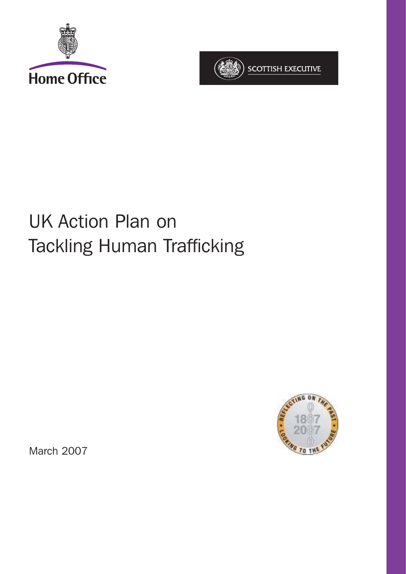



# UK Action Plan on Tackling Human Trafficking



March 2007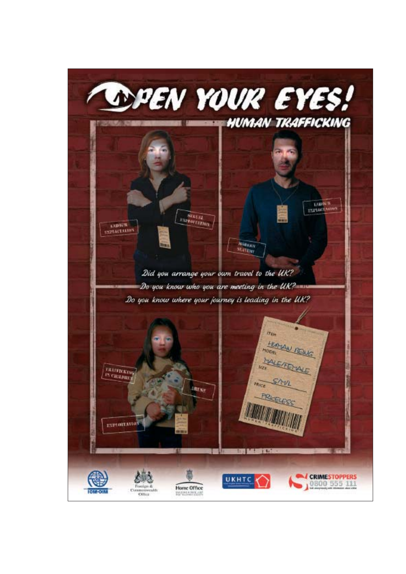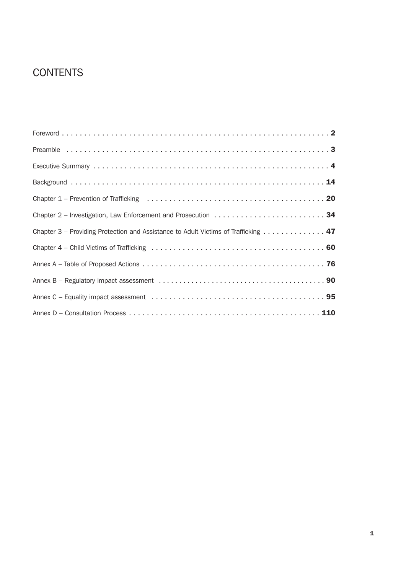# **CONTENTS**

| Chapter 3 – Providing Protection and Assistance to Adult Victims of Trafficking 47 |
|------------------------------------------------------------------------------------|
|                                                                                    |
|                                                                                    |
|                                                                                    |
|                                                                                    |
|                                                                                    |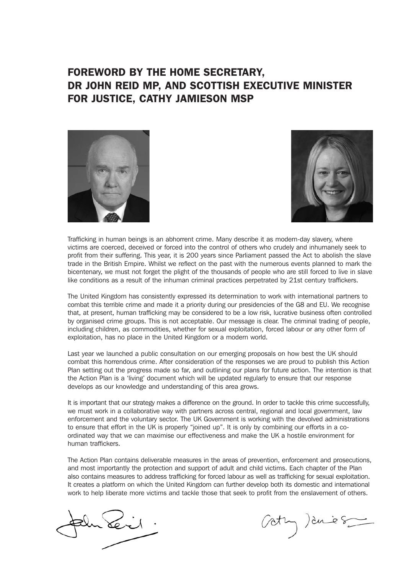# FOREWORD BY THE HOME SECRETARY, DR JOHN REID MP, AND SCOTTISH EXECUTIVE MINISTER FOR JUSTICE, CATHY JAMIESON MSP





Trafficking in human beings is an abhorrent crime. Many describe it as modern-day slavery, where victims are coerced, deceived or forced into the control of others who crudely and inhumanely seek to profit from their suffering. This year, it is 200 years since Parliament passed the Act to abolish the slave trade in the British Empire. Whilst we reflect on the past with the numerous events planned to mark the bicentenary, we must not forget the plight of the thousands of people who are still forced to live in slave like conditions as a result of the inhuman criminal practices perpetrated by 21st century traffickers.

The United Kingdom has consistently expressed its determination to work with international partners to combat this terrible crime and made it a priority during our presidencies of the G8 and EU. We recognise that, at present, human trafficking may be considered to be a low risk, lucrative business often controlled by organised crime groups. This is not acceptable. Our message is clear. The criminal trading of people, including children, as commodities, whether for sexual exploitation, forced labour or any other form of exploitation, has no place in the United Kingdom or a modern world.

Last year we launched a public consultation on our emerging proposals on how best the UK should combat this horrendous crime. After consideration of the responses we are proud to publish this Action Plan setting out the progress made so far, and outlining our plans for future action. The intention is that the Action Plan is a 'living' document which will be updated regularly to ensure that our response develops as our knowledge and understanding of this area grows.

It is important that our strategy makes a difference on the ground. In order to tackle this crime successfully, we must work in a collaborative way with partners across central, regional and local government, law enforcement and the voluntary sector. The UK Government is working with the devolved administrations to ensure that effort in the UK is properly "joined up". It is only by combining our efforts in a coordinated way that we can maximise our effectiveness and make the UK a hostile environment for human traffickers.

The Action Plan contains deliverable measures in the areas of prevention, enforcement and prosecutions, and most importantly the protection and support of adult and child victims. Each chapter of the Plan also contains measures to address trafficking for forced labour as well as trafficking for sexual exploitation. It creates a platform on which the United Kingdom can further develop both its domestic and international work to help liberate more victims and tackle those that seek to profit from the enslavement of others.

Gathy ) dues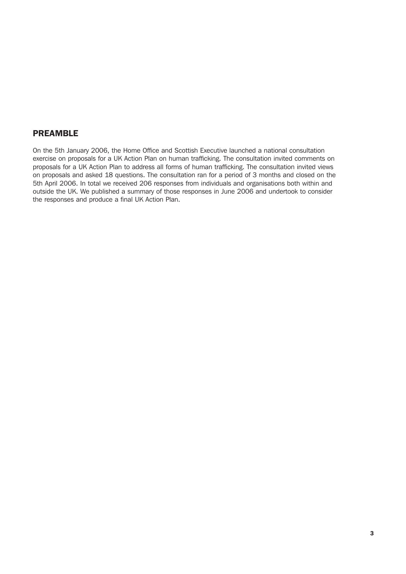## PREAMBLE

On the 5th January 2006, the Home Office and Scottish Executive launched a national consultation exercise on proposals for a UK Action Plan on human trafficking. The consultation invited comments on proposals for a UK Action Plan to address all forms of human trafficking. The consultation invited views on proposals and asked 18 questions. The consultation ran for a period of 3 months and closed on the 5th April 2006. In total we received 206 responses from individuals and organisations both within and outside the UK. We published a summary of those responses in June 2006 and undertook to consider the responses and produce a final UK Action Plan.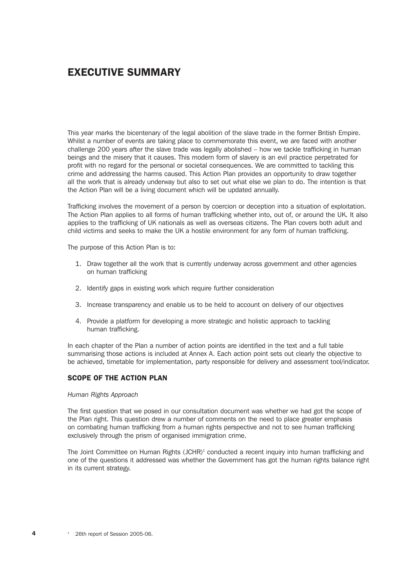# EXECUTIVE SUMMARY

This year marks the bicentenary of the legal abolition of the slave trade in the former British Empire. Whilst a number of events are taking place to commemorate this event, we are faced with another challenge 200 years after the slave trade was legally abolished – how we tackle trafficking in human beings and the misery that it causes. This modern form of slavery is an evil practice perpetrated for profit with no regard for the personal or societal consequences. We are committed to tackling this crime and addressing the harms caused. This Action Plan provides an opportunity to draw together all the work that is already underway but also to set out what else we plan to do. The intention is that the Action Plan will be a living document which will be updated annually.

Trafficking involves the movement of a person by coercion or deception into a situation of exploitation. The Action Plan applies to all forms of human trafficking whether into, out of, or around the UK. It also applies to the trafficking of UK nationals as well as overseas citizens. The Plan covers both adult and child victims and seeks to make the UK a hostile environment for any form of human trafficking.

The purpose of this Action Plan is to:

- 1. Draw together all the work that is currently underway across government and other agencies on human trafficking
- 2. Identify gaps in existing work which require further consideration
- 3. Increase transparency and enable us to be held to account on delivery of our objectives
- 4. Provide a platform for developing a more strategic and holistic approach to tackling human trafficking.

In each chapter of the Plan a number of action points are identified in the text and a full table summarising those actions is included at Annex A. Each action point sets out clearly the objective to be achieved, timetable for implementation, party responsible for delivery and assessment tool/indicator.

#### SCOPE OF THE ACTION PLAN

#### *Human Rights Approach*

The first question that we posed in our consultation document was whether we had got the scope of the Plan right. This question drew a number of comments on the need to place greater emphasis on combating human trafficking from a human rights perspective and not to see human trafficking exclusively through the prism of organised immigration crime.

The Joint Committee on Human Rights (JCHR)<sup>1</sup> conducted a recent inquiry into human trafficking and one of the questions it addressed was whether the Government has got the human rights balance right in its current strategy.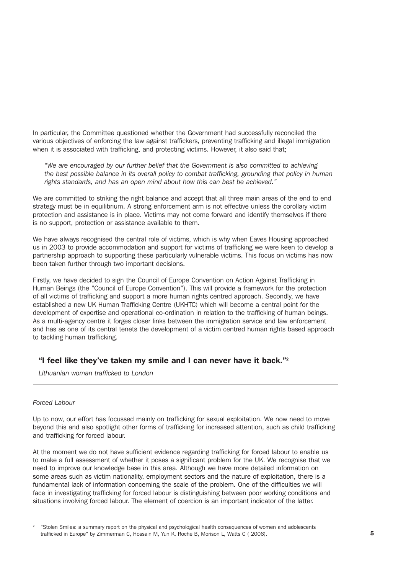In particular, the Committee questioned whether the Government had successfully reconciled the various objectives of enforcing the law against traffickers, preventing trafficking and illegal immigration when it is associated with trafficking, and protecting victims. However, it also said that;

*"We are encouraged by our further belief that the Government is also committed to achieving the best possible balance in its overall policy to combat trafficking, grounding that policy in human rights standards, and has an open mind about how this can best be achieved."*

We are committed to striking the right balance and accept that all three main areas of the end to end strategy must be in equilibrium. A strong enforcement arm is not effective unless the corollary victim protection and assistance is in place. Victims may not come forward and identify themselves if there is no support, protection or assistance available to them.

We have always recognised the central role of victims, which is why when Eaves Housing approached us in 2003 to provide accommodation and support for victims of trafficking we were keen to develop a partnership approach to supporting these particularly vulnerable victims. This focus on victims has now been taken further through two important decisions.

Firstly, we have decided to sign the Council of Europe Convention on Action Against Trafficking in Human Beings (the "Council of Europe Convention"). This will provide a framework for the protection of all victims of trafficking and support a more human rights centred approach. Secondly, we have established a new UK Human Trafficking Centre (UKHTC) which will become a central point for the development of expertise and operational co-ordination in relation to the trafficking of human beings. As a multi-agency centre it forges closer links between the immigration service and law enforcement and has as one of its central tenets the development of a victim centred human rights based approach to tackling human trafficking.

#### "I feel like they've taken my smile and I can never have it back."2

*Lithuanian woman trafficked to London*

#### *Forced Labour*

Up to now, our effort has focussed mainly on trafficking for sexual exploitation. We now need to move beyond this and also spotlight other forms of trafficking for increased attention, such as child trafficking and trafficking for forced labour.

At the moment we do not have sufficient evidence regarding trafficking for forced labour to enable us to make a full assessment of whether it poses a significant problem for the UK. We recognise that we need to improve our knowledge base in this area. Although we have more detailed information on some areas such as victim nationality, employment sectors and the nature of exploitation, there is a fundamental lack of information concerning the scale of the problem. One of the difficulties we will face in investigating trafficking for forced labour is distinguishing between poor working conditions and situations involving forced labour. The element of coercion is an important indicator of the latter.

<sup>2</sup> "Stolen Smiles: a summary report on the physical and psychological health consequences of women and adolescents trafficked in Europe" by Zimmerman C, Hossain M, Yun K, Roche B, Morison L, Watts C ( 2006).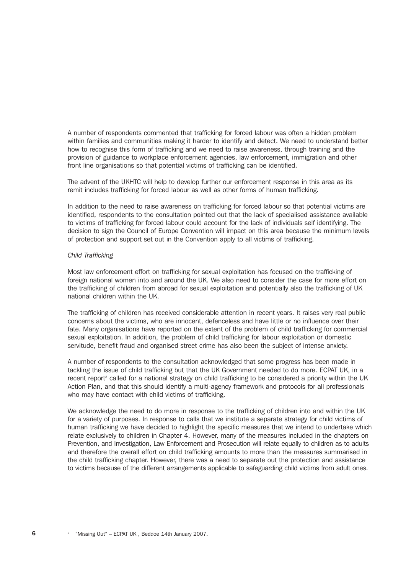A number of respondents commented that trafficking for forced labour was often a hidden problem within families and communities making it harder to identify and detect. We need to understand better how to recognise this form of trafficking and we need to raise awareness, through training and the provision of guidance to workplace enforcement agencies, law enforcement, immigration and other front line organisations so that potential victims of trafficking can be identified.

The advent of the UKHTC will help to develop further our enforcement response in this area as its remit includes trafficking for forced labour as well as other forms of human trafficking.

In addition to the need to raise awareness on trafficking for forced labour so that potential victims are identified, respondents to the consultation pointed out that the lack of specialised assistance available to victims of trafficking for forced labour could account for the lack of individuals self identifying. The decision to sign the Council of Europe Convention will impact on this area because the minimum levels of protection and support set out in the Convention apply to all victims of trafficking.

#### *Child Trafficking*

Most law enforcement effort on trafficking for sexual exploitation has focused on the trafficking of foreign national women into and around the UK. We also need to consider the case for more effort on the trafficking of children from abroad for sexual exploitation and potentially also the trafficking of UK national children within the UK.

The trafficking of children has received considerable attention in recent years. It raises very real public concerns about the victims, who are innocent, defenceless and have little or no influence over their fate. Many organisations have reported on the extent of the problem of child trafficking for commercial sexual exploitation. In addition, the problem of child trafficking for labour exploitation or domestic servitude, benefit fraud and organised street crime has also been the subject of intense anxiety.

A number of respondents to the consultation acknowledged that some progress has been made in tackling the issue of child trafficking but that the UK Government needed to do more. ECPAT UK, in a recent report<sup>3</sup> called for a national strategy on child trafficking to be considered a priority within the UK Action Plan, and that this should identify a multi-agency framework and protocols for all professionals who may have contact with child victims of trafficking.

We acknowledge the need to do more in response to the trafficking of children into and within the UK for a variety of purposes. In response to calls that we institute a separate strategy for child victims of human trafficking we have decided to highlight the specific measures that we intend to undertake which relate exclusively to children in Chapter 4. However, many of the measures included in the chapters on Prevention, and Investigation, Law Enforcement and Prosecution will relate equally to children as to adults and therefore the overall effort on child trafficking amounts to more than the measures summarised in the child trafficking chapter. However, there was a need to separate out the protection and assistance to victims because of the different arrangements applicable to safeguarding child victims from adult ones.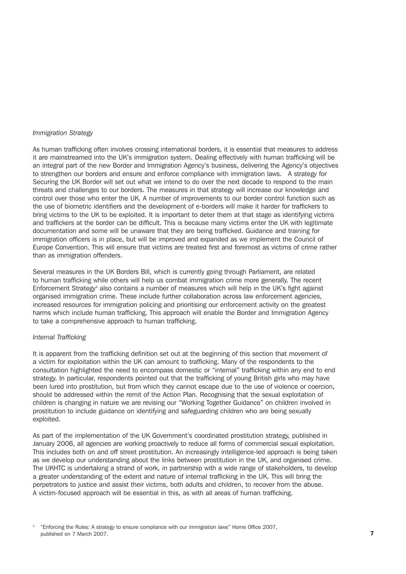#### *Immigration Strategy*

As human trafficking often involves crossing international borders, it is essential that measures to address it are mainstreamed into the UK's immigration system. Dealing effectively with human trafficking will be an integral part of the new Border and Immigration Agency's business, delivering the Agency's objectives to strengthen our borders and ensure and enforce compliance with immigration laws. A strategy for Securing the UK Border will set out what we intend to do over the next decade to respond to the main threats and challenges to our borders. The measures in that strategy will increase our knowledge and control over those who enter the UK. A number of improvements to our border control function such as the use of biometric identifiers and the development of e-borders will make it harder for traffickers to bring victims to the UK to be exploited. It is important to deter them at that stage as identifying victims and traffickers at the border can be difficult. This is because many victims enter the UK with legitimate documentation and some will be unaware that they are being trafficked. Guidance and training for immigration officers is in place, but will be improved and expanded as we implement the Council of Europe Convention. This will ensure that victims are treated first and foremost as victims of crime rather than as immigration offenders.

Several measures in the UK Borders Bill, which is currently going through Parliament, are related to human trafficking while others will help us combat immigration crime more generally. The recent Enforcement Strategy4 also contains a number of measures which will help in the UK's fight against organised immigration crime. These include further collaboration across law enforcement agencies, increased resources for immigration policing and prioritising our enforcement activity on the greatest harms which include human trafficking. This approach will enable the Border and Immigration Agency to take a comprehensive approach to human trafficking.

#### *Internal Trafficking*

It is apparent from the trafficking definition set out at the beginning of this section that movement of a victim for exploitation within the UK can amount to trafficking. Many of the respondents to the consultation highlighted the need to encompass domestic or "internal" trafficking within any end to end strategy. In particular, respondents pointed out that the trafficking of young British girls who may have been lured into prostitution, but from which they cannot escape due to the use of violence or coercion, should be addressed within the remit of the Action Plan. Recognising that the sexual exploitation of children is changing in nature we are revising our "Working Together Guidance" on children involved in prostitution to include guidance on identifying and safeguarding children who are being sexually exploited.

As part of the implementation of the UK Government's coordinated prostitution strategy, published in January 2006, all agencies are working proactively to reduce all forms of commercial sexual exploitation. This includes both on and off street prostitution. An increasingly intelligence-led approach is being taken as we develop our understanding about the links between prostitution in the UK, and organised crime. The UKHTC is undertaking a strand of work, in partnership with a wide range of stakeholders, to develop a greater understanding of the extent and nature of internal trafficking in the UK. This will bring the perpetrators to justice and assist their victims, both adults and children, to recover from the abuse. A victim-focused approach will be essential in this, as with all areas of human trafficking.

<sup>4</sup> "Enforcing the Rules: A strategy to ensure compliance with our immigration laws" Home Office 2007, published on 7 March 2007.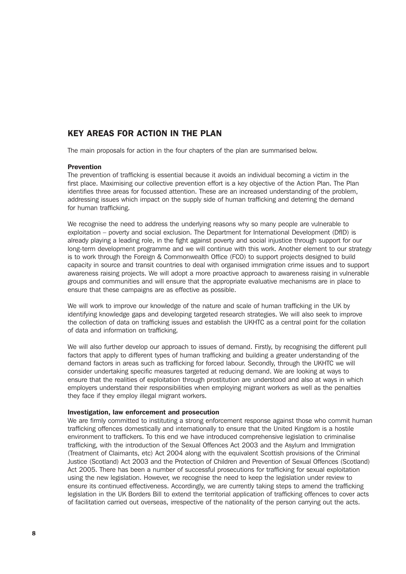## KEY AREAS FOR ACTION IN THE PLAN

The main proposals for action in the four chapters of the plan are summarised below.

#### **Prevention**

The prevention of trafficking is essential because it avoids an individual becoming a victim in the first place. Maximising our collective prevention effort is a key objective of the Action Plan. The Plan identifies three areas for focussed attention. These are an increased understanding of the problem, addressing issues which impact on the supply side of human trafficking and deterring the demand for human trafficking.

We recognise the need to address the underlying reasons why so many people are vulnerable to exploitation – poverty and social exclusion. The Department for International Development (DfID) is already playing a leading role, in the fight against poverty and social injustice through support for our long-term development programme and we will continue with this work. Another element to our strategy is to work through the Foreign & Commonwealth Office (FCO) to support projects designed to build capacity in source and transit countries to deal with organised immigration crime issues and to support awareness raising projects. We will adopt a more proactive approach to awareness raising in vulnerable groups and communities and will ensure that the appropriate evaluative mechanisms are in place to ensure that these campaigns are as effective as possible.

We will work to improve our knowledge of the nature and scale of human trafficking in the UK by identifying knowledge gaps and developing targeted research strategies. We will also seek to improve the collection of data on trafficking issues and establish the UKHTC as a central point for the collation of data and information on trafficking.

We will also further develop our approach to issues of demand. Firstly, by recognising the different pull factors that apply to different types of human trafficking and building a greater understanding of the demand factors in areas such as trafficking for forced labour. Secondly, through the UKHTC we will consider undertaking specific measures targeted at reducing demand. We are looking at ways to ensure that the realities of exploitation through prostitution are understood and also at ways in which employers understand their responsibilities when employing migrant workers as well as the penalties they face if they employ illegal migrant workers.

#### Investigation, law enforcement and prosecution

We are firmly committed to instituting a strong enforcement response against those who commit human trafficking offences domestically and internationally to ensure that the United Kingdom is a hostile environment to traffickers. To this end we have introduced comprehensive legislation to criminalise trafficking, with the introduction of the Sexual Offences Act 2003 and the Asylum and Immigration (Treatment of Claimants, etc) Act 2004 along with the equivalent Scottish provisions of the Criminal Justice (Scotland) Act 2003 and the Protection of Children and Prevention of Sexual Offences (Scotland) Act 2005. There has been a number of successful prosecutions for trafficking for sexual exploitation using the new legislation. However, we recognise the need to keep the legislation under review to ensure its continued effectiveness. Accordingly, we are currently taking steps to amend the trafficking legislation in the UK Borders Bill to extend the territorial application of trafficking offences to cover acts of facilitation carried out overseas, irrespective of the nationality of the person carrying out the acts.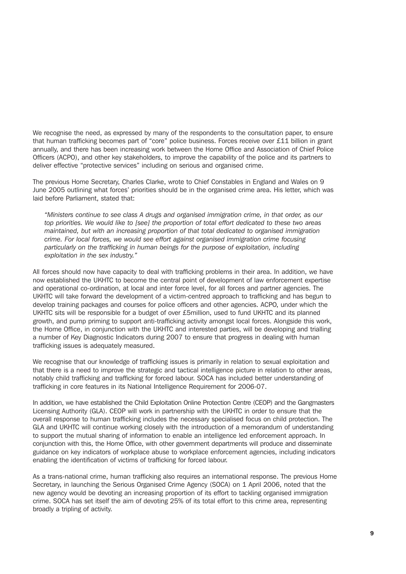We recognise the need, as expressed by many of the respondents to the consultation paper, to ensure that human trafficking becomes part of "core" police business. Forces receive over £11 billion in grant annually, and there has been increasing work between the Home Office and Association of Chief Police Officers (ACPO), and other key stakeholders, to improve the capability of the police and its partners to deliver effective "protective services" including on serious and organised crime.

The previous Home Secretary, Charles Clarke, wrote to Chief Constables in England and Wales on 9 June 2005 outlining what forces' priorities should be in the organised crime area. His letter, which was laid before Parliament, stated that:

*"Ministers continue to see class A drugs and organised immigration crime, in that order, as our top priorities. We would like to [see] the proportion of total effort dedicated to these two areas maintained, but with an increasing proportion of that total dedicated to organised immigration crime. For local forces, we would see effort against organised immigration crime focusing particularly on the trafficking in human beings for the purpose of exploitation, including exploitation in the sex industry."*

All forces should now have capacity to deal with trafficking problems in their area. In addition, we have now established the UKHTC to become the central point of development of law enforcement expertise and operational co-ordination, at local and inter force level, for all forces and partner agencies. The UKHTC will take forward the development of a victim-centred approach to trafficking and has begun to develop training packages and courses for police officers and other agencies. ACPO, under which the UKHTC sits will be responsible for a budget of over £5million, used to fund UKHTC and its planned growth, and pump priming to support anti-trafficking activity amongst local forces. Alongside this work, the Home Office, in conjunction with the UKHTC and interested parties, will be developing and trialling a number of Key Diagnostic Indicators during 2007 to ensure that progress in dealing with human trafficking issues is adequately measured.

We recognise that our knowledge of trafficking issues is primarily in relation to sexual exploitation and that there is a need to improve the strategic and tactical intelligence picture in relation to other areas, notably child trafficking and trafficking for forced labour. SOCA has included better understanding of trafficking in core features in its National Intelligence Requirement for 2006-07.

In addition, we have established the Child Exploitation Online Protection Centre (CEOP) and the Gangmasters Licensing Authority (GLA). CEOP will work in partnership with the UKHTC in order to ensure that the overall response to human trafficking includes the necessary specialised focus on child protection. The GLA and UKHTC will continue working closely with the introduction of a memorandum of understanding to support the mutual sharing of information to enable an intelligence led enforcement approach. In conjunction with this, the Home Office, with other government departments will produce and disseminate guidance on key indicators of workplace abuse to workplace enforcement agencies, including indicators enabling the identification of victims of trafficking for forced labour.

As a trans-national crime, human trafficking also requires an international response. The previous Home Secretary, in launching the Serious Organised Crime Agency (SOCA) on 1 April 2006, noted that the new agency would be devoting an increasing proportion of its effort to tackling organised immigration crime. SOCA has set itself the aim of devoting 25% of its total effort to this crime area, representing broadly a tripling of activity.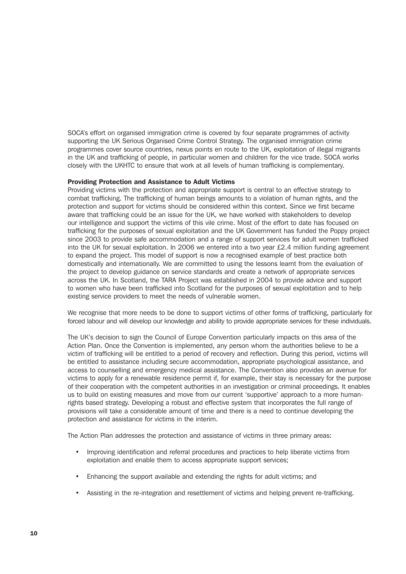SOCA's effort on organised immigration crime is covered by four separate programmes of activity supporting the UK Serious Organised Crime Control Strategy. The organised immigration crime programmes cover source countries, nexus points en route to the UK, exploitation of illegal migrants in the UK and trafficking of people, in particular women and children for the vice trade. SOCA works closely with the UKHTC to ensure that work at all levels of human trafficking is complementary.

#### Providing Protection and Assistance to Adult Victims

Providing victims with the protection and appropriate support is central to an effective strategy to combat trafficking. The trafficking of human beings amounts to a violation of human rights, and the protection and support for victims should be considered within this context. Since we first became aware that trafficking could be an issue for the UK, we have worked with stakeholders to develop our intelligence and support the victims of this vile crime. Most of the effort to date has focused on trafficking for the purposes of sexual exploitation and the UK Government has funded the Poppy project since 2003 to provide safe accommodation and a range of support services for adult women trafficked into the UK for sexual exploitation. In 2006 we entered into a two year £2.4 million funding agreement to expand the project. This model of support is now a recognised example of best practice both domestically and internationally. We are committed to using the lessons learnt from the evaluation of the project to develop guidance on service standards and create a network of appropriate services across the UK. In Scotland, the TARA Project was established in 2004 to provide advice and support to women who have been trafficked into Scotland for the purposes of sexual exploitation and to help existing service providers to meet the needs of vulnerable women.

We recognise that more needs to be done to support victims of other forms of trafficking, particularly for forced labour and will develop our knowledge and ability to provide appropriate services for these individuals.

The UK's decision to sign the Council of Europe Convention particularly impacts on this area of the Action Plan. Once the Convention is implemented, any person whom the authorities believe to be a victim of trafficking will be entitled to a period of recovery and reflection. During this period, victims will be entitled to assistance including secure accommodation, appropriate psychological assistance, and access to counselling and emergency medical assistance. The Convention also provides an avenue for victims to apply for a renewable residence permit if, for example, their stay is necessary for the purpose of their cooperation with the competent authorities in an investigation or criminal proceedings. It enables us to build on existing measures and move from our current 'supportive' approach to a more humanrights based strategy. Developing a robust and effective system that incorporates the full range of provisions will take a considerable amount of time and there is a need to continue developing the protection and assistance for victims in the interim.

The Action Plan addresses the protection and assistance of victims in three primary areas:

- Improving identification and referral procedures and practices to help liberate victims from exploitation and enable them to access appropriate support services;
- Enhancing the support available and extending the rights for adult victims; and
- Assisting in the re-integration and resettlement of victims and helping prevent re-trafficking.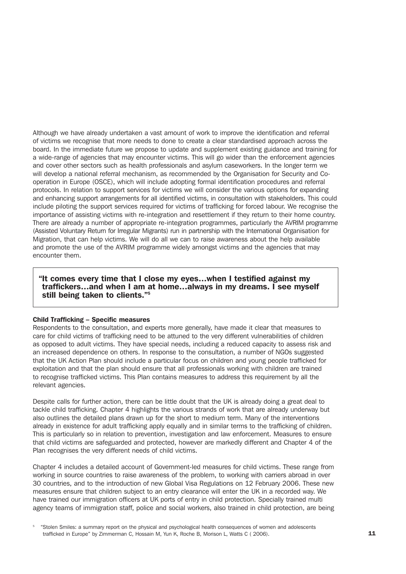Although we have already undertaken a vast amount of work to improve the identification and referral of victims we recognise that more needs to done to create a clear standardised approach across the board. In the immediate future we propose to update and supplement existing guidance and training for a wide-range of agencies that may encounter victims. This will go wider than the enforcement agencies and cover other sectors such as health professionals and asylum caseworkers. In the longer term we will develop a national referral mechanism, as recommended by the Organisation for Security and Cooperation in Europe (OSCE), which will include adopting formal identification procedures and referral protocols. In relation to support services for victims we will consider the various options for expanding and enhancing support arrangements for all identified victims, in consultation with stakeholders. This could include piloting the support services required for victims of trafficking for forced labour. We recognise the importance of assisting victims with re-integration and resettlement if they return to their home country. There are already a number of appropriate re-integration programmes, particularly the AVRIM programme (Assisted Voluntary Return for Irregular Migrants) run in partnership with the International Organisation for Migration, that can help victims. We will do all we can to raise awareness about the help available and promote the use of the AVRIM programme widely amongst victims and the agencies that may encounter them.

#### "It comes every time that I close my eyes…when I testified against my traffickers…and when I am at home…always in my dreams. I see myself still being taken to clients."5

#### Child Trafficking – Specific measures

Respondents to the consultation, and experts more generally, have made it clear that measures to care for child victims of trafficking need to be attuned to the very different vulnerabilities of children as opposed to adult victims. They have special needs, including a reduced capacity to assess risk and an increased dependence on others. In response to the consultation, a number of NGOs suggested that the UK Action Plan should include a particular focus on children and young people trafficked for exploitation and that the plan should ensure that all professionals working with children are trained to recognise trafficked victims. This Plan contains measures to address this requirement by all the relevant agencies.

Despite calls for further action, there can be little doubt that the UK is already doing a great deal to tackle child trafficking. Chapter 4 highlights the various strands of work that are already underway but also outlines the detailed plans drawn up for the short to medium term. Many of the interventions already in existence for adult trafficking apply equally and in similar terms to the trafficking of children. This is particularly so in relation to prevention, investigation and law enforcement. Measures to ensure that child victims are safeguarded and protected, however are markedly different and Chapter 4 of the Plan recognises the very different needs of child victims.

Chapter 4 includes a detailed account of Government-led measures for child victims. These range from working in source countries to raise awareness of the problem, to working with carriers abroad in over 30 countries, and to the introduction of new Global Visa Regulations on 12 February 2006. These new measures ensure that children subject to an entry clearance will enter the UK in a recorded way. We have trained our immigration officers at UK ports of entry in child protection. Specially trained multi agency teams of immigration staff, police and social workers, also trained in child protection, are being

<sup>5</sup> "Stolen Smiles: a summary report on the physical and psychological health consequences of women and adolescents trafficked in Europe" by Zimmerman C, Hossain M, Yun K, Roche B, Morison L, Watts C ( 2006).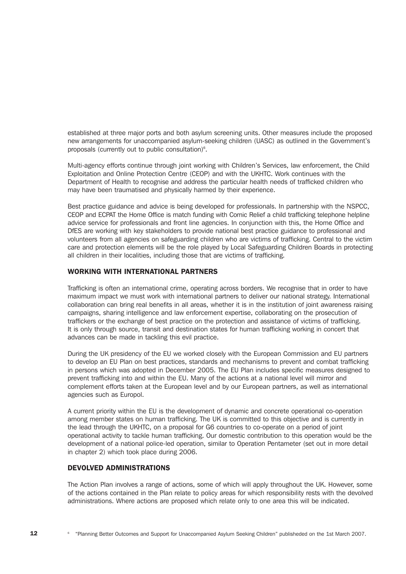established at three major ports and both asylum screening units. Other measures include the proposed new arrangements for unaccompanied asylum-seeking children (UASC) as outlined in the Government's proposals (currently out to public consultation)<sup>6</sup>.

Multi-agency efforts continue through joint working with Children's Services, law enforcement, the Child Exploitation and Online Protection Centre (CEOP) and with the UKHTC. Work continues with the Department of Health to recognise and address the particular health needs of trafficked children who may have been traumatised and physically harmed by their experience.

Best practice guidance and advice is being developed for professionals. In partnership with the NSPCC, CEOP and ECPAT the Home Office is match funding with Comic Relief a child trafficking telephone helpline advice service for professionals and front line agencies. In conjunction with this, the Home Office and DfES are working with key stakeholders to provide national best practice guidance to professional and volunteers from all agencies on safeguarding children who are victims of trafficking. Central to the victim care and protection elements will be the role played by Local Safeguarding Children Boards in protecting all children in their localities, including those that are victims of trafficking.

#### WORKING WITH INTERNATIONAL PARTNERS

Trafficking is often an international crime, operating across borders. We recognise that in order to have maximum impact we must work with international partners to deliver our national strategy. International collaboration can bring real benefits in all areas, whether it is in the institution of joint awareness raising campaigns, sharing intelligence and law enforcement expertise, collaborating on the prosecution of traffickers or the exchange of best practice on the protection and assistance of victims of trafficking. It is only through source, transit and destination states for human trafficking working in concert that advances can be made in tackling this evil practice.

During the UK presidency of the EU we worked closely with the European Commission and EU partners to develop an EU Plan on best practices, standards and mechanisms to prevent and combat trafficking in persons which was adopted in December 2005. The EU Plan includes specific measures designed to prevent trafficking into and within the EU. Many of the actions at a national level will mirror and complement efforts taken at the European level and by our European partners, as well as international agencies such as Europol.

A current priority within the EU is the development of dynamic and concrete operational co-operation among member states on human trafficking. The UK is committed to this objective and is currently in the lead through the UKHTC, on a proposal for G6 countries to co-operate on a period of joint operational activity to tackle human trafficking. Our domestic contribution to this operation would be the development of a national police-led operation, similar to Operation Pentameter (set out in more detail in chapter 2) which took place during 2006.

#### DEVOLVED ADMINISTRATIONS

The Action Plan involves a range of actions, some of which will apply throughout the UK. However, some of the actions contained in the Plan relate to policy areas for which responsibility rests with the devolved administrations. Where actions are proposed which relate only to one area this will be indicated.

12 <sup>6</sup> "Planning Better Outcomes and Support for Unaccompanied Asylum Seeking Children" publisheded on the 1st March 2007.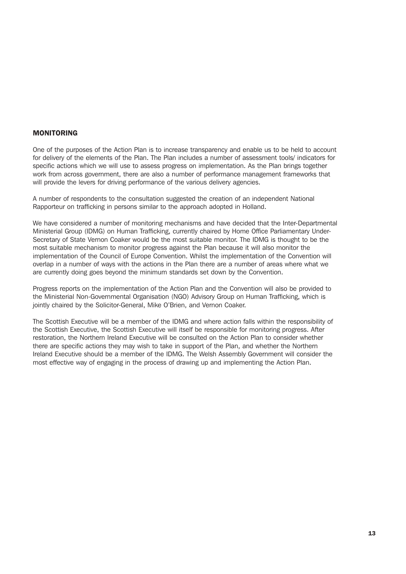#### MONITORING

One of the purposes of the Action Plan is to increase transparency and enable us to be held to account for delivery of the elements of the Plan. The Plan includes a number of assessment tools/ indicators for specific actions which we will use to assess progress on implementation. As the Plan brings together work from across government, there are also a number of performance management frameworks that will provide the levers for driving performance of the various delivery agencies.

A number of respondents to the consultation suggested the creation of an independent National Rapporteur on trafficking in persons similar to the approach adopted in Holland.

We have considered a number of monitoring mechanisms and have decided that the Inter-Departmental Ministerial Group (IDMG) on Human Trafficking, currently chaired by Home Office Parliamentary Under-Secretary of State Vernon Coaker would be the most suitable monitor. The IDMG is thought to be the most suitable mechanism to monitor progress against the Plan because it will also monitor the implementation of the Council of Europe Convention. Whilst the implementation of the Convention will overlap in a number of ways with the actions in the Plan there are a number of areas where what we are currently doing goes beyond the minimum standards set down by the Convention.

Progress reports on the implementation of the Action Plan and the Convention will also be provided to the Ministerial Non-Governmental Organisation (NGO) Advisory Group on Human Trafficking, which is jointly chaired by the Solicitor-General, Mike O'Brien, and Vernon Coaker.

The Scottish Executive will be a member of the IDMG and where action falls within the responsibility of the Scottish Executive, the Scottish Executive will itself be responsible for monitoring progress. After restoration, the Northern Ireland Executive will be consulted on the Action Plan to consider whether there are specific actions they may wish to take in support of the Plan, and whether the Northern Ireland Executive should be a member of the IDMG. The Welsh Assembly Government will consider the most effective way of engaging in the process of drawing up and implementing the Action Plan.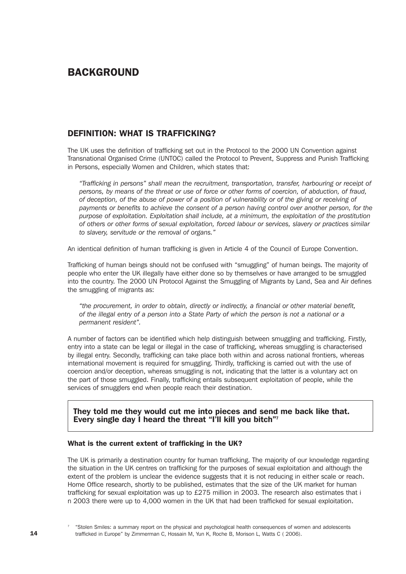## BACKGROUND

## DEFINITION: WHAT IS TRAFFICKING?

The UK uses the definition of trafficking set out in the Protocol to the 2000 UN Convention against Transnational Organised Crime (UNTOC) called the Protocol to Prevent, Suppress and Punish Trafficking in Persons, especially Women and Children, which states that:

*"Trafficking in persons" shall mean the recruitment, transportation, transfer, harbouring or receipt of persons, by means of the threat or use of force or other forms of coercion, of abduction, of fraud, of deception, of the abuse of power of a position of vulnerability or of the giving or receiving of payments or benefits to achieve the consent of a person having control over another person, for the purpose of exploitation. Exploitation shall include, at a minimum, the exploitation of the prostitution of others or other forms of sexual exploitation, forced labour or services, slavery or practices similar to slavery, servitude or the removal of organs."* 

An identical definition of human trafficking is given in Article 4 of the Council of Europe Convention.

Trafficking of human beings should not be confused with "smuggling" of human beings. The majority of people who enter the UK illegally have either done so by themselves or have arranged to be smuggled into the country. The 2000 UN Protocol Against the Smuggling of Migrants by Land, Sea and Air defines the smuggling of migrants as:

*"the procurement, in order to obtain, directly or indirectly, a financial or other material benefit, of the illegal entry of a person into a State Party of which the person is not a national or a permanent resident".*

A number of factors can be identified which help distinguish between smuggling and trafficking. Firstly, entry into a state can be legal or illegal in the case of trafficking, whereas smuggling is characterised by illegal entry. Secondly, trafficking can take place both within and across national frontiers, whereas international movement is required for smuggling. Thirdly, trafficking is carried out with the use of coercion and/or deception, whereas smuggling is not, indicating that the latter is a voluntary act on the part of those smuggled. Finally, trafficking entails subsequent exploitation of people, while the services of smugglers end when people reach their destination.

They told me they would cut me into pieces and send me back like that. Every single day I heard the threat "I'll kill you bitch"7

#### What is the current extent of trafficking in the UK?

The UK is primarily a destination country for human trafficking. The majority of our knowledge regarding the situation in the UK centres on trafficking for the purposes of sexual exploitation and although the extent of the problem is unclear the evidence suggests that it is not reducing in either scale or reach. Home Office research, shortly to be published, estimates that the size of the UK market for human trafficking for sexual exploitation was up to £275 million in 2003. The research also estimates that i n 2003 there were up to 4,000 women in the UK that had been trafficked for sexual exploitation.

<sup>7</sup> "Stolen Smiles: a summary report on the physical and psychological health consequences of women and adolescents trafficked in Europe" by Zimmerman C, Hossain M, Yun K, Roche B, Morison L, Watts C ( 2006).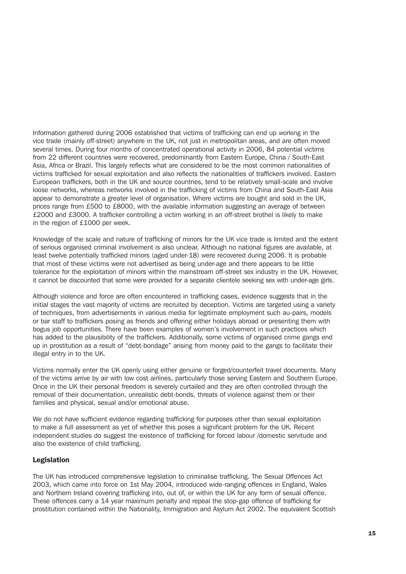Information gathered during 2006 established that victims of trafficking can end up working in the vice trade (mainly off-street) anywhere in the UK, not just in metropolitan areas, and are often moved several times. During four months of concentrated operational activity in 2006, 84 potential victims from 22 different countries were recovered, predominantly from Eastern Europe, China / South-East Asia, Africa or Brazil. This largely reflects what are considered to be the most common nationalities of victims trafficked for sexual exploitation and also reflects the nationalities of traffickers involved. Eastern European traffickers, both in the UK and source countries, tend to be relatively small-scale and involve loose networks, whereas networks involved in the trafficking of victims from China and South-East Asia appear to demonstrate a greater level of organisation. Where victims are bought and sold in the UK, prices range from £500 to £8000, with the available information suggesting an average of between £2000 and £3000. A trafficker controlling a victim working in an off-street brothel is likely to make in the region of £1000 per week.

Knowledge of the scale and nature of trafficking of minors for the UK vice trade is limited and the extent of serious organised criminal involvement is also unclear. Although no national figures are available, at least twelve potentially trafficked minors (aged under-18) were recovered during 2006. It is probable that most of these victims were not advertised as being under-age and there appears to be little tolerance for the exploitation of minors within the mainstream off-street sex industry in the UK. However, it cannot be discounted that some were provided for a separate clientele seeking sex with under-age girls.

Although violence and force are often encountered in trafficking cases, evidence suggests that in the initial stages the vast majority of victims are recruited by deception. Victims are targeted using a variety of techniques, from advertisements in various media for legitimate employment such au-pairs, models or bar staff to traffickers posing as friends and offering either holidays abroad or presenting them with bogus job opportunities. There have been examples of women's involvement in such practices which has added to the plausibility of the traffickers. Additionally, some victims of organised crime gangs end up in prostitution as a result of "debt-bondage" arising from money paid to the gangs to facilitate their illegal entry in to the UK.

Victims normally enter the UK openly using either genuine or forged/counterfeit travel documents. Many of the victims arrive by air with low cost airlines, particularly those serving Eastern and Southern Europe. Once in the UK their personal freedom is severely curtailed and they are often controlled through the removal of their documentation, unrealistic debt-bonds, threats of violence against them or their families and physical, sexual and/or emotional abuse.

We do not have sufficient evidence regarding trafficking for purposes other than sexual exploitation to make a full assessment as yet of whether this poses a significant problem for the UK. Recent independent studies do suggest the existence of trafficking for forced labour /domestic servitude and also the existence of child trafficking.

#### Legislation

The UK has introduced comprehensive legislation to criminalise trafficking. The Sexual Offences Act 2003, which came into force on 1st May 2004, introduced wide-ranging offences in England, Wales and Northern Ireland covering trafficking into, out of, or within the UK for any form of sexual offence. These offences carry a 14 year maximum penalty and repeal the stop-gap offence of trafficking for prostitution contained within the Nationality, Immigration and Asylum Act 2002. The equivalent Scottish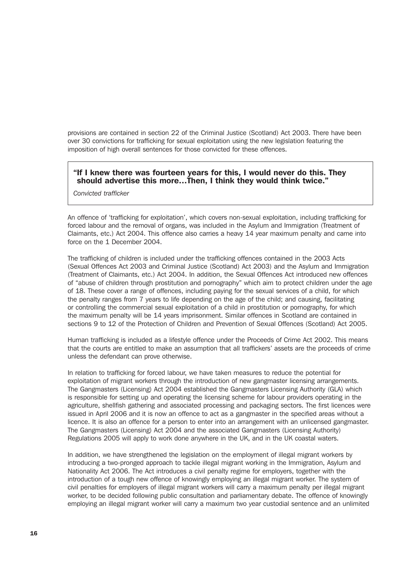provisions are contained in section 22 of the Criminal Justice (Scotland) Act 2003. There have been over 30 convictions for trafficking for sexual exploitation using the new legislation featuring the imposition of high overall sentences for those convicted for these offences.

#### "If I knew there was fourteen years for this, I would never do this. They should advertise this more…Then, I think they would think twice."

*Convicted trafficker*

An offence of 'trafficking for exploitation', which covers non-sexual exploitation, including trafficking for forced labour and the removal of organs, was included in the Asylum and Immigration (Treatment of Claimants, etc.) Act 2004. This offence also carries a heavy 14 year maximum penalty and came into force on the 1 December 2004.

The trafficking of children is included under the trafficking offences contained in the 2003 Acts (Sexual Offences Act 2003 and Criminal Justice (Scotland) Act 2003) and the Asylum and Immigration (Treatment of Claimants, etc.) Act 2004. In addition, the Sexual Offences Act introduced new offences of "abuse of children through prostitution and pornography" which aim to protect children under the age of 18. These cover a range of offences, including paying for the sexual services of a child, for which the penalty ranges from 7 years to life depending on the age of the child; and causing, facilitating or controlling the commercial sexual exploitation of a child in prostitution or pornography, for which the maximum penalty will be 14 years imprisonment. Similar offences in Scotland are contained in sections 9 to 12 of the Protection of Children and Prevention of Sexual Offences (Scotland) Act 2005.

Human trafficking is included as a lifestyle offence under the Proceeds of Crime Act 2002. This means that the courts are entitled to make an assumption that all traffickers' assets are the proceeds of crime unless the defendant can prove otherwise.

In relation to trafficking for forced labour, we have taken measures to reduce the potential for exploitation of migrant workers through the introduction of new gangmaster licensing arrangements. The Gangmasters (Licensing) Act 2004 established the Gangmasters Licensing Authority (GLA) which is responsible for setting up and operating the licensing scheme for labour providers operating in the agriculture, shellfish gathering and associated processing and packaging sectors. The first licences were issued in April 2006 and it is now an offence to act as a gangmaster in the specified areas without a licence. It is also an offence for a person to enter into an arrangement with an unlicensed gangmaster. The Gangmasters (Licensing) Act 2004 and the associated Gangmasters (Licensing Authority) Regulations 2005 will apply to work done anywhere in the UK, and in the UK coastal waters.

In addition, we have strengthened the legislation on the employment of illegal migrant workers by introducing a two-pronged approach to tackle illegal migrant working in the Immigration, Asylum and Nationality Act 2006. The Act introduces a civil penalty regime for employers, together with the introduction of a tough new offence of knowingly employing an illegal migrant worker. The system of civil penalties for employers of illegal migrant workers will carry a maximum penalty per illegal migrant worker, to be decided following public consultation and parliamentary debate. The offence of knowingly employing an illegal migrant worker will carry a maximum two year custodial sentence and an unlimited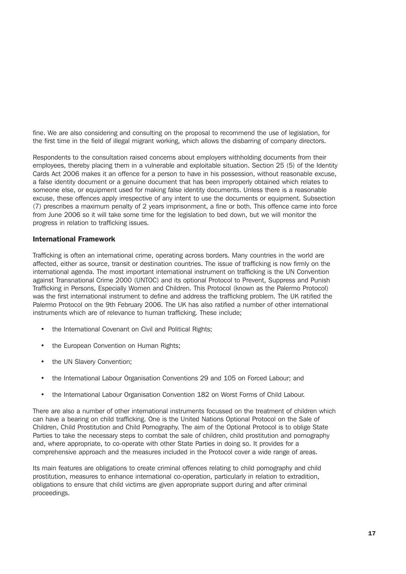fine. We are also considering and consulting on the proposal to recommend the use of legislation, for the first time in the field of illegal migrant working, which allows the disbarring of company directors.

Respondents to the consultation raised concerns about employers withholding documents from their employees, thereby placing them in a vulnerable and exploitable situation. Section 25 (5) of the Identity Cards Act 2006 makes it an offence for a person to have in his possession, without reasonable excuse, a false identity document or a genuine document that has been improperly obtained which relates to someone else, or equipment used for making false identity documents. Unless there is a reasonable excuse, these offences apply irrespective of any intent to use the documents or equipment. Subsection (7) prescribes a maximum penalty of 2 years imprisonment, a fine or both. This offence came into force from June 2006 so it will take some time for the legislation to bed down, but we will monitor the progress in relation to trafficking issues.

#### International Framework

Trafficking is often an international crime, operating across borders. Many countries in the world are affected, either as source, transit or destination countries. The issue of trafficking is now firmly on the international agenda. The most important international instrument on trafficking is the UN Convention against Transnational Crime 2000 (UNTOC) and its optional Protocol to Prevent, Suppress and Punish Trafficking in Persons, Especially Women and Children. This Protocol (known as the Palermo Protocol) was the first international instrument to define and address the trafficking problem. The UK ratified the Palermo Protocol on the 9th February 2006. The UK has also ratified a number of other international instruments which are of relevance to human trafficking. These include;

- the International Covenant on Civil and Political Rights;
- the European Convention on Human Rights;
- the UN Slavery Convention;
- the International Labour Organisation Conventions 29 and 105 on Forced Labour; and
- the International Labour Organisation Convention 182 on Worst Forms of Child Labour.

There are also a number of other international instruments focussed on the treatment of children which can have a bearing on child trafficking. One is the United Nations Optional Protocol on the Sale of Children, Child Prostitution and Child Pornography. The aim of the Optional Protocol is to oblige State Parties to take the necessary steps to combat the sale of children, child prostitution and pornography and, where appropriate, to co-operate with other State Parties in doing so. It provides for a comprehensive approach and the measures included in the Protocol cover a wide range of areas.

Its main features are obligations to create criminal offences relating to child pornography and child prostitution, measures to enhance international co-operation, particularly in relation to extradition, obligations to ensure that child victims are given appropriate support during and after criminal proceedings.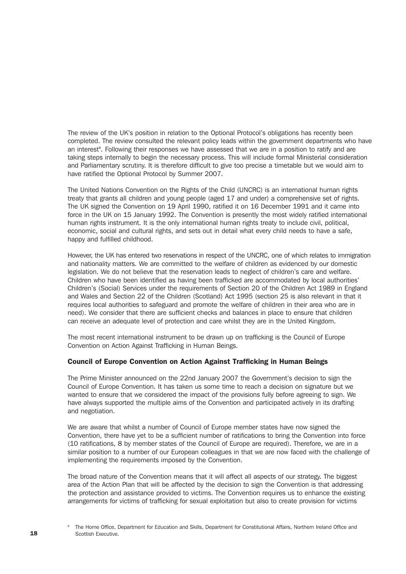The review of the UK's position in relation to the Optional Protocol's obligations has recently been completed. The review consulted the relevant policy leads within the government departments who have an interest<sup>s</sup>. Following their responses we have assessed that we are in a position to ratify and are taking steps internally to begin the necessary process. This will include formal Ministerial consideration and Parliamentary scrutiny. It is therefore difficult to give too precise a timetable but we would aim to have ratified the Optional Protocol by Summer 2007.

The United Nations Convention on the Rights of the Child (UNCRC) is an international human rights treaty that grants all children and young people (aged 17 and under) a comprehensive set of rights. The UK signed the Convention on 19 April 1990, ratified it on 16 December 1991 and it came into force in the UK on 15 January 1992. The Convention is presently the most widely ratified international human rights instrument. It is the only international human rights treaty to include civil, political, economic, social and cultural rights, and sets out in detail what every child needs to have a safe, happy and fulfilled childhood.

However, the UK has entered two reservations in respect of the UNCRC, one of which relates to immigration and nationality matters. We are committed to the welfare of children as evidenced by our domestic legislation. We do not believe that the reservation leads to neglect of children's care and welfare. Children who have been identified as having been trafficked are accommodated by local authorities' Children's (Social) Services under the requirements of Section 20 of the Children Act 1989 in England and Wales and Section 22 of the Children (Scotland) Act 1995 (section 25 is also relevant in that it requires local authorities to safeguard and promote the welfare of children in their area who are in need). We consider that there are sufficient checks and balances in place to ensure that children can receive an adequate level of protection and care whilst they are in the United Kingdom.

The most recent international instrument to be drawn up on trafficking is the Council of Europe Convention on Action Against Trafficking in Human Beings.

#### Council of Europe Convention on Action Against Trafficking in Human Beings

The Prime Minister announced on the 22nd January 2007 the Government's decision to sign the Council of Europe Convention. It has taken us some time to reach a decision on signature but we wanted to ensure that we considered the impact of the provisions fully before agreeing to sign. We have always supported the multiple aims of the Convention and participated actively in its drafting and negotiation.

We are aware that whilst a number of Council of Europe member states have now signed the Convention, there have yet to be a sufficient number of ratifications to bring the Convention into force (10 ratifications, 8 by member states of the Council of Europe are required). Therefore, we are in a similar position to a number of our European colleagues in that we are now faced with the challenge of implementing the requirements imposed by the Convention.

The broad nature of the Convention means that it will affect all aspects of our strategy. The biggest area of the Action Plan that will be affected by the decision to sign the Convention is that addressing the protection and assistance provided to victims. The Convention requires us to enhance the existing arrangements for victims of trafficking for sexual exploitation but also to create provision for victims

<sup>8</sup> The Home Office, Department for Education and Skills, Department for Constitutional Affairs, Northern Ireland Office and Scottish Executive.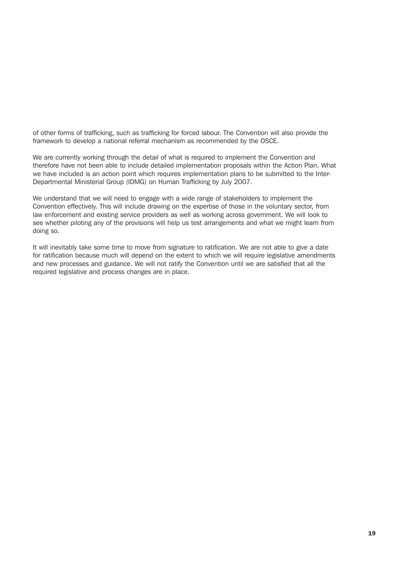of other forms of trafficking, such as trafficking for forced labour. The Convention will also provide the framework to develop a national referral mechanism as recommended by the OSCE.

We are currently working through the detail of what is required to implement the Convention and therefore have not been able to include detailed implementation proposals within the Action Plan. What we have included is an action point which requires implementation plans to be submitted to the Inter-Departmental Ministerial Group (IDMG) on Human Trafficking by July 2007.

We understand that we will need to engage with a wide range of stakeholders to implement the Convention effectively. This will include drawing on the expertise of those in the voluntary sector, from law enforcement and existing service providers as well as working across government. We will look to see whether piloting any of the provisions will help us test arrangements and what we might learn from doing so.

It will inevitably take some time to move from signature to ratification. We are not able to give a date for ratification because much will depend on the extent to which we will require legislative amendments and new processes and guidance. We will not ratify the Convention until we are satisfied that all the required legislative and process changes are in place.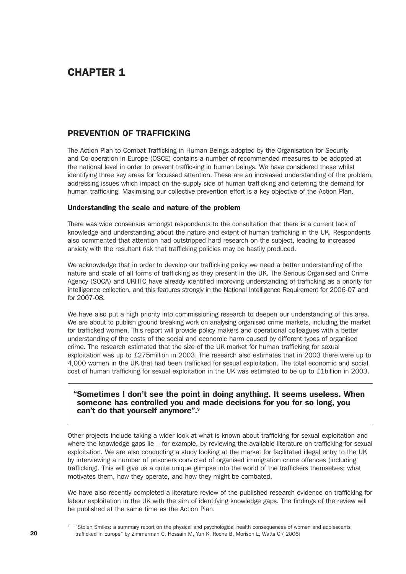# CHAPTER 1

### PREVENTION OF TRAFFICKING

The Action Plan to Combat Trafficking in Human Beings adopted by the Organisation for Security and Co-operation in Europe (OSCE) contains a number of recommended measures to be adopted at the national level in order to prevent trafficking in human beings. We have considered these whilst identifying three key areas for focussed attention. These are an increased understanding of the problem, addressing issues which impact on the supply side of human trafficking and deterring the demand for human trafficking. Maximising our collective prevention effort is a key objective of the Action Plan.

#### Understanding the scale and nature of the problem

There was wide consensus amongst respondents to the consultation that there is a current lack of knowledge and understanding about the nature and extent of human trafficking in the UK. Respondents also commented that attention had outstripped hard research on the subject, leading to increased anxiety with the resultant risk that trafficking policies may be hastily produced.

We acknowledge that in order to develop our trafficking policy we need a better understanding of the nature and scale of all forms of trafficking as they present in the UK. The Serious Organised and Crime Agency (SOCA) and UKHTC have already identified improving understanding of trafficking as a priority for intelligence collection, and this features strongly in the National Intelligence Requirement for 2006-07 and for 2007-08.

We have also put a high priority into commissioning research to deepen our understanding of this area. We are about to publish ground breaking work on analysing organised crime markets, including the market for trafficked women. This report will provide policy makers and operational colleagues with a better understanding of the costs of the social and economic harm caused by different types of organised crime. The research estimated that the size of the UK market for human trafficking for sexual exploitation was up to £275million in 2003. The research also estimates that in 2003 there were up to 4,000 women in the UK that had been trafficked for sexual exploitation. The total economic and social cost of human trafficking for sexual exploitation in the UK was estimated to be up to £1billion in 2003.

#### "Sometimes I don't see the point in doing anything. It seems useless. When someone has controlled you and made decisions for you for so long, you can't do that yourself anymore".9

Other projects include taking a wider look at what is known about trafficking for sexual exploitation and where the knowledge gaps lie – for example, by reviewing the available literature on trafficking for sexual exploitation. We are also conducting a study looking at the market for facilitated illegal entry to the UK by interviewing a number of prisoners convicted of organised immigration crime offences (including trafficking). This will give us a quite unique glimpse into the world of the traffickers themselves; what motivates them, how they operate, and how they might be combated.

We have also recently completed a literature review of the published research evidence on trafficking for labour exploitation in the UK with the aim of identifying knowledge gaps. The findings of the review will be published at the same time as the Action Plan.

<sup>9</sup> "Stolen Smiles: a summary report on the physical and psychological health consequences of women and adolescents trafficked in Europe" by Zimmerman C, Hossain M, Yun K, Roche B, Morison L, Watts C ( 2006)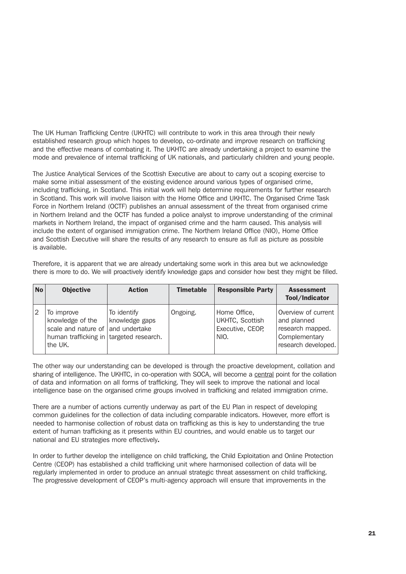The UK Human Trafficking Centre (UKHTC) will contribute to work in this area through their newly established research group which hopes to develop, co-ordinate and improve research on trafficking and the effective means of combating it. The UKHTC are already undertaking a project to examine the mode and prevalence of internal trafficking of UK nationals, and particularly children and young people.

The Justice Analytical Services of the Scottish Executive are about to carry out a scoping exercise to make some initial assessment of the existing evidence around various types of organised crime, including trafficking, in Scotland. This initial work will help determine requirements for further research in Scotland. This work will involve liaison with the Home Office and UKHTC. The Organised Crime Task Force in Northern Ireland (OCTF) publishes an annual assessment of the threat from organised crime in Northern Ireland and the OCTF has funded a police analyst to improve understanding of the criminal markets in Northern Ireland, the impact of organised crime and the harm caused. This analysis will include the extent of organised immigration crime. The Northern Ireland Office (NIO), Home Office and Scottish Executive will share the results of any research to ensure as full as picture as possible is available.

Therefore, it is apparent that we are already undertaking some work in this area but we acknowledge there is more to do. We will proactively identify knowledge gaps and consider how best they might be filled.

| <b>No</b> | <b>Objective</b>                                                                                                          | <b>Action</b>                 | <b>Timetable</b> | <b>Responsible Party</b>                                    | <b>Assessment</b><br>Tool/Indicator                                                            |
|-----------|---------------------------------------------------------------------------------------------------------------------------|-------------------------------|------------------|-------------------------------------------------------------|------------------------------------------------------------------------------------------------|
| 2         | To improve<br>knowledge of the<br>scale and nature of and undertake<br>human trafficking in targeted research.<br>the UK. | To identify<br>knowledge gaps | Ongoing.         | Home Office,<br>UKHTC, Scottish<br>Executive, CEOP,<br>NIO. | Overview of current<br>and planned<br>research mapped.<br>Complementary<br>research developed. |

The other way our understanding can be developed is through the proactive development, collation and sharing of intelligence. The UKHTC, in co-operation with SOCA, will become a central point for the collation of data and information on all forms of trafficking. They will seek to improve the national and local intelligence base on the organised crime groups involved in trafficking and related immigration crime.

There are a number of actions currently underway as part of the EU Plan in respect of developing common guidelines for the collection of data including comparable indicators. However, more effort is needed to harmonise collection of robust data on trafficking as this is key to understanding the true extent of human trafficking as it presents within EU countries, and would enable us to target our national and EU strategies more effectively.

In order to further develop the intelligence on child trafficking, the Child Exploitation and Online Protection Centre (CEOP) has established a child trafficking unit where harmonised collection of data will be regularly implemented in order to produce an annual strategic threat assessment on child trafficking. The progressive development of CEOP's multi-agency approach will ensure that improvements in the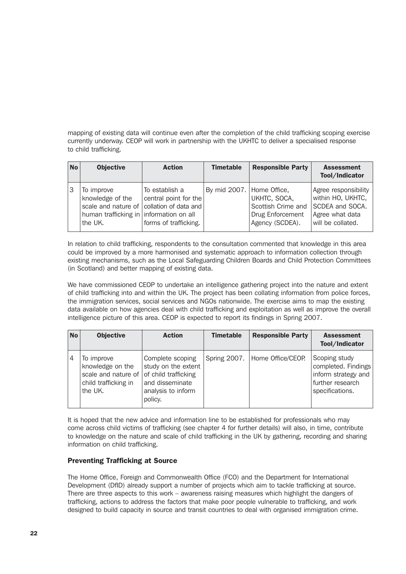mapping of existing data will continue even after the completion of the child trafficking scoping exercise currently underway. CEOP will work in partnership with the UKHTC to deliver a specialised response to child trafficking.

| <b>No</b> | <b>Objective</b>                                                                     | <b>Action</b>                                                                                                 | <b>Timetable</b>          | <b>Responsible Party</b>                                                  | <b>Assessment</b><br>Tool/Indicator                                                                  |
|-----------|--------------------------------------------------------------------------------------|---------------------------------------------------------------------------------------------------------------|---------------------------|---------------------------------------------------------------------------|------------------------------------------------------------------------------------------------------|
|           | To improve<br>knowledge of the<br>human trafficking in information on all<br>the UK. | To establish a<br>central point for the<br>scale and nature of collation of data and<br>forms of trafficking. | By mid 2007. Home Office, | UKHTC, SOCA,<br>Scottish Crime and<br>Drug Enforcement<br>Agency (SCDEA). | Agree responsibility<br>within HO, UKHTC,<br>SCDEA and SOCA.<br>Agree what data<br>will be collated. |

In relation to child trafficking, respondents to the consultation commented that knowledge in this area could be improved by a more harmonised and systematic approach to information collection through existing mechanisms, such as the Local Safeguarding Children Boards and Child Protection Committees (in Scotland) and better mapping of existing data.

We have commissioned CEOP to undertake an intelligence gathering project into the nature and extent of child trafficking into and within the UK. The project has been collating information from police forces, the immigration services, social services and NGOs nationwide. The exercise aims to map the existing data available on how agencies deal with child trafficking and exploitation as well as improve the overall intelligence picture of this area. CEOP is expected to report its findings in Spring 2007.

| <b>No</b> | <b>Objective</b>                                                                         | <b>Action</b>                                                                                                       | <b>Timetable</b> | <b>Responsible Party</b> | <b>Assessment</b><br>Tool/Indicator                                                                |
|-----------|------------------------------------------------------------------------------------------|---------------------------------------------------------------------------------------------------------------------|------------------|--------------------------|----------------------------------------------------------------------------------------------------|
| 4         | To improve<br>knowledge on the<br>scale and nature of<br>child trafficking in<br>the UK. | Complete scoping<br>study on the extent<br>of child trafficking<br>and disseminate<br>analysis to inform<br>policy. | Spring 2007.     | Home Office/CEOP.        | Scoping study<br>completed. Findings<br>inform strategy and<br>further research<br>specifications. |

It is hoped that the new advice and information line to be established for professionals who may come across child victims of trafficking (see chapter 4 for further details) will also, in time, contribute to knowledge on the nature and scale of child trafficking in the UK by gathering, recording and sharing information on child trafficking.

#### Preventing Trafficking at Source

The Home Office, Foreign and Commonwealth Office (FCO) and the Department for International Development (DfID) already support a number of projects which aim to tackle trafficking at source. There are three aspects to this work – awareness raising measures which highlight the dangers of trafficking, actions to address the factors that make poor people vulnerable to trafficking, and work designed to build capacity in source and transit countries to deal with organised immigration crime.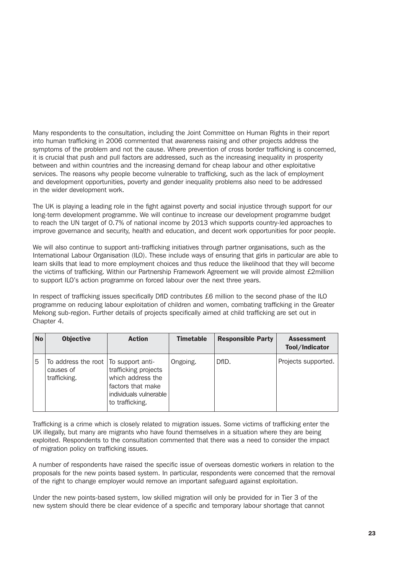Many respondents to the consultation, including the Joint Committee on Human Rights in their report into human trafficking in 2006 commented that awareness raising and other projects address the symptoms of the problem and not the cause. Where prevention of cross border trafficking is concerned, it is crucial that push and pull factors are addressed, such as the increasing inequality in prosperity between and within countries and the increasing demand for cheap labour and other exploitative services. The reasons why people become vulnerable to trafficking, such as the lack of employment and development opportunities, poverty and gender inequality problems also need to be addressed in the wider development work.

The UK is playing a leading role in the fight against poverty and social injustice through support for our long-term development programme. We will continue to increase our development programme budget to reach the UN target of 0.7% of national income by 2013 which supports country-led approaches to improve governance and security, health and education, and decent work opportunities for poor people.

We will also continue to support anti-trafficking initiatives through partner organisations, such as the International Labour Organisation (ILO). These include ways of ensuring that girls in particular are able to learn skills that lead to more employment choices and thus reduce the likelihood that they will become the victims of trafficking. Within our Partnership Framework Agreement we will provide almost £2million to support ILO's action programme on forced labour over the next three years.

In respect of trafficking issues specifically DfID contributes £6 million to the second phase of the ILO programme on reducing labour exploitation of children and women, combating trafficking in the Greater Mekong sub-region. Further details of projects specifically aimed at child trafficking are set out in Chapter 4.

| <b>No</b> | <b>Objective</b>                                                    | <b>Action</b>                                                                                               | <b>Timetable</b> | <b>Responsible Party</b> | <b>Assessment</b><br>Tool/Indicator |
|-----------|---------------------------------------------------------------------|-------------------------------------------------------------------------------------------------------------|------------------|--------------------------|-------------------------------------|
| 5         | To address the root   To support anti-<br>causes of<br>trafficking. | trafficking projects<br>which address the<br>factors that make<br>individuals vulnerable<br>to trafficking. | Ongoing.         | DfID.                    | Projects supported.                 |

Trafficking is a crime which is closely related to migration issues. Some victims of trafficking enter the UK illegally, but many are migrants who have found themselves in a situation where they are being exploited. Respondents to the consultation commented that there was a need to consider the impact of migration policy on trafficking issues.

A number of respondents have raised the specific issue of overseas domestic workers in relation to the proposals for the new points based system. In particular, respondents were concerned that the removal of the right to change employer would remove an important safeguard against exploitation.

Under the new points-based system, low skilled migration will only be provided for in Tier 3 of the new system should there be clear evidence of a specific and temporary labour shortage that cannot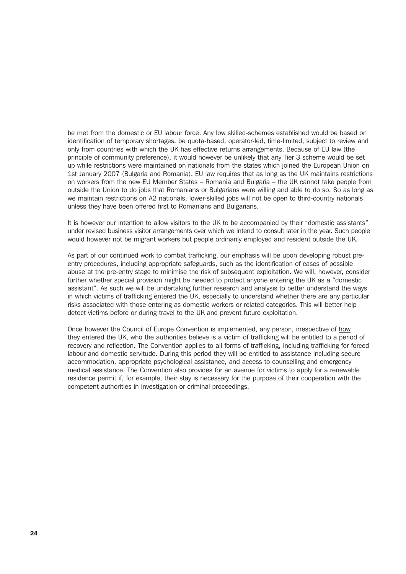be met from the domestic or EU labour force. Any low skilled-schemes established would be based on identification of temporary shortages, be quota-based, operator-led, time-limited, subject to review and only from countries with which the UK has effective returns arrangements. Because of EU law (the principle of community preference), it would however be unlikely that any Tier 3 scheme would be set up while restrictions were maintained on nationals from the states which joined the European Union on 1st January 2007 (Bulgaria and Romania). EU law requires that as long as the UK maintains restrictions on workers from the new EU Member States – Romania and Bulgaria – the UK cannot take people from outside the Union to do jobs that Romanians or Bulgarians were willing and able to do so. So as long as we maintain restrictions on A2 nationals, lower-skilled jobs will not be open to third-country nationals unless they have been offered first to Romanians and Bulgarians.

It is however our intention to allow visitors to the UK to be accompanied by their "domestic assistants" under revised business visitor arrangements over which we intend to consult later in the year. Such people would however not be migrant workers but people ordinarily employed and resident outside the UK.

As part of our continued work to combat trafficking, our emphasis will be upon developing robust preentry procedures, including appropriate safeguards, such as the identification of cases of possible abuse at the pre-entry stage to minimise the risk of subsequent exploitation. We will, however, consider further whether special provision might be needed to protect anyone entering the UK as a "domestic assistant". As such we will be undertaking further research and analysis to better understand the ways in which victims of trafficking entered the UK, especially to understand whether there are any particular risks associated with those entering as domestic workers or related categories. This will better help detect victims before or during travel to the UK and prevent future exploitation.

Once however the Council of Europe Convention is implemented, any person, irrespective of how they entered the UK, who the authorities believe is a victim of trafficking will be entitled to a period of recovery and reflection. The Convention applies to all forms of trafficking, including trafficking for forced labour and domestic servitude. During this period they will be entitled to assistance including secure accommodation, appropriate psychological assistance, and access to counselling and emergency medical assistance. The Convention also provides for an avenue for victims to apply for a renewable residence permit if, for example, their stay is necessary for the purpose of their cooperation with the competent authorities in investigation or criminal proceedings.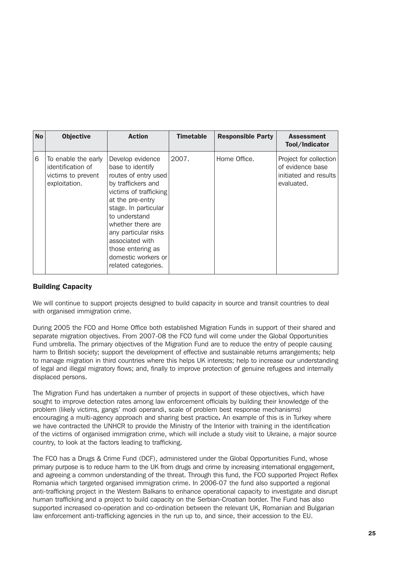| <b>No</b> | <b>Objective</b>                                                                | <b>Action</b>                                                                                                                                                                                                                                                                                                | <b>Timetable</b> | <b>Responsible Party</b> | <b>Assessment</b><br>Tool/Indicator                                               |
|-----------|---------------------------------------------------------------------------------|--------------------------------------------------------------------------------------------------------------------------------------------------------------------------------------------------------------------------------------------------------------------------------------------------------------|------------------|--------------------------|-----------------------------------------------------------------------------------|
| 6         | To enable the early<br>identification of<br>victims to prevent<br>exploitation. | Develop evidence<br>base to identify<br>routes of entry used<br>by traffickers and<br>victims of trafficking<br>at the pre-entry<br>stage. In particular<br>to understand<br>whether there are<br>any particular risks<br>associated with<br>those entering as<br>domestic workers or<br>related categories. | 2007.            | Home Office.             | Project for collection<br>of evidence base<br>initiated and results<br>evaluated. |

#### Building Capacity

We will continue to support projects designed to build capacity in source and transit countries to deal with organised immigration crime.

During 2005 the FCO and Home Office both established Migration Funds in support of their shared and separate migration objectives. From 2007-08 the FCO fund will come under the Global Opportunities Fund umbrella. The primary objectives of the Migration Fund are to reduce the entry of people causing harm to British society; support the development of effective and sustainable returns arrangements; help to manage migration in third countries where this helps UK interests; help to increase our understanding of legal and illegal migratory flows; and, finally to improve protection of genuine refugees and internally displaced persons.

The Migration Fund has undertaken a number of projects in support of these objectives, which have sought to improve detection rates among law enforcement officials by building their knowledge of the problem (likely victims, gangs' modi operandi, scale of problem best response mechanisms) encouraging a multi-agency approach and sharing best practice. An example of this is in Turkey where we have contracted the UNHCR to provide the Ministry of the Interior with training in the identification of the victims of organised immigration crime, which will include a study visit to Ukraine, a major source country, to look at the factors leading to trafficking.

The FCO has a Drugs & Crime Fund (DCF), administered under the Global Opportunities Fund, whose primary purpose is to reduce harm to the UK from drugs and crime by increasing international engagement, and agreeing a common understanding of the threat. Through this fund, the FCO supported Project Reflex Romania which targeted organised immigration crime. In 2006-07 the fund also supported a regional anti-trafficking project in the Western Balkans to enhance operational capacity to investigate and disrupt human trafficking and a project to build capacity on the Serbian-Croatian border. The Fund has also supported increased co-operation and co-ordination between the relevant UK, Romanian and Bulgarian law enforcement anti-trafficking agencies in the run up to, and since, their accession to the EU.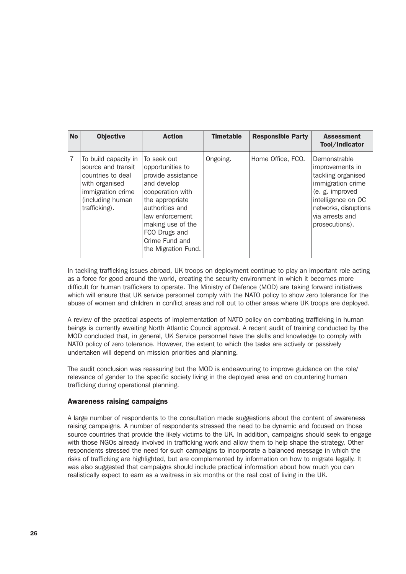| <b>No</b> | <b>Objective</b>                                                                                                                            | <b>Action</b>                                                                                                                                                                                                                    | <b>Timetable</b> | <b>Responsible Party</b> | <b>Assessment</b><br>Tool/Indicator                                                                                                                                               |
|-----------|---------------------------------------------------------------------------------------------------------------------------------------------|----------------------------------------------------------------------------------------------------------------------------------------------------------------------------------------------------------------------------------|------------------|--------------------------|-----------------------------------------------------------------------------------------------------------------------------------------------------------------------------------|
| 7         | To build capacity in<br>source and transit<br>countries to deal<br>with organised<br>immigration crime<br>(including human<br>trafficking). | To seek out<br>opportunities to<br>provide assistance<br>and develop<br>cooperation with<br>the appropriate<br>authorities and<br>law enforcement<br>making use of the<br>FCO Drugs and<br>Crime Fund and<br>the Migration Fund. | Ongoing.         | Home Office, FCO.        | Demonstrable<br>improvements in<br>tackling organised<br>immigration crime<br>(e. g. improved<br>intelligence on OC<br>networks, disruptions<br>via arrests and<br>prosecutions). |

In tackling trafficking issues abroad, UK troops on deployment continue to play an important role acting as a force for good around the world, creating the security environment in which it becomes more difficult for human traffickers to operate. The Ministry of Defence (MOD) are taking forward initiatives which will ensure that UK service personnel comply with the NATO policy to show zero tolerance for the abuse of women and children in conflict areas and roll out to other areas where UK troops are deployed.

A review of the practical aspects of implementation of NATO policy on combating trafficking in human beings is currently awaiting North Atlantic Council approval. A recent audit of training conducted by the MOD concluded that, in general, UK Service personnel have the skills and knowledge to comply with NATO policy of zero tolerance. However, the extent to which the tasks are actively or passively undertaken will depend on mission priorities and planning.

The audit conclusion was reassuring but the MOD is endeavouring to improve guidance on the role/ relevance of gender to the specific society living in the deployed area and on countering human trafficking during operational planning.

#### Awareness raising campaigns

A large number of respondents to the consultation made suggestions about the content of awareness raising campaigns. A number of respondents stressed the need to be dynamic and focused on those source countries that provide the likely victims to the UK. In addition, campaigns should seek to engage with those NGOs already involved in trafficking work and allow them to help shape the strategy. Other respondents stressed the need for such campaigns to incorporate a balanced message in which the risks of trafficking are highlighted, but are complemented by information on how to migrate legally. It was also suggested that campaigns should include practical information about how much you can realistically expect to earn as a waitress in six months or the real cost of living in the UK.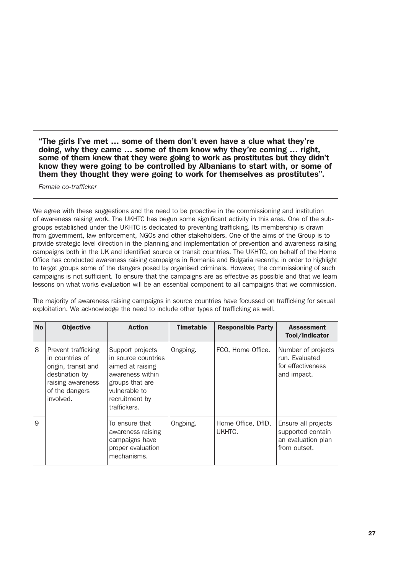"The girls I've met … some of them don't even have a clue what they're doing, why they came … some of them know why they're coming … right, some of them knew that they were going to work as prostitutes but they didn't know they were going to be controlled by Albanians to start with, or some of them they thought they were going to work for themselves as prostitutes".

*Female co-trafficker*

We agree with these suggestions and the need to be proactive in the commissioning and institution of awareness raising work. The UKHTC has begun some significant activity in this area. One of the subgroups established under the UKHTC is dedicated to preventing trafficking. Its membership is drawn from government, law enforcement, NGOs and other stakeholders. One of the aims of the Group is to provide strategic level direction in the planning and implementation of prevention and awareness raising campaigns both in the UK and identified source or transit countries. The UKHTC, on behalf of the Home Office has conducted awareness raising campaigns in Romania and Bulgaria recently, in order to highlight to target groups some of the dangers posed by organised criminals. However, the commissioning of such campaigns is not sufficient. To ensure that the campaigns are as effective as possible and that we learn lessons on what works evaluation will be an essential component to all campaigns that we commission.

The majority of awareness raising campaigns in source countries have focussed on trafficking for sexual exploitation. We acknowledge the need to include other types of trafficking as well.

| <b>No</b> | <b>Objective</b>                                                                                                                    | <b>Action</b>                                                                                                                                         | <b>Timetable</b> | <b>Responsible Party</b>     | <b>Assessment</b><br>Tool/Indicator                                            |
|-----------|-------------------------------------------------------------------------------------------------------------------------------------|-------------------------------------------------------------------------------------------------------------------------------------------------------|------------------|------------------------------|--------------------------------------------------------------------------------|
| 8         | Prevent trafficking<br>in countries of<br>origin, transit and<br>destination by<br>raising awareness<br>of the dangers<br>involved. | Support projects<br>in source countries<br>aimed at raising<br>awareness within<br>groups that are<br>vulnerable to<br>recruitment by<br>traffickers. | Ongoing.         | FCO, Home Office.            | Number of projects<br>run. Evaluated<br>for effectiveness<br>and impact.       |
| 9         |                                                                                                                                     | To ensure that<br>awareness raising<br>campaigns have<br>proper evaluation<br>mechanisms.                                                             | Ongoing.         | Home Office, DfID,<br>UKHTC. | Ensure all projects<br>supported contain<br>an evaluation plan<br>from outset. |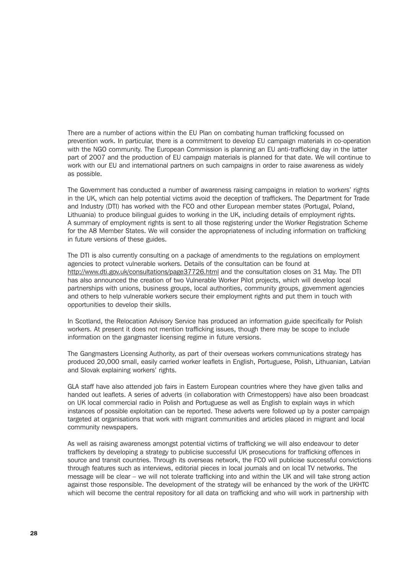There are a number of actions within the EU Plan on combating human trafficking focussed on prevention work. In particular, there is a commitment to develop EU campaign materials in co-operation with the NGO community. The European Commission is planning an EU anti-trafficking day in the latter part of 2007 and the production of EU campaign materials is planned for that date. We will continue to work with our EU and international partners on such campaigns in order to raise awareness as widely as possible.

The Government has conducted a number of awareness raising campaigns in relation to workers' rights in the UK, which can help potential victims avoid the deception of traffickers. The Department for Trade and Industry (DTI) has worked with the FCO and other European member states (Portugal, Poland, Lithuania) to produce bilingual guides to working in the UK, including details of employment rights. A summary of employment rights is sent to all those registering under the Worker Registration Scheme for the A8 Member States. We will consider the appropriateness of including information on trafficking in future versions of these guides.

The DTI is also currently consulting on a package of amendments to the regulations on employment agencies to protect vulnerable workers. Details of the consultation can be found at http://www.dti.gov.uk/consultations/page37726.html and the consultation closes on 31 May. The DTI has also announced the creation of two Vulnerable Worker Pilot projects, which will develop local partnerships with unions, business groups, local authorities, community groups, government agencies and others to help vulnerable workers secure their employment rights and put them in touch with opportunities to develop their skills.

In Scotland, the Relocation Advisory Service has produced an information guide specifically for Polish workers. At present it does not mention trafficking issues, though there may be scope to include information on the gangmaster licensing regime in future versions.

The Gangmasters Licensing Authority, as part of their overseas workers communications strategy has produced 20,000 small, easily carried worker leaflets in English, Portuguese, Polish, Lithuanian, Latvian and Slovak explaining workers' rights.

GLA staff have also attended job fairs in Eastern European countries where they have given talks and handed out leaflets. A series of adverts (in collaboration with Crimestoppers) have also been broadcast on UK local commercial radio in Polish and Portuguese as well as English to explain ways in which instances of possible exploitation can be reported. These adverts were followed up by a poster campaign targeted at organisations that work with migrant communities and articles placed in migrant and local community newspapers.

As well as raising awareness amongst potential victims of trafficking we will also endeavour to deter traffickers by developing a strategy to publicise successful UK prosecutions for trafficking offences in source and transit countries. Through its overseas network, the FCO will publicise successful convictions through features such as interviews, editorial pieces in local journals and on local TV networks. The message will be clear – we will not tolerate trafficking into and within the UK and will take strong action against those responsible. The development of the strategy will be enhanced by the work of the UKHTC which will become the central repository for all data on trafficking and who will work in partnership with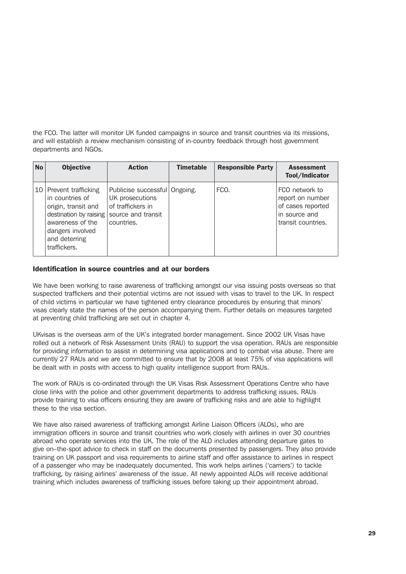the FCO. The latter will monitor UK funded campaigns in source and transit countries via its missions, and will establish a review mechanism consisting of in-country feedback through host government departments and NGOs.

| No | <b>Objective</b>                                                                                                                                                    | <b>Action</b>                                                                                             | <b>Timetable</b> | <b>Responsible Party</b> | <b>Assessment</b><br>Tool/Indicator                                                            |
|----|---------------------------------------------------------------------------------------------------------------------------------------------------------------------|-----------------------------------------------------------------------------------------------------------|------------------|--------------------------|------------------------------------------------------------------------------------------------|
|    | 10 Prevent trafficking<br>in countries of<br>origin, transit and<br>destination by raising<br>awareness of the<br>dangers involved<br>and deterring<br>traffickers. | Publicise successful Ongoing.<br>UK prosecutions<br>of traffickers in<br>source and transit<br>countries. |                  | FCO.                     | FCO network to<br>report on number<br>of cases reported<br>in source and<br>transit countries. |

#### Identification in source countries and at our borders

We have been working to raise awareness of trafficking amongst our visa issuing posts overseas so that suspected traffickers and their potential victims are not issued with visas to travel to the UK. In respect of child victims in particular we have tightened entry clearance procedures by ensuring that minors' visas clearly state the names of the person accompanying them. Further details on measures targeted at preventing child trafficking are set out in chapter 4.

UKvisas is the overseas arm of the UK's integrated border management. Since 2002 UK Visas have rolled out a network of Risk Assessment Units (RAU) to support the visa operation. RAUs are responsible for providing information to assist in determining visa applications and to combat visa abuse. There are currently 27 RAUs and we are committed to ensure that by 2008 at least 75% of visa applications will be dealt with in posts with access to high quality intelligence support from RAUs.

The work of RAUs is co-ordinated through the UK Visas Risk Assessment Operations Centre who have close links with the police and other government departments to address trafficking issues. RAUs provide training to visa officers ensuring they are aware of trafficking risks and are able to highlight these to the visa section.

We have also raised awareness of trafficking amongst Airline Liaison Officers (ALOs), who are immigration officers in source and transit countries who work closely with airlines in over 30 countries abroad who operate services into the UK. The role of the ALO includes attending departure gates to give on–the-spot advice to check in staff on the documents presented by passengers. They also provide training on UK passport and visa requirements to airline staff and offer assistance to airlines in respect of a passenger who may be inadequately documented. This work helps airlines ('carriers') to tackle trafficking, by raising airlines' awareness of the issue. All newly appointed ALOs will receive additional training which includes awareness of trafficking issues before taking up their appointment abroad.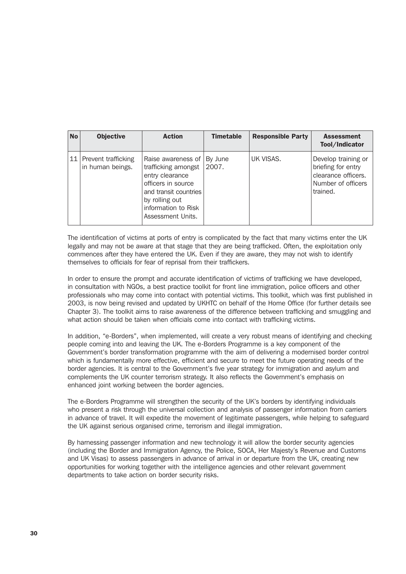| <b>No</b> | <b>Objective</b>                             | <b>Action</b>                                                                                                                                                             | <b>Timetable</b> | <b>Responsible Party</b> | <b>Assessment</b><br>Tool/Indicator                                                                |
|-----------|----------------------------------------------|---------------------------------------------------------------------------------------------------------------------------------------------------------------------------|------------------|--------------------------|----------------------------------------------------------------------------------------------------|
|           | 11   Prevent trafficking<br>in human beings. | Raise awareness of<br>trafficking amongst<br>entry clearance<br>officers in source<br>and transit countries<br>by rolling out<br>information to Risk<br>Assessment Units. | By June<br>2007. | UK VISAS.                | Develop training or<br>briefing for entry<br>clearance officers.<br>Number of officers<br>trained. |

The identification of victims at ports of entry is complicated by the fact that many victims enter the UK legally and may not be aware at that stage that they are being trafficked. Often, the exploitation only commences after they have entered the UK. Even if they are aware, they may not wish to identify themselves to officials for fear of reprisal from their traffickers.

In order to ensure the prompt and accurate identification of victims of trafficking we have developed, in consultation with NGOs, a best practice toolkit for front line immigration, police officers and other professionals who may come into contact with potential victims. This toolkit, which was first published in 2003, is now being revised and updated by UKHTC on behalf of the Home Office (for further details see Chapter 3). The toolkit aims to raise awareness of the difference between trafficking and smuggling and what action should be taken when officials come into contact with trafficking victims.

In addition, "e-Borders", when implemented, will create a very robust means of identifying and checking people coming into and leaving the UK. The e-Borders Programme is a key component of the Government's border transformation programme with the aim of delivering a modernised border control which is fundamentally more effective, efficient and secure to meet the future operating needs of the border agencies. It is central to the Government's five year strategy for immigration and asylum and complements the UK counter terrorism strategy. It also reflects the Government's emphasis on enhanced joint working between the border agencies.

The e-Borders Programme will strengthen the security of the UK's borders by identifying individuals who present a risk through the universal collection and analysis of passenger information from carriers in advance of travel. It will expedite the movement of legitimate passengers, while helping to safeguard the UK against serious organised crime, terrorism and illegal immigration.

By harnessing passenger information and new technology it will allow the border security agencies (including the Border and Immigration Agency, the Police, SOCA, Her Majesty's Revenue and Customs and UK Visas) to assess passengers in advance of arrival in or departure from the UK, creating new opportunities for working together with the intelligence agencies and other relevant government departments to take action on border security risks.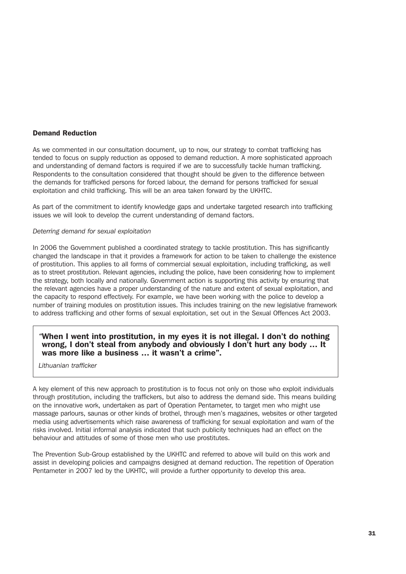#### Demand Reduction

As we commented in our consultation document, up to now, our strategy to combat trafficking has tended to focus on supply reduction as opposed to demand reduction. A more sophisticated approach and understanding of demand factors is required if we are to successfully tackle human trafficking. Respondents to the consultation considered that thought should be given to the difference between the demands for trafficked persons for forced labour, the demand for persons trafficked for sexual exploitation and child trafficking. This will be an area taken forward by the UKHTC.

As part of the commitment to identify knowledge gaps and undertake targeted research into trafficking issues we will look to develop the current understanding of demand factors.

#### *Deterring demand for sexual exploitation*

In 2006 the Government published a coordinated strategy to tackle prostitution. This has significantly changed the landscape in that it provides a framework for action to be taken to challenge the existence of prostitution. This applies to all forms of commercial sexual exploitation, including trafficking, as well as to street prostitution. Relevant agencies, including the police, have been considering how to implement the strategy, both locally and nationally. Government action is supporting this activity by ensuring that the relevant agencies have a proper understanding of the nature and extent of sexual exploitation, and the capacity to respond effectively. For example, we have been working with the police to develop a number of training modules on prostitution issues. This includes training on the new legislative framework to address trafficking and other forms of sexual exploitation, set out in the Sexual Offences Act 2003.

#### *"*When I went into prostitution, in my eyes it is not illegal. I don't do nothing wrong, I don't steal from anybody and obviously I don't hurt any body … It was more like a business … it wasn't a crime".

*Lithuanian trafficker*

A key element of this new approach to prostitution is to focus not only on those who exploit individuals through prostitution, including the traffickers, but also to address the demand side. This means building on the innovative work, undertaken as part of Operation Pentameter, to target men who might use massage parlours, saunas or other kinds of brothel, through men's magazines, websites or other targeted media using advertisements which raise awareness of trafficking for sexual exploitation and warn of the risks involved. Initial informal analysis indicated that such publicity techniques had an effect on the behaviour and attitudes of some of those men who use prostitutes.

The Prevention Sub-Group established by the UKHTC and referred to above will build on this work and assist in developing policies and campaigns designed at demand reduction. The repetition of Operation Pentameter in 2007 led by the UKHTC, will provide a further opportunity to develop this area.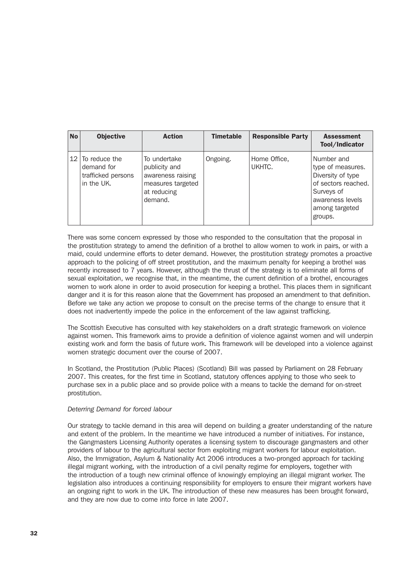| <b>No</b> | <b>Objective</b>                                                                | <b>Action</b>                                                                                     | <b>Timetable</b> | <b>Responsible Party</b> | <b>Assessment</b><br>Tool/Indicator                                                                                                        |
|-----------|---------------------------------------------------------------------------------|---------------------------------------------------------------------------------------------------|------------------|--------------------------|--------------------------------------------------------------------------------------------------------------------------------------------|
|           | 12 $\overline{10}$ reduce the<br>demand for<br>trafficked persons<br>in the UK. | To undertake<br>publicity and<br>awareness raising<br>measures targeted<br>at reducing<br>demand. | Ongoing.         | Home Office,<br>UKHTC.   | Number and<br>type of measures.<br>Diversity of type<br>of sectors reached.<br>Surveys of<br>awareness levels<br>among targeted<br>groups. |

There was some concern expressed by those who responded to the consultation that the proposal in the prostitution strategy to amend the definition of a brothel to allow women to work in pairs, or with a maid, could undermine efforts to deter demand. However, the prostitution strategy promotes a proactive approach to the policing of off street prostitution, and the maximum penalty for keeping a brothel was recently increased to 7 years. However, although the thrust of the strategy is to eliminate all forms of sexual exploitation, we recognise that, in the meantime, the current definition of a brothel, encourages women to work alone in order to avoid prosecution for keeping a brothel. This places them in significant danger and it is for this reason alone that the Government has proposed an amendment to that definition. Before we take any action we propose to consult on the precise terms of the change to ensure that it does not inadvertently impede the police in the enforcement of the law against trafficking.

The Scottish Executive has consulted with key stakeholders on a draft strategic framework on violence against women. This framework aims to provide a definition of violence against women and will underpin existing work and form the basis of future work. This framework will be developed into a violence against women strategic document over the course of 2007.

In Scotland, the Prostitution (Public Places) (Scotland) Bill was passed by Parliament on 28 February 2007. This creates, for the first time in Scotland, statutory offences applying to those who seek to purchase sex in a public place and so provide police with a means to tackle the demand for on-street prostitution.

#### *Deterring Demand for forced labour*

Our strategy to tackle demand in this area will depend on building a greater understanding of the nature and extent of the problem. In the meantime we have introduced a number of initiatives. For instance, the Gangmasters Licensing Authority operates a licensing system to discourage gangmasters and other providers of labour to the agricultural sector from exploiting migrant workers for labour exploitation. Also, the Immigration, Asylum & Nationality Act 2006 introduces a two-pronged approach for tackling illegal migrant working, with the introduction of a civil penalty regime for employers, together with the introduction of a tough new criminal offence of knowingly employing an illegal migrant worker. The legislation also introduces a continuing responsibility for employers to ensure their migrant workers have an ongoing right to work in the UK. The introduction of these new measures has been brought forward, and they are now due to come into force in late 2007.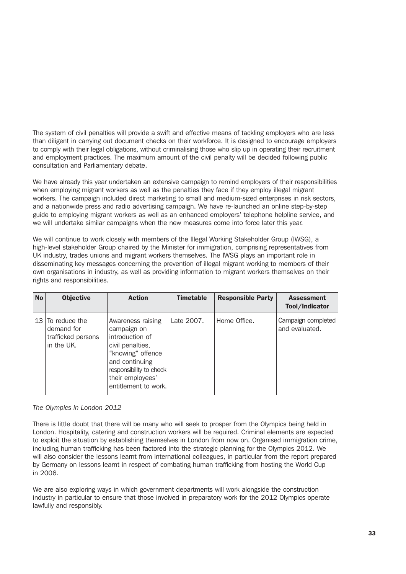The system of civil penalties will provide a swift and effective means of tackling employers who are less than diligent in carrying out document checks on their workforce. It is designed to encourage employers to comply with their legal obligations, without criminalising those who slip up in operating their recruitment and employment practices. The maximum amount of the civil penalty will be decided following public consultation and Parliamentary debate.

We have already this year undertaken an extensive campaign to remind employers of their responsibilities when employing migrant workers as well as the penalties they face if they employ illegal migrant workers. The campaign included direct marketing to small and medium-sized enterprises in risk sectors, and a nationwide press and radio advertising campaign. We have re-launched an online step-by-step guide to employing migrant workers as well as an enhanced employers' telephone helpline service, and we will undertake similar campaigns when the new measures come into force later this year.

We will continue to work closely with members of the Illegal Working Stakeholder Group (IWSG), a high-level stakeholder Group chaired by the Minister for immigration, comprising representatives from UK industry, trades unions and migrant workers themselves. The IWSG plays an important role in disseminating key messages concerning the prevention of illegal migrant working to members of their own organisations in industry, as well as providing information to migrant workers themselves on their rights and responsibilities.

| <b>No</b> | <b>Objective</b>                                                         | <b>Action</b>                                                                                                                                                                         | <b>Timetable</b> | <b>Responsible Party</b> | <b>Assessment</b><br>Tool/Indicator  |
|-----------|--------------------------------------------------------------------------|---------------------------------------------------------------------------------------------------------------------------------------------------------------------------------------|------------------|--------------------------|--------------------------------------|
|           | 13 $\sigma$ reduce the<br>demand for<br>trafficked persons<br>in the UK. | Awareness raising<br>campaign on<br>introduction of<br>civil penalties,<br>"knowing" offence<br>and continuing<br>responsibility to check<br>their employees'<br>entitlement to work. | Late 2007.       | Home Office.             | Campaign completed<br>and evaluated. |

#### *The Olympics in London 2012*

There is little doubt that there will be many who will seek to prosper from the Olympics being held in London. Hospitality, catering and construction workers will be required. Criminal elements are expected to exploit the situation by establishing themselves in London from now on. Organised immigration crime, including human trafficking has been factored into the strategic planning for the Olympics 2012. We will also consider the lessons learnt from international colleagues, in particular from the report prepared by Germany on lessons learnt in respect of combating human trafficking from hosting the World Cup in 2006.

We are also exploring ways in which government departments will work alongside the construction industry in particular to ensure that those involved in preparatory work for the 2012 Olympics operate lawfully and responsibly.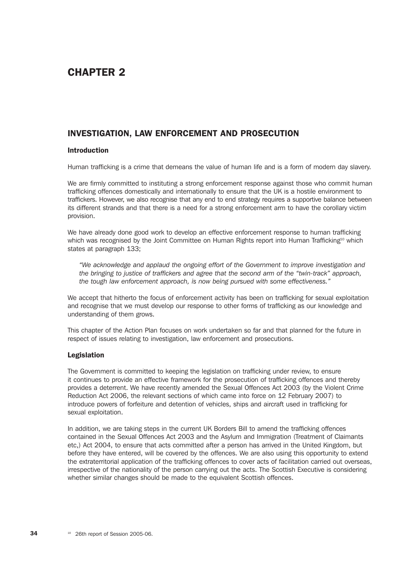# CHAPTER 2

## INVESTIGATION, LAW ENFORCEMENT AND PROSECUTION

#### Introduction

Human trafficking is a crime that demeans the value of human life and is a form of modern day slavery.

We are firmly committed to instituting a strong enforcement response against those who commit human trafficking offences domestically and internationally to ensure that the UK is a hostile environment to traffickers. However, we also recognise that any end to end strategy requires a supportive balance between its different strands and that there is a need for a strong enforcement arm to have the corollary victim provision.

We have already done good work to develop an effective enforcement response to human trafficking which was recognised by the Joint Committee on Human Rights report into Human Trafficking<sup>10</sup> which states at paragraph 133;

*"We acknowledge and applaud the ongoing effort of the Government to improve investigation and the bringing to justice of traffickers and agree that the second arm of the "twin-track" approach, the tough law enforcement approach, is now being pursued with some effectiveness."* 

We accept that hitherto the focus of enforcement activity has been on trafficking for sexual exploitation and recognise that we must develop our response to other forms of trafficking as our knowledge and understanding of them grows.

This chapter of the Action Plan focuses on work undertaken so far and that planned for the future in respect of issues relating to investigation, law enforcement and prosecutions.

#### Legislation

The Government is committed to keeping the legislation on trafficking under review, to ensure it continues to provide an effective framework for the prosecution of trafficking offences and thereby provides a deterrent. We have recently amended the Sexual Offences Act 2003 (by the Violent Crime Reduction Act 2006, the relevant sections of which came into force on 12 February 2007) to introduce powers of forfeiture and detention of vehicles, ships and aircraft used in trafficking for sexual exploitation.

In addition, we are taking steps in the current UK Borders Bill to amend the trafficking offences contained in the Sexual Offences Act 2003 and the Asylum and Immigration (Treatment of Claimants etc,) Act 2004, to ensure that acts committed after a person has arrived in the United Kingdom, but before they have entered, will be covered by the offences. We are also using this opportunity to extend the extraterritorial application of the trafficking offences to cover acts of facilitation carried out overseas, irrespective of the nationality of the person carrying out the acts. The Scottish Executive is considering whether similar changes should be made to the equivalent Scottish offences.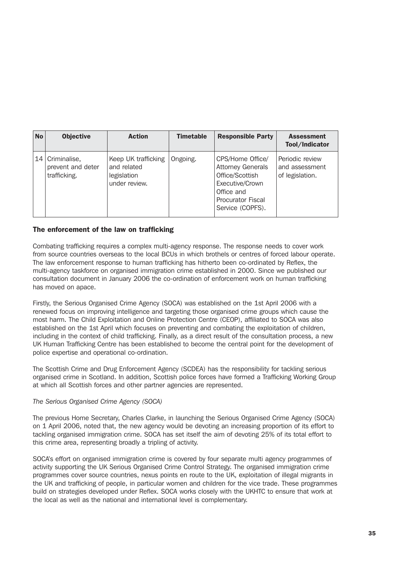| <b>No</b> | <b>Objective</b>                                  | <b>Action</b>                                                      | <b>Timetable</b> | <b>Responsible Party</b>                                                                                                                         | <b>Assessment</b><br>Tool/Indicator                  |
|-----------|---------------------------------------------------|--------------------------------------------------------------------|------------------|--------------------------------------------------------------------------------------------------------------------------------------------------|------------------------------------------------------|
| 14        | Criminalise,<br>prevent and deter<br>trafficking. | Keep UK trafficking<br>and related<br>legislation<br>under review. | Ongoing.         | CPS/Home Office/<br><b>Attorney Generals</b><br>Office/Scottish<br>Executive/Crown<br>Office and<br><b>Procurator Fiscal</b><br>Service (COPFS). | Periodic review<br>and assessment<br>of legislation. |

# The enforcement of the law on trafficking

Combating trafficking requires a complex multi-agency response. The response needs to cover work from source countries overseas to the local BCUs in which brothels or centres of forced labour operate. The law enforcement response to human trafficking has hitherto been co-ordinated by Reflex, the multi-agency taskforce on organised immigration crime established in 2000. Since we published our consultation document in January 2006 the co-ordination of enforcement work on human trafficking has moved on apace.

Firstly, the Serious Organised Crime Agency (SOCA) was established on the 1st April 2006 with a renewed focus on improving intelligence and targeting those organised crime groups which cause the most harm. The Child Exploitation and Online Protection Centre (CEOP), affiliated to SOCA was also established on the 1st April which focuses on preventing and combating the exploitation of children, including in the context of child trafficking. Finally, as a direct result of the consultation process, a new UK Human Trafficking Centre has been established to become the central point for the development of police expertise and operational co-ordination.

The Scottish Crime and Drug Enforcement Agency (SCDEA) has the responsibility for tackling serious organised crime in Scotland. In addition, Scottish police forces have formed a Trafficking Working Group at which all Scottish forces and other partner agencies are represented.

## *The Serious Organised Crime Agency (SOCA)*

The previous Home Secretary, Charles Clarke, in launching the Serious Organised Crime Agency (SOCA) on 1 April 2006, noted that, the new agency would be devoting an increasing proportion of its effort to tackling organised immigration crime. SOCA has set itself the aim of devoting 25% of its total effort to this crime area, representing broadly a tripling of activity.

SOCA's effort on organised immigration crime is covered by four separate multi agency programmes of activity supporting the UK Serious Organised Crime Control Strategy. The organised immigration crime programmes cover source countries, nexus points en route to the UK, exploitation of illegal migrants in the UK and trafficking of people, in particular women and children for the vice trade. These programmes build on strategies developed under Reflex. SOCA works closely with the UKHTC to ensure that work at the local as well as the national and international level is complementary.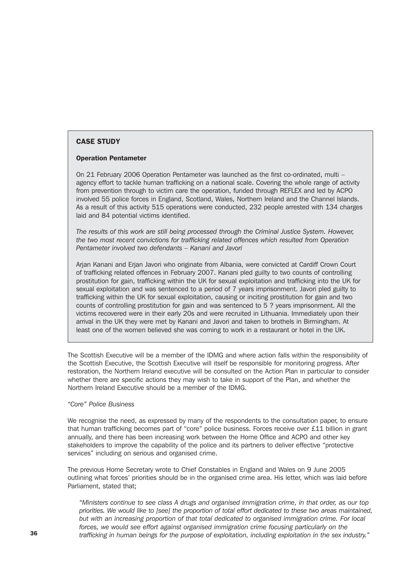# CASE STUDY

#### Operation Pentameter

On 21 February 2006 Operation Pentameter was launched as the first co-ordinated, multi – agency effort to tackle human trafficking on a national scale. Covering the whole range of activity from prevention through to victim care the operation, funded through REFLEX and led by ACPO involved 55 police forces in England, Scotland, Wales, Northern Ireland and the Channel Islands. As a result of this activity 515 operations were conducted, 232 people arrested with 134 charges laid and 84 potential victims identified.

*The results of this work are still being processed through the Criminal Justice System. However, the two most recent convictions for trafficking related offences which resulted from Operation Pentameter involved two defendants – Kanani and Javori* 

Arjan Kanani and Erjan Javori who originate from Albania, were convicted at Cardiff Crown Court of trafficking related offences in February 2007. Kanani pled guilty to two counts of controlling prostitution for gain, trafficking within the UK for sexual exploitation and trafficking into the UK for sexual exploitation and was sentenced to a period of 7 years imprisonment. Javori pled guilty to trafficking within the UK for sexual exploitation, causing or inciting prostitution for gain and two counts of controlling prostitution for gain and was sentenced to 5 ? years imprisonment. All the victims recovered were in their early 20s and were recruited in Lithuania. Immediately upon their arrival in the UK they were met by Kanani and Javori and taken to brothels in Birmingham. At least one of the women believed she was coming to work in a restaurant or hotel in the UK.

The Scottish Executive will be a member of the IDMG and where action falls within the responsibility of the Scottish Executive, the Scottish Executive will itself be responsible for monitoring progress. After restoration, the Northern Ireland executive will be consulted on the Action Plan in particular to consider whether there are specific actions they may wish to take in support of the Plan, and whether the Northern Ireland Executive should be a member of the IDMG.

#### *"Core" Police Business*

We recognise the need, as expressed by many of the respondents to the consultation paper, to ensure that human trafficking becomes part of "core" police business. Forces receive over £11 billion in grant annually, and there has been increasing work between the Home Office and ACPO and other key stakeholders to improve the capability of the police and its partners to deliver effective "protective services" including on serious and organised crime.

The previous Home Secretary wrote to Chief Constables in England and Wales on 9 June 2005 outlining what forces' priorities should be in the organised crime area. His letter, which was laid before Parliament, stated that;

*"Ministers continue to see class A drugs and organised immigration crime, in that order, as our top priorities. We would like to [see] the proportion of total effort dedicated to these two areas maintained, but with an increasing proportion of that total dedicated to organised immigration crime. For local forces, we would see effort against organised immigration crime focusing particularly on the* 36 *trafficking in human beings for the purpose of exploitation, including exploitation in the sex industry."*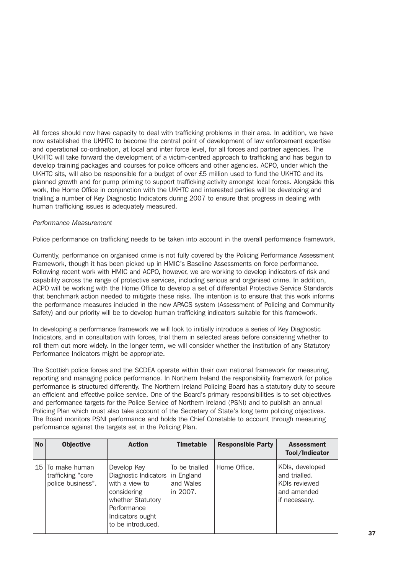All forces should now have capacity to deal with trafficking problems in their area. In addition, we have now established the UKHTC to become the central point of development of law enforcement expertise and operational co-ordination, at local and inter force level, for all forces and partner agencies. The UKHTC will take forward the development of a victim-centred approach to trafficking and has begun to develop training packages and courses for police officers and other agencies. ACPO, under which the UKHTC sits, will also be responsible for a budget of over £5 million used to fund the UKHTC and its planned growth and for pump priming to support trafficking activity amongst local forces. Alongside this work, the Home Office in conjunction with the UKHTC and interested parties will be developing and trialling a number of Key Diagnostic Indicators during 2007 to ensure that progress in dealing with human trafficking issues is adequately measured.

#### *Performance Measurement*

Police performance on trafficking needs to be taken into account in the overall performance framework.

Currently, performance on organised crime is not fully covered by the Policing Performance Assessment Framework, though it has been picked up in HMIC's Baseline Assessments on force performance. Following recent work with HMIC and ACPO, however, we are working to develop indicators of risk and capability across the range of protective services, including serious and organised crime. In addition, ACPO will be working with the Home Office to develop a set of differential Protective Service Standards that benchmark action needed to mitigate these risks. The intention is to ensure that this work informs the performance measures included in the new APACS system (Assessment of Policing and Community Safety) and our priority will be to develop human trafficking indicators suitable for this framework.

In developing a performance framework we will look to initially introduce a series of Key Diagnostic Indicators, and in consultation with forces, trial them in selected areas before considering whether to roll them out more widely. In the longer term, we will consider whether the institution of any Statutory Performance Indicators might be appropriate.

The Scottish police forces and the SCDEA operate within their own national framework for measuring, reporting and managing police performance. In Northern Ireland the responsibility framework for police performance is structured differently. The Northern Ireland Policing Board has a statutory duty to secure an efficient and effective police service. One of the Board's primary responsibilities is to set objectives and performance targets for the Police Service of Northern Ireland (PSNI) and to publish an annual Policing Plan which must also take account of the Secretary of State's long term policing objectives. The Board monitors PSNI performance and holds the Chief Constable to account through measuring performance against the targets set in the Policing Plan.

| <b>No</b> | <b>Objective</b>                                           | <b>Action</b>                                                                                                                                      | <b>Timetable</b>                                      | <b>Responsible Party</b> | <b>Assessment</b><br>Tool/Indicator                                               |
|-----------|------------------------------------------------------------|----------------------------------------------------------------------------------------------------------------------------------------------------|-------------------------------------------------------|--------------------------|-----------------------------------------------------------------------------------|
|           | 15 To make human<br>trafficking "core<br>police business". | Develop Key<br>Diagnostic Indicators<br>with a view to<br>considering<br>whether Statutory<br>Performance<br>Indicators ought<br>to be introduced. | To be trialled<br>in England<br>and Wales<br>in 2007. | Home Office.             | KDIs, developed<br>and trialled.<br>KDIs reviewed<br>and amended<br>if necessary. |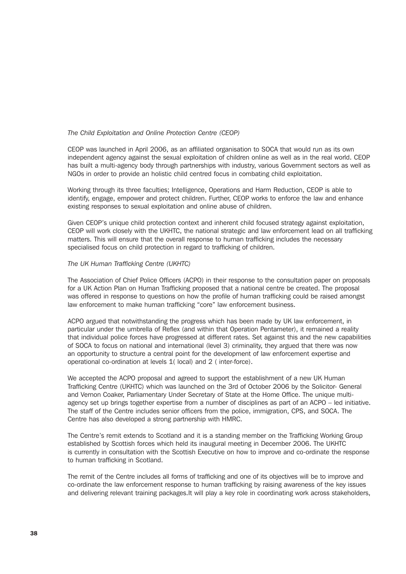#### *The Child Exploitation and Online Protection Centre (CEOP)*

CEOP was launched in April 2006, as an affiliated organisation to SOCA that would run as its own independent agency against the sexual exploitation of children online as well as in the real world. CEOP has built a multi-agency body through partnerships with industry, various Government sectors as well as NGOs in order to provide an holistic child centred focus in combating child exploitation.

Working through its three faculties; Intelligence, Operations and Harm Reduction, CEOP is able to identify, engage, empower and protect children. Further, CEOP works to enforce the law and enhance existing responses to sexual exploitation and online abuse of children.

Given CEOP's unique child protection context and inherent child focused strategy against exploitation, CEOP will work closely with the UKHTC, the national strategic and law enforcement lead on all trafficking matters. This will ensure that the overall response to human trafficking includes the necessary specialised focus on child protection in regard to trafficking of children.

#### *The UK Human Trafficking Centre (UKHTC)*

The Association of Chief Police Officers (ACPO) in their response to the consultation paper on proposals for a UK Action Plan on Human Trafficking proposed that a national centre be created. The proposal was offered in response to questions on how the profile of human trafficking could be raised amongst law enforcement to make human trafficking "core" law enforcement business.

ACPO argued that notwithstanding the progress which has been made by UK law enforcement, in particular under the umbrella of Reflex (and within that Operation Pentameter), it remained a reality that individual police forces have progressed at different rates. Set against this and the new capabilities of SOCA to focus on national and international (level 3) criminality, they argued that there was now an opportunity to structure a central point for the development of law enforcement expertise and operational co-ordination at levels 1( local) and 2 ( inter-force).

We accepted the ACPO proposal and agreed to support the establishment of a new UK Human Trafficking Centre (UKHTC) which was launched on the 3rd of October 2006 by the Solicitor- General and Vernon Coaker, Parliamentary Under Secretary of State at the Home Office. The unique multiagency set up brings together expertise from a number of disciplines as part of an ACPO – led initiative. The staff of the Centre includes senior officers from the police, immigration, CPS, and SOCA. The Centre has also developed a strong partnership with HMRC.

The Centre's remit extends to Scotland and it is a standing member on the Trafficking Working Group established by Scottish forces which held its inaugural meeting in December 2006. The UKHTC is currently in consultation with the Scottish Executive on how to improve and co-ordinate the response to human trafficking in Scotland.

The remit of the Centre includes all forms of trafficking and one of its objectives will be to improve and co-ordinate the law enforcement response to human trafficking by raising awareness of the key issues and delivering relevant training packages.It will play a key role in coordinating work across stakeholders,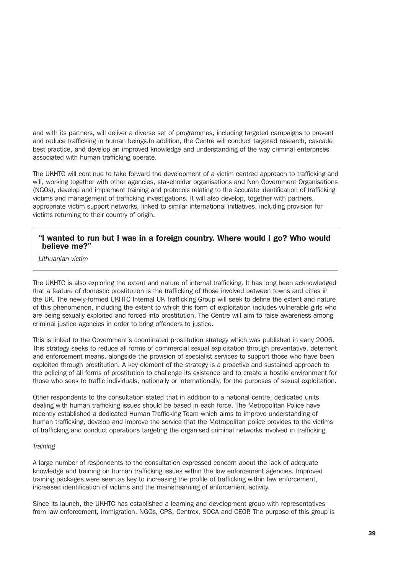and with its partners, will deliver a diverse set of programmes, including targeted campaigns to prevent and reduce trafficking in human beings.In addition, the Centre will conduct targeted research, cascade best practice, and develop an improved knowledge and understanding of the way criminal enterprises associated with human trafficking operate.

The UKHTC will continue to take forward the development of a victim centred approach to trafficking and will, working together with other agencies, stakeholder organisations and Non Government Organisations (NGOs), develop and implement training and protocols relating to the accurate identification of trafficking victims and management of trafficking investigations. It will also develop, together with partners, appropriate victim support networks, linked to similar international initiatives, including provision for victims returning to their country of origin.

# "I wanted to run but I was in a foreign country. Where would I go? Who would believe me?"

*Lithuanian victim*

The UKHTC is also exploring the extent and nature of internal trafficking. It has long been acknowledged that a feature of domestic prostitution is the trafficking of those involved between towns and cities in the UK. The newly-formed UKHTC Internal UK Trafficking Group will seek to define the extent and nature of this phenomenon, including the extent to which this form of exploitation includes vulnerable girls who are being sexually exploited and forced into prostitution. The Centre will aim to raise awareness among criminal justice agencies in order to bring offenders to justice.

This is linked to the Government's coordinated prostitution strategy which was published in early 2006. This strategy seeks to reduce all forms of commercial sexual exploitation through preventative, deterrent and enforcement means, alongside the provision of specialist services to support those who have been exploited through prostitution. A key element of the strategy is a proactive and sustained approach to the policing of all forms of prostitution to challenge its existence and to create a hostile environment for those who seek to traffic individuals, nationally or internationally, for the purposes of sexual exploitation.

Other respondents to the consultation stated that in addition to a national centre, dedicated units dealing with human trafficking issues should be based in each force. The Metropolitan Police have recently established a dedicated Human Trafficking Team which aims to improve understanding of human trafficking, develop and improve the service that the Metropolitan police provides to the victims of trafficking and conduct operations targeting the organised criminal networks involved in trafficking.

## *Training*

A large number of respondents to the consultation expressed concern about the lack of adequate knowledge and training on human trafficking issues within the law enforcement agencies. Improved training packages were seen as key to increasing the profile of trafficking within law enforcement, increased identification of victims and the mainstreaming of enforcement activity.

Since its launch, the UKHTC has established a learning and development group with representatives from law enforcement, immigration, NGOs, CPS, Centrex, SOCA and CEOP. The purpose of this group is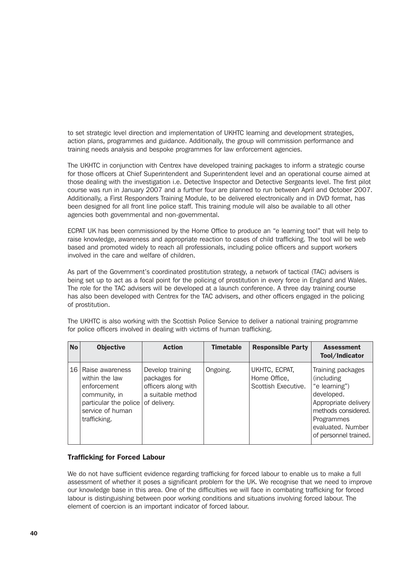to set strategic level direction and implementation of UKHTC learning and development strategies, action plans, programmes and guidance. Additionally, the group will commission performance and training needs analysis and bespoke programmes for law enforcement agencies.

The UKHTC in conjunction with Centrex have developed training packages to inform a strategic course for those officers at Chief Superintendent and Superintendent level and an operational course aimed at those dealing with the investigation i.e. Detective Inspector and Detective Sergeants level. The first pilot course was run in January 2007 and a further four are planned to run between April and October 2007. Additionally, a First Responders Training Module, to be delivered electronically and in DVD format, has been designed for all front line police staff. This training module will also be available to all other agencies both governmental and non-governmental.

ECPAT UK has been commissioned by the Home Office to produce an "e learning tool" that will help to raise knowledge, awareness and appropriate reaction to cases of child trafficking. The tool will be web based and promoted widely to reach all professionals, including police officers and support workers involved in the care and welfare of children.

As part of the Government's coordinated prostitution strategy, a network of tactical (TAC) advisers is being set up to act as a focal point for the policing of prostitution in every force in England and Wales. The role for the TAC advisers will be developed at a launch conference. A three day training course has also been developed with Centrex for the TAC advisers, and other officers engaged in the policing of prostitution.

| <b>No</b> | <b>Objective</b>                                                                                                               | <b>Action</b>                                                                                | <b>Timetable</b> | <b>Responsible Party</b>                             | <b>Assessment</b><br>Tool/Indicator                                                                                                                                       |
|-----------|--------------------------------------------------------------------------------------------------------------------------------|----------------------------------------------------------------------------------------------|------------------|------------------------------------------------------|---------------------------------------------------------------------------------------------------------------------------------------------------------------------------|
| 16        | Raise awareness<br>within the law<br>enforcement<br>community, in<br>particular the police<br>service of human<br>trafficking. | Develop training<br>packages for<br>officers along with<br>a suitable method<br>of delivery. | Ongoing.         | UKHTC, ECPAT,<br>Home Office,<br>Scottish Executive. | Training packages<br>(including<br>"e learning")<br>developed.<br>Appropriate delivery<br>methods considered.<br>Programmes<br>evaluated. Number<br>of personnel trained. |

The UKHTC is also working with the Scottish Police Service to deliver a national training programme for police officers involved in dealing with victims of human trafficking.

#### Trafficking for Forced Labour

We do not have sufficient evidence regarding trafficking for forced labour to enable us to make a full assessment of whether it poses a significant problem for the UK. We recognise that we need to improve our knowledge base in this area. One of the difficulties we will face in combating trafficking for forced labour is distinguishing between poor working conditions and situations involving forced labour. The element of coercion is an important indicator of forced labour.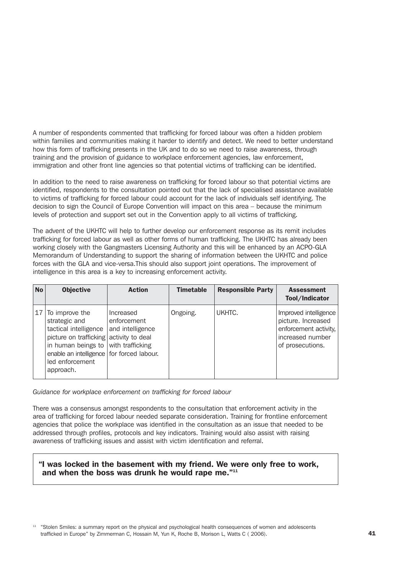A number of respondents commented that trafficking for forced labour was often a hidden problem within families and communities making it harder to identify and detect. We need to better understand how this form of trafficking presents in the UK and to do so we need to raise awareness, through training and the provision of guidance to workplace enforcement agencies, law enforcement, immigration and other front line agencies so that potential victims of trafficking can be identified.

In addition to the need to raise awareness on trafficking for forced labour so that potential victims are identified, respondents to the consultation pointed out that the lack of specialised assistance available to victims of trafficking for forced labour could account for the lack of individuals self identifying. The decision to sign the Council of Europe Convention will impact on this area – because the minimum levels of protection and support set out in the Convention apply to all victims of trafficking.

The advent of the UKHTC will help to further develop our enforcement response as its remit includes trafficking for forced labour as well as other forms of human trafficking. The UKHTC has already been working closely with the Gangmasters Licensing Authority and this will be enhanced by an ACPO-GLA Memorandum of Understanding to support the sharing of information between the UKHTC and police forces with the GLA and vice-versa.This should also support joint operations. The improvement of intelligence in this area is a key to increasing enforcement activity.

| <b>No</b> | <b>Objective</b>                                                                                                                                                                                                             | <b>Action</b>                                | <b>Timetable</b> | <b>Responsible Party</b> | <b>Assessment</b><br>Tool/Indicator                                                                          |
|-----------|------------------------------------------------------------------------------------------------------------------------------------------------------------------------------------------------------------------------------|----------------------------------------------|------------------|--------------------------|--------------------------------------------------------------------------------------------------------------|
|           | $17$ To improve the<br>strategic and<br>tactical intelligence<br>picture on trafficking activity to deal<br>in human beings to with trafficking<br>enable an intelligence for forced labour.<br>led enforcement<br>approach. | Increased<br>enforcement<br>and intelligence | Ongoing.         | UKHTC.                   | Improved intelligence<br>picture. Increased<br>enforcement activity,<br>increased number<br>of prosecutions. |

*Guidance for workplace enforcement on trafficking for forced labour*

There was a consensus amongst respondents to the consultation that enforcement activity in the area of trafficking for forced labour needed separate consideration. Training for frontline enforcement agencies that police the workplace was identified in the consultation as an issue that needed to be addressed through profiles, protocols and key indicators. Training would also assist with raising awareness of trafficking issues and assist with victim identification and referral.

# "I was locked in the basement with my friend. We were only free to work, and when the boss was drunk he would rape me."<sup>11</sup>

<sup>11</sup> "Stolen Smiles: a summary report on the physical and psychological health consequences of women and adolescents trafficked in Europe" by Zimmerman C, Hossain M, Yun K, Roche B, Morison L, Watts C ( 2006).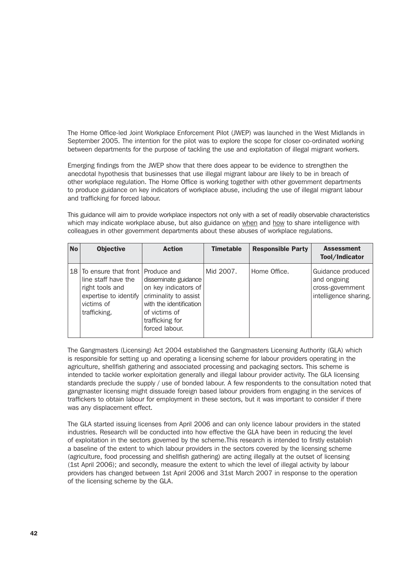The Home Office-led Joint Workplace Enforcement Pilot (JWEP) was launched in the West Midlands in September 2005. The intention for the pilot was to explore the scope for closer co-ordinated working between departments for the purpose of tackling the use and exploitation of illegal migrant workers.

Emerging findings from the JWEP show that there does appear to be evidence to strengthen the anecdotal hypothesis that businesses that use illegal migrant labour are likely to be in breach of other workplace regulation. The Home Office is working together with other government departments to produce guidance on key indicators of workplace abuse, including the use of illegal migrant labour and trafficking for forced labour.

This guidance will aim to provide workplace inspectors not only with a set of readily observable characteristics which may indicate workplace abuse, but also guidance on when and how to share intelligence with colleagues in other government departments about these abuses of workplace regulations.

| <b>No</b> | <b>Objective</b>                                                                                                                     | <b>Action</b>                                                                                                                                          | <b>Timetable</b> | <b>Responsible Party</b> | <b>Assessment</b><br>Tool/Indicator                                           |
|-----------|--------------------------------------------------------------------------------------------------------------------------------------|--------------------------------------------------------------------------------------------------------------------------------------------------------|------------------|--------------------------|-------------------------------------------------------------------------------|
|           | 18 To ensure that front Produce and<br>line staff have the<br>right tools and<br>expertise to identify<br>victims of<br>trafficking. | disseminate guidance<br>on key indicators of<br>criminality to assist<br>with the identification<br>of victims of<br>trafficking for<br>forced labour. | Mid 2007.        | Home Office.             | Guidance produced<br>and ongoing<br>cross-government<br>intelligence sharing. |

The Gangmasters (Licensing) Act 2004 established the Gangmasters Licensing Authority (GLA) which is responsible for setting up and operating a licensing scheme for labour providers operating in the agriculture, shellfish gathering and associated processing and packaging sectors. This scheme is intended to tackle worker exploitation generally and illegal labour provider activity. The GLA licensing standards preclude the supply / use of bonded labour. A few respondents to the consultation noted that gangmaster licensing might dissuade foreign based labour providers from engaging in the services of traffickers to obtain labour for employment in these sectors, but it was important to consider if there was any displacement effect.

The GLA started issuing licenses from April 2006 and can only licence labour providers in the stated industries. Research will be conducted into how effective the GLA have been in reducing the level of exploitation in the sectors governed by the scheme.This research is intended to firstly establish a baseline of the extent to which labour providers in the sectors covered by the licensing scheme (agriculture, food processing and shellfish gathering) are acting illegally at the outset of licensing (1st April 2006); and secondly, measure the extent to which the level of illegal activity by labour providers has changed between 1st April 2006 and 31st March 2007 in response to the operation of the licensing scheme by the GLA.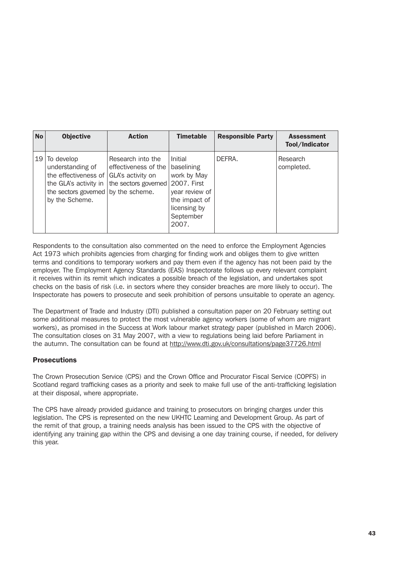| <b>No</b> | <b>Objective</b>                                                                                                                                           | <b>Action</b>                                                     | <b>Timetable</b>                                                                                                             | <b>Responsible Party</b> | <b>Assessment</b><br>Tool/Indicator |
|-----------|------------------------------------------------------------------------------------------------------------------------------------------------------------|-------------------------------------------------------------------|------------------------------------------------------------------------------------------------------------------------------|--------------------------|-------------------------------------|
| 19        | To develop<br>understanding of<br>the effectiveness of GLA's activity on<br>the GLA's activity in<br>the sectors governed by the scheme.<br>by the Scheme. | Research into the<br>effectiveness of the<br>the sectors governed | Initial<br>baselining<br>work by May<br>2007. First<br>year review of<br>the impact of<br>licensing by<br>September<br>2007. | DEFRA.                   | Research<br>completed.              |

Respondents to the consultation also commented on the need to enforce the Employment Agencies Act 1973 which prohibits agencies from charging for finding work and obliges them to give written terms and conditions to temporary workers and pay them even if the agency has not been paid by the employer. The Employment Agency Standards (EAS) Inspectorate follows up every relevant complaint it receives within its remit which indicates a possible breach of the legislation, and undertakes spot checks on the basis of risk (i.e. in sectors where they consider breaches are more likely to occur). The Inspectorate has powers to prosecute and seek prohibition of persons unsuitable to operate an agency.

The Department of Trade and Industry (DTI) published a consultation paper on 20 February setting out some additional measures to protect the most vulnerable agency workers (some of whom are migrant workers), as promised in the Success at Work labour market strategy paper (published in March 2006). The consultation closes on 31 May 2007, with a view to regulations being laid before Parliament in the autumn. The consultation can be found at http://www.dti.gov.uk/consultations/page37726.html

# **Prosecutions**

The Crown Prosecution Service (CPS) and the Crown Office and Procurator Fiscal Service (COPFS) in Scotland regard trafficking cases as a priority and seek to make full use of the anti-trafficking legislation at their disposal, where appropriate.

The CPS have already provided guidance and training to prosecutors on bringing charges under this legislation. The CPS is represented on the new UKHTC Learning and Development Group. As part of the remit of that group, a training needs analysis has been issued to the CPS with the objective of identifying any training gap within the CPS and devising a one day training course, if needed, for delivery this year.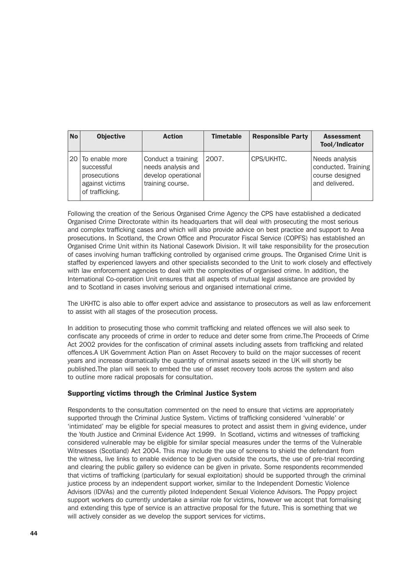| <b>No</b> | <b>Objective</b>                                                                      | <b>Action</b>                                                                       | <b>Timetable</b> | <b>Responsible Party</b> | <b>Assessment</b><br>Tool/Indicator                                        |
|-----------|---------------------------------------------------------------------------------------|-------------------------------------------------------------------------------------|------------------|--------------------------|----------------------------------------------------------------------------|
|           | 20 To enable more<br>successful<br>prosecutions<br>against victims<br>of trafficking. | Conduct a training<br>needs analysis and<br>develop operational<br>training course. | 2007.            | CPS/UKHTC.               | Needs analysis<br>conducted. Training<br>course designed<br>and delivered. |

Following the creation of the Serious Organised Crime Agency the CPS have established a dedicated Organised Crime Directorate within its headquarters that will deal with prosecuting the most serious and complex trafficking cases and which will also provide advice on best practice and support to Area prosecutions. In Scotland, the Crown Office and Procurator Fiscal Service (COPFS) has established an Organised Crime Unit within its National Casework Division. It will take responsibility for the prosecution of cases involving human trafficking controlled by organised crime groups. The Organised Crime Unit is staffed by experienced lawyers and other specialists seconded to the Unit to work closely and effectively with law enforcement agencies to deal with the complexities of organised crime. In addition, the International Co-operation Unit ensures that all aspects of mutual legal assistance are provided by and to Scotland in cases involving serious and organised international crime.

The UKHTC is also able to offer expert advice and assistance to prosecutors as well as law enforcement to assist with all stages of the prosecution process.

In addition to prosecuting those who commit trafficking and related offences we will also seek to confiscate any proceeds of crime in order to reduce and deter some from crime.The Proceeds of Crime Act 2002 provides for the confiscation of criminal assets including assets from trafficking and related offences.A UK Government Action Plan on Asset Recovery to build on the major successes of recent years and increase dramatically the quantity of criminal assets seized in the UK will shortly be published.The plan will seek to embed the use of asset recovery tools across the system and also to outline more radical proposals for consultation.

## Supporting victims through the Criminal Justice System

Respondents to the consultation commented on the need to ensure that victims are appropriately supported through the Criminal Justice System. Victims of trafficking considered 'vulnerable' or 'intimidated' may be eligible for special measures to protect and assist them in giving evidence, under the Youth Justice and Criminal Evidence Act 1999. In Scotland, victims and witnesses of trafficking considered vulnerable may be eligible for similar special measures under the terms of the Vulnerable Witnesses (Scotland) Act 2004. This may include the use of screens to shield the defendant from the witness, live links to enable evidence to be given outside the courts, the use of pre-trial recording and clearing the public gallery so evidence can be given in private. Some respondents recommended that victims of trafficking (particularly for sexual exploitation) should be supported through the criminal justice process by an independent support worker, similar to the Independent Domestic Violence Advisors (IDVAs) and the currently piloted Independent Sexual Violence Advisors. The Poppy project support workers do currently undertake a similar role for victims, however we accept that formalising and extending this type of service is an attractive proposal for the future. This is something that we will actively consider as we develop the support services for victims.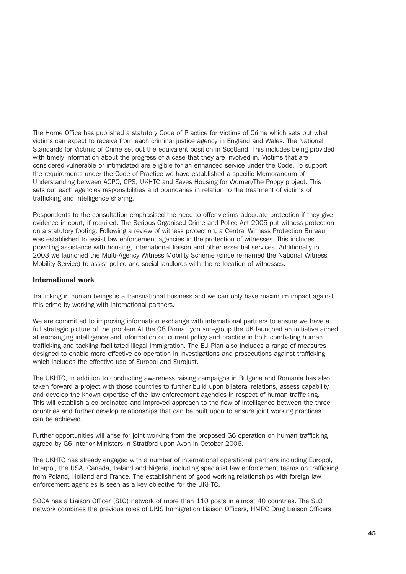The Home Office has published a statutory Code of Practice for Victims of Crime which sets out what victims can expect to receive from each criminal justice agency in England and Wales. The National Standards for Victims of Crime set out the equivalent position in Scotland. This includes being provided with timely information about the progress of a case that they are involved in. Victims that are considered vulnerable or intimidated are eligible for an enhanced service under the Code. To support the requirements under the Code of Practice we have established a specific Memorandum of Understanding between ACPO, CPS, UKHTC and Eaves Housing for Women/The Poppy project. This sets out each agencies responsibilities and boundaries in relation to the treatment of victims of trafficking and intelligence sharing.

Respondents to the consultation emphasised the need to offer victims adequate protection if they give evidence in court, if required. The Serious Organised Crime and Police Act 2005 put witness protection on a statutory footing. Following a review of witness protection, a Central Witness Protection Bureau was established to assist law enforcement agencies in the protection of witnesses. This includes providing assistance with housing, international liaison and other essential services. Additionally in 2003 we launched the Multi-Agency Witness Mobility Scheme (since re-named the National Witness Mobility Service) to assist police and social landlords with the re-location of witnesses.

#### International work

Trafficking in human beings is a transnational business and we can only have maximum impact against this crime by working with international partners.

We are committed to improving information exchange with international partners to ensure we have a full strategic picture of the problem.At the G8 Roma Lyon sub-group the UK launched an initiative aimed at exchanging intelligence and information on current policy and practice in both combating human trafficking and tackling facilitated illegal immigration. The EU Plan also includes a range of measures designed to enable more effective co-operation in investigations and prosecutions against trafficking which includes the effective use of Europol and Eurojust.

The UKHTC, in addition to conducting awareness raising campaigns in Bulgaria and Romania has also taken forward a project with those countries to further build upon bilateral relations, assess capability and develop the known expertise of the law enforcement agencies in respect of human trafficking. This will establish a co-ordinated and improved approach to the flow of intelligence between the three countries and further develop relationships that can be built upon to ensure joint working practices can be achieved.

Further opportunities will arise for joint working from the proposed G6 operation on human trafficking agreed by G6 Interior Ministers in Stratford upon Avon in October 2006.

The UKHTC has already engaged with a number of international operational partners including Europol, Interpol, the USA, Canada, Ireland and Nigeria, including specialist law enforcement teams on trafficking from Poland, Holland and France. The establishment of good working relationships with foreign law enforcement agencies is seen as a key objective for the UKHTC.

SOCA has a Liaison Officer (SLO) network of more than 110 posts in almost 40 countries. The SLO network combines the previous roles of UKIS Immigration Liaison Officers, HMRC Drug Liaison Officers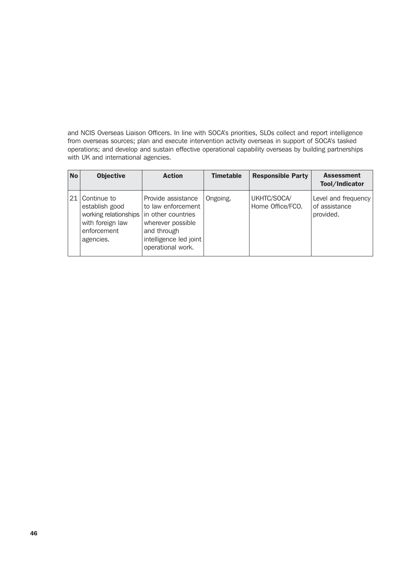and NCIS Overseas Liaison Officers. In line with SOCA's priorities, SLOs collect and report intelligence from overseas sources; plan and execute intervention activity overseas in support of SOCA's tasked operations; and develop and sustain effective operational capability overseas by building partnerships with UK and international agencies.

| <b>No</b> | <b>Objective</b>                                                                                       | <b>Action</b>                                                                                                                                     | <b>Timetable</b> | <b>Responsible Party</b>        | <b>Assessment</b><br>Tool/Indicator               |
|-----------|--------------------------------------------------------------------------------------------------------|---------------------------------------------------------------------------------------------------------------------------------------------------|------------------|---------------------------------|---------------------------------------------------|
| 21        | Continue to<br>establish good<br>working relationships<br>with foreign law<br>enforcement<br>agencies. | Provide assistance<br>to law enforcement<br>in other countries<br>wherever possible<br>and through<br>intelligence led joint<br>operational work. | Ongoing.         | UKHTC/SOCA/<br>Home Office/FCO. | Level and frequency<br>of assistance<br>provided. |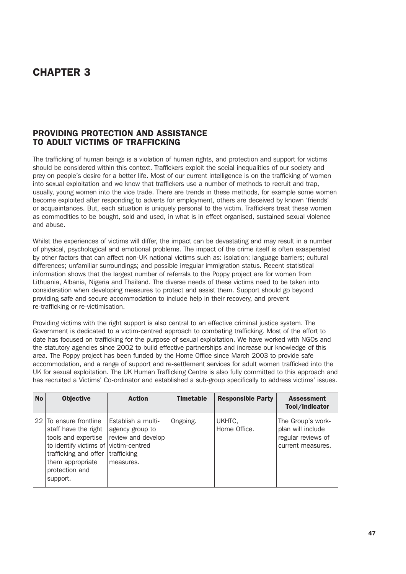# CHAPTER 3

# PROVIDING PROTECTION AND ASSISTANCE TO ADULT VICTIMS OF TRAFFICKING

The trafficking of human beings is a violation of human rights, and protection and support for victims should be considered within this context. Traffickers exploit the social inequalities of our society and prey on people's desire for a better life. Most of our current intelligence is on the trafficking of women into sexual exploitation and we know that traffickers use a number of methods to recruit and trap, usually, young women into the vice trade. There are trends in these methods, for example some women become exploited after responding to adverts for employment, others are deceived by known 'friends' or acquaintances. But, each situation is uniquely personal to the victim. Traffickers treat these women as commodities to be bought, sold and used, in what is in effect organised, sustained sexual violence and abuse.

Whilst the experiences of victims will differ, the impact can be devastating and may result in a number of physical, psychological and emotional problems. The impact of the crime itself is often exasperated by other factors that can affect non-UK national victims such as: isolation; language barriers; cultural differences; unfamiliar surroundings; and possible irregular immigration status. Recent statistical information shows that the largest number of referrals to the Poppy project are for women from Lithuania, Albania, Nigeria and Thailand. The diverse needs of these victims need to be taken into consideration when developing measures to protect and assist them. Support should go beyond providing safe and secure accommodation to include help in their recovery, and prevent re-trafficking or re-victimisation.

Providing victims with the right support is also central to an effective criminal justice system. The Government is dedicated to a victim-centred approach to combating trafficking. Most of the effort to date has focused on trafficking for the purpose of sexual exploitation. We have worked with NGOs and the statutory agencies since 2002 to build effective partnerships and increase our knowledge of this area. The Poppy project has been funded by the Home Office since March 2003 to provide safe accommodation, and a range of support and re-settlement services for adult women trafficked into the UK for sexual exploitation. The UK Human Trafficking Centre is also fully committed to this approach and has recruited a Victims' Co-ordinator and established a sub-group specifically to address victims' issues.

| <b>No</b> | <b>Objective</b>                                                                                                                                                                          | <b>Action</b>                                                                           | <b>Timetable</b> | <b>Responsible Party</b> | <b>Assessment</b><br>Tool/Indicator                                               |
|-----------|-------------------------------------------------------------------------------------------------------------------------------------------------------------------------------------------|-----------------------------------------------------------------------------------------|------------------|--------------------------|-----------------------------------------------------------------------------------|
|           | 22 To ensure frontline<br>staff have the right<br>tools and expertise<br>to identify victims of victim-centred<br>trafficking and offer<br>them appropriate<br>protection and<br>support. | Establish a multi-<br>agency group to<br>review and develop<br>trafficking<br>measures. | Ongoing.         | UKHTC,<br>Home Office.   | The Group's work-<br>plan will include<br>regular reviews of<br>current measures. |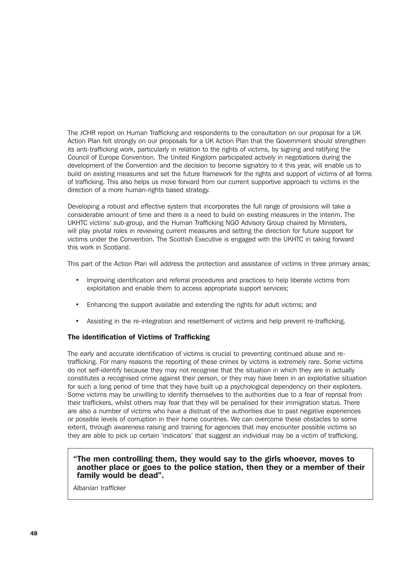The JCHR report on Human Trafficking and respondents to the consultation on our proposal for a UK Action Plan felt strongly on our proposals for a UK Action Plan that the Government should strengthen its anti-trafficking work, particularly in relation to the rights of victims, by signing and ratifying the Council of Europe Convention. The United Kingdom participated actively in negotiations during the development of the Convention and the decision to become signatory to it this year, will enable us to build on existing measures and set the future framework for the rights and support of victims of all forms of trafficking. This also helps us move forward from our current supportive approach to victims in the direction of a more human-rights based strategy.

Developing a robust and effective system that incorporates the full range of provisions will take a considerable amount of time and there is a need to build on existing measures in the interim. The UKHTC victims' sub-group, and the Human Trafficking NGO Advisory Group chaired by Ministers, will play pivotal roles in reviewing current measures and setting the direction for future support for victims under the Convention. The Scottish Executive is engaged with the UKHTC in taking forward this work in Scotland.

This part of the Action Plan will address the protection and assistance of victims in three primary areas;

- Improving identification and referral procedures and practices to help liberate victims from exploitation and enable them to access appropriate support services;
- Enhancing the support available and extending the rights for adult victims; and
- Assisting in the re-integration and resettlement of victims and help prevent re-trafficking.

## The identification of Victims of Trafficking

The early and accurate identification of victims is crucial to preventing continued abuse and retrafficking. For many reasons the reporting of these crimes by victims is extremely rare. Some victims do not self-identify because they may not recognise that the situation in which they are in actually constitutes a recognised crime against their person, or they may have been in an exploitative situation for such a long period of time that they have built up a psychological dependency on their exploiters. Some victims may be unwilling to identify themselves to the authorities due to a fear of reprisal from their traffickers, whilst others may fear that they will be penalised for their immigration status. There are also a number of victims who have a distrust of the authorities due to past negative experiences or possible levels of corruption in their home countries. We can overcome these obstacles to some extent, through awareness raising and training for agencies that may encounter possible victims so they are able to pick up certain 'indicators' that suggest an individual may be a victim of trafficking.

## "The men controlling them, they would say to the girls whoever, moves to another place or goes to the police station, then they or a member of their family would be dead".

*Albanian trafficker*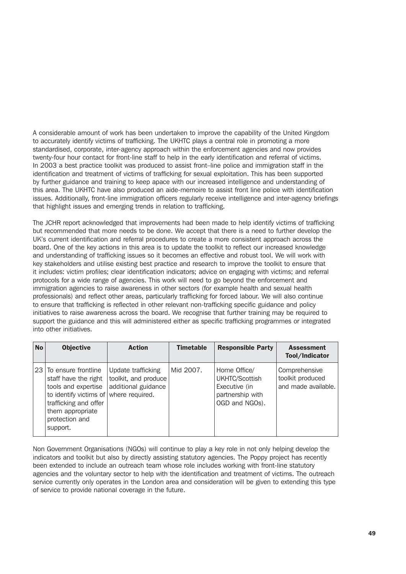A considerable amount of work has been undertaken to improve the capability of the United Kingdom to accurately identify victims of trafficking. The UKHTC plays a central role in promoting a more standardised, corporate, inter-agency approach within the enforcement agencies and now provides twenty-four hour contact for front-line staff to help in the early identification and referral of victims. In 2003 a best practice toolkit was produced to assist front–line police and immigration staff in the identification and treatment of victims of trafficking for sexual exploitation. This has been supported by further guidance and training to keep apace with our increased intelligence and understanding of this area. The UKHTC have also produced an aide-memoire to assist front line police with identification issues. Additionally, front-line immigration officers regularly receive intelligence and inter-agency briefings that highlight issues and emerging trends in relation to trafficking.

The JCHR report acknowledged that improvements had been made to help identify victims of trafficking but recommended that more needs to be done. We accept that there is a need to further develop the UK's current identification and referral procedures to create a more consistent approach across the board. One of the key actions in this area is to update the toolkit to reflect our increased knowledge and understanding of trafficking issues so it becomes an effective and robust tool. We will work with key stakeholders and utilise existing best practice and research to improve the toolkit to ensure that it includes: victim profiles; clear identification indicators; advice on engaging with victims; and referral protocols for a wide range of agencies. This work will need to go beyond the enforcement and immigration agencies to raise awareness in other sectors (for example health and sexual health professionals) and reflect other areas, particularly trafficking for forced labour. We will also continue to ensure that trafficking is reflected in other relevant non-trafficking specific guidance and policy initiatives to raise awareness across the board. We recognise that further training may be required to support the guidance and this will administered either as specific trafficking programmes or integrated into other initiatives.

| <b>No</b> | <b>Objective</b>                                                                                                                                                                           | <b>Action</b>                                                     | <b>Timetable</b> | <b>Responsible Party</b>                                                              | <b>Assessment</b><br>Tool/Indicator                      |
|-----------|--------------------------------------------------------------------------------------------------------------------------------------------------------------------------------------------|-------------------------------------------------------------------|------------------|---------------------------------------------------------------------------------------|----------------------------------------------------------|
|           | 23 To ensure frontline<br>staff have the right<br>tools and expertise<br>to identify victims of where required.<br>trafficking and offer<br>them appropriate<br>protection and<br>support. | Update trafficking<br>toolkit, and produce<br>additional guidance | Mid 2007.        | Home Office/<br>UKHTC/Scottish<br>Executive (in<br>partnership with<br>OGD and NGOs). | Comprehensive<br>toolkit produced<br>and made available. |

Non Government Organisations (NGOs) will continue to play a key role in not only helping develop the indicators and toolkit but also by directly assisting statutory agencies. The Poppy project has recently been extended to include an outreach team whose role includes working with front-line statutory agencies and the voluntary sector to help with the identification and treatment of victims. The outreach service currently only operates in the London area and consideration will be given to extending this type of service to provide national coverage in the future.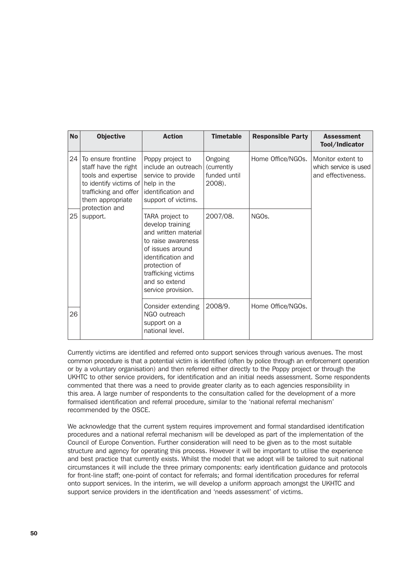| <b>No</b> | <b>Objective</b>                                                                                                                                          | <b>Action</b>                                                                                                                                                                                              | <b>Timetable</b>                                | <b>Responsible Party</b> | <b>Assessment</b><br>Tool/Indicator                              |
|-----------|-----------------------------------------------------------------------------------------------------------------------------------------------------------|------------------------------------------------------------------------------------------------------------------------------------------------------------------------------------------------------------|-------------------------------------------------|--------------------------|------------------------------------------------------------------|
| 24        | To ensure frontline<br>staff have the right<br>tools and expertise<br>to identify victims of $ $ help in the<br>trafficking and offer<br>them appropriate | Poppy project to<br>include an outreach<br>service to provide<br>identification and<br>support of victims.                                                                                                 | Ongoing<br>(currently<br>funded until<br>2008). | Home Office/NGOs.        | Monitor extent to<br>which service is used<br>and effectiveness. |
| 25        | protection and<br>support.                                                                                                                                | TARA project to<br>develop training<br>and written material<br>to raise awareness<br>of issues around<br>identification and<br>protection of<br>trafficking victims<br>and so extend<br>service provision. | 2007/08.                                        | NGO <sub>s</sub> .       |                                                                  |
| 26        |                                                                                                                                                           | Consider extending<br>NGO outreach<br>support on a<br>national level.                                                                                                                                      | 2008/9.                                         | Home Office/NGOs.        |                                                                  |

Currently victims are identified and referred onto support services through various avenues. The most common procedure is that a potential victim is identified (often by police through an enforcement operation or by a voluntary organisation) and then referred either directly to the Poppy project or through the UKHTC to other service providers, for identification and an initial needs assessment. Some respondents commented that there was a need to provide greater clarity as to each agencies responsibility in this area. A large number of respondents to the consultation called for the development of a more formalised identification and referral procedure, similar to the 'national referral mechanism' recommended by the OSCE.

We acknowledge that the current system requires improvement and formal standardised identification procedures and a national referral mechanism will be developed as part of the implementation of the Council of Europe Convention. Further consideration will need to be given as to the most suitable structure and agency for operating this process. However it will be important to utilise the experience and best practice that currently exists. Whilst the model that we adopt will be tailored to suit national circumstances it will include the three primary components: early identification guidance and protocols for front-line staff; one-point of contact for referrals; and formal identification procedures for referral onto support services. In the interim, we will develop a uniform approach amongst the UKHTC and support service providers in the identification and 'needs assessment' of victims.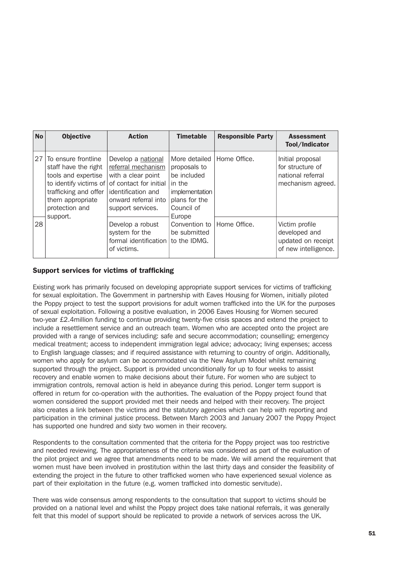| <b>No</b> | <b>Objective</b>                                                                                                                                                        | <b>Action</b>                                                                                                                                               | <b>Timetable</b>                                                                                        | <b>Responsible Party</b> | <b>Assessment</b><br>Tool/Indicator                                            |
|-----------|-------------------------------------------------------------------------------------------------------------------------------------------------------------------------|-------------------------------------------------------------------------------------------------------------------------------------------------------------|---------------------------------------------------------------------------------------------------------|--------------------------|--------------------------------------------------------------------------------|
| 27        | To ensure frontline<br>staff have the right<br>tools and expertise<br>to identify victims of<br>trafficking and offer<br>them appropriate<br>protection and<br>support. | Develop a national<br>referral mechanism<br>with a clear point<br>of contact for initial<br>identification and<br>onward referral into<br>support services. | More detailed<br>proposals to<br>be included<br>in the<br>implementation<br>plans for the<br>Council of | Home Office.             | Initial proposal<br>for structure of<br>national referral<br>mechanism agreed. |
| 28        |                                                                                                                                                                         | Develop a robust<br>system for the<br>formal identification<br>of victims.                                                                                  | Europe<br>Convention to<br>be submitted<br>to the IDMG.                                                 | Home Office.             | Victim profile<br>developed and<br>updated on receipt<br>of new intelligence.  |

# Support services for victims of trafficking

Existing work has primarily focused on developing appropriate support services for victims of trafficking for sexual exploitation. The Government in partnership with Eaves Housing for Women, initially piloted the Poppy project to test the support provisions for adult women trafficked into the UK for the purposes of sexual exploitation. Following a positive evaluation, in 2006 Eaves Housing for Women secured two-year £2.4million funding to continue providing twenty-five crisis spaces and extend the project to include a resettlement service and an outreach team. Women who are accepted onto the project are provided with a range of services including: safe and secure accommodation; counselling; emergency medical treatment; access to independent immigration legal advice; advocacy; living expenses; access to English language classes; and if required assistance with returning to country of origin. Additionally, women who apply for asylum can be accommodated via the New Asylum Model whilst remaining supported through the project. Support is provided unconditionally for up to four weeks to assist recovery and enable women to make decisions about their future. For women who are subject to immigration controls, removal action is held in abeyance during this period. Longer term support is offered in return for co-operation with the authorities. The evaluation of the Poppy project found that women considered the support provided met their needs and helped with their recovery. The project also creates a link between the victims and the statutory agencies which can help with reporting and participation in the criminal justice process. Between March 2003 and January 2007 the Poppy Project has supported one hundred and sixty two women in their recovery.

Respondents to the consultation commented that the criteria for the Poppy project was too restrictive and needed reviewing. The appropriateness of the criteria was considered as part of the evaluation of the pilot project and we agree that amendments need to be made. We will amend the requirement that women must have been involved in prostitution within the last thirty days and consider the feasibility of extending the project in the future to other trafficked women who have experienced sexual violence as part of their exploitation in the future (e.g. women trafficked into domestic servitude).

There was wide consensus among respondents to the consultation that support to victims should be provided on a national level and whilst the Poppy project does take national referrals, it was generally felt that this model of support should be replicated to provide a network of services across the UK.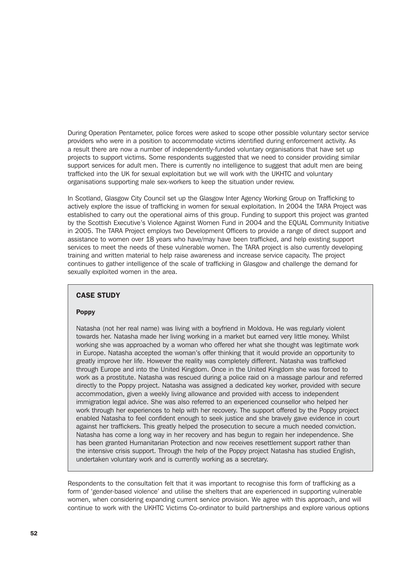During Operation Pentameter, police forces were asked to scope other possible voluntary sector service providers who were in a position to accommodate victims identified during enforcement activity. As a result there are now a number of independently-funded voluntary organisations that have set up projects to support victims. Some respondents suggested that we need to consider providing similar support services for adult men. There is currently no intelligence to suggest that adult men are being trafficked into the UK for sexual exploitation but we will work with the UKHTC and voluntary organisations supporting male sex-workers to keep the situation under review.

In Scotland, Glasgow City Council set up the Glasgow Inter Agency Working Group on Trafficking to actively explore the issue of trafficking in women for sexual exploitation. In 2004 the TARA Project was established to carry out the operational aims of this group. Funding to support this project was granted by the Scottish Executive's Violence Against Women Fund in 2004 and the EQUAL Community Initiative in 2005. The TARA Project employs two Development Officers to provide a range of direct support and assistance to women over 18 years who have/may have been trafficked, and help existing support services to meet the needs of these vulnerable women. The TARA project is also currently developing training and written material to help raise awareness and increase service capacity. The project continues to gather intelligence of the scale of trafficking in Glasgow and challenge the demand for sexually exploited women in the area.

# CASE STUDY

#### Poppy

Natasha (not her real name) was living with a boyfriend in Moldova. He was regularly violent towards her. Natasha made her living working in a market but earned very little money. Whilst working she was approached by a woman who offered her what she thought was legitimate work in Europe. Natasha accepted the woman's offer thinking that it would provide an opportunity to greatly improve her life. However the reality was completely different. Natasha was trafficked through Europe and into the United Kingdom. Once in the United Kingdom she was forced to work as a prostitute. Natasha was rescued during a police raid on a massage parlour and referred directly to the Poppy project. Natasha was assigned a dedicated key worker, provided with secure accommodation, given a weekly living allowance and provided with access to independent immigration legal advice. She was also referred to an experienced counsellor who helped her work through her experiences to help with her recovery. The support offered by the Poppy project enabled Natasha to feel confident enough to seek justice and she bravely gave evidence in court against her traffickers. This greatly helped the prosecution to secure a much needed conviction. Natasha has come a long way in her recovery and has begun to regain her independence. She has been granted Humanitarian Protection and now receives resettlement support rather than the intensive crisis support. Through the help of the Poppy project Natasha has studied English, undertaken voluntary work and is currently working as a secretary.

Respondents to the consultation felt that it was important to recognise this form of trafficking as a form of 'gender-based violence' and utilise the shelters that are experienced in supporting vulnerable women, when considering expanding current service provision. We agree with this approach, and will continue to work with the UKHTC Victims Co-ordinator to build partnerships and explore various options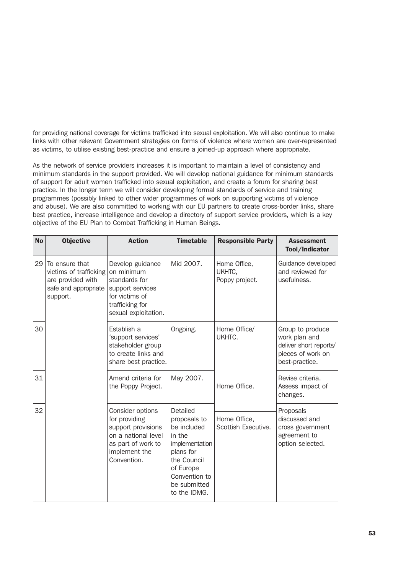for providing national coverage for victims trafficked into sexual exploitation. We will also continue to make links with other relevant Government strategies on forms of violence where women are over-represented as victims, to utilise existing best-practice and ensure a joined-up approach where appropriate.

As the network of service providers increases it is important to maintain a level of consistency and minimum standards in the support provided. We will develop national guidance for minimum standards of support for adult women trafficked into sexual exploitation, and create a forum for sharing best practice. In the longer term we will consider developing formal standards of service and training programmes (possibly linked to other wider programmes of work on supporting victims of violence and abuse). We are also committed to working with our EU partners to create cross-border links, share best practice, increase intelligence and develop a directory of support service providers, which is a key objective of the EU Plan to Combat Trafficking in Human Beings.

| <b>No</b> | <b>Objective</b>                                                                                  | <b>Action</b>                                                                                                                        | <b>Timetable</b>                                                                                                                                              | <b>Responsible Party</b>                 | <b>Assessment</b><br>Tool/Indicator                                                                |
|-----------|---------------------------------------------------------------------------------------------------|--------------------------------------------------------------------------------------------------------------------------------------|---------------------------------------------------------------------------------------------------------------------------------------------------------------|------------------------------------------|----------------------------------------------------------------------------------------------------|
| 29        | To ensure that<br>victims of trafficking<br>are provided with<br>safe and appropriate<br>support. | Develop guidance<br>on minimum<br>standards for<br>support services<br>for victims of<br>trafficking for<br>sexual exploitation.     | Mid 2007.                                                                                                                                                     | Home Office,<br>UKHTC,<br>Poppy project. | Guidance developed<br>and reviewed for<br>usefulness.                                              |
| 30        |                                                                                                   | Establish a<br>'support services'<br>stakeholder group<br>to create links and<br>share best practice.                                | Ongoing.                                                                                                                                                      | Home Office/<br>UKHTC.                   | Group to produce<br>work plan and<br>deliver short reports/<br>pieces of work on<br>best-practice. |
| 31        |                                                                                                   | Amend criteria for<br>the Poppy Project.                                                                                             | May 2007.                                                                                                                                                     | Home Office.                             | Revise criteria.<br>Assess impact of<br>changes.                                                   |
| 32        |                                                                                                   | Consider options<br>for providing<br>support provisions<br>on a national level<br>as part of work to<br>implement the<br>Convention. | Detailed<br>proposals to<br>be included<br>in the<br>implementation<br>plans for<br>the Council<br>of Europe<br>Convention to<br>be submitted<br>to the IDMG. | Home Office,<br>Scottish Executive.      | Proposals<br>discussed and<br>cross government<br>agreement to<br>option selected.                 |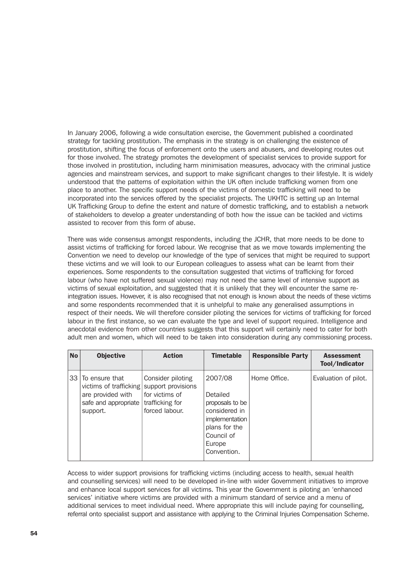In January 2006, following a wide consultation exercise, the Government published a coordinated strategy for tackling prostitution. The emphasis in the strategy is on challenging the existence of prostitution, shifting the focus of enforcement onto the users and abusers, and developing routes out for those involved. The strategy promotes the development of specialist services to provide support for those involved in prostitution, including harm minimisation measures, advocacy with the criminal justice agencies and mainstream services, and support to make significant changes to their lifestyle. It is widely understood that the patterns of exploitation within the UK often include trafficking women from one place to another. The specific support needs of the victims of domestic trafficking will need to be incorporated into the services offered by the specialist projects. The UKHTC is setting up an Internal UK Trafficking Group to define the extent and nature of domestic trafficking, and to establish a network of stakeholders to develop a greater understanding of both how the issue can be tackled and victims assisted to recover from this form of abuse.

There was wide consensus amongst respondents, including the JCHR, that more needs to be done to assist victims of trafficking for forced labour. We recognise that as we move towards implementing the Convention we need to develop our knowledge of the type of services that might be required to support these victims and we will look to our European colleagues to assess what can be learnt from their experiences. Some respondents to the consultation suggested that victims of trafficking for forced labour (who have not suffered sexual violence) may not need the same level of intensive support as victims of sexual exploitation, and suggested that it is unlikely that they will encounter the same reintegration issues. However, it is also recognised that not enough is known about the needs of these victims and some respondents recommended that it is unhelpful to make any generalised assumptions in respect of their needs. We will therefore consider piloting the services for victims of trafficking for forced labour in the first instance, so we can evaluate the type and level of support required. Intelligence and anecdotal evidence from other countries suggests that this support will certainly need to cater for both adult men and women, which will need to be taken into consideration during any commissioning process.

| <b>No</b> | <b>Objective</b>                                                                                     | <b>Action</b>                                                                                  | <b>Timetable</b>                                                                                                                  | <b>Responsible Party</b> | <b>Assessment</b><br>Tool/Indicator |
|-----------|------------------------------------------------------------------------------------------------------|------------------------------------------------------------------------------------------------|-----------------------------------------------------------------------------------------------------------------------------------|--------------------------|-------------------------------------|
|           | 33 To ensure that<br>victims of trafficking<br>are provided with<br>safe and appropriate<br>support. | Consider piloting<br>support provisions<br>for victims of<br>trafficking for<br>forced labour. | 2007/08<br>Detailed<br>proposals to be<br>considered in<br>implementation<br>plans for the<br>Council of<br>Europe<br>Convention. | Home Office.             | Evaluation of pilot.                |

Access to wider support provisions for trafficking victims (including access to health, sexual health and counselling services) will need to be developed in-line with wider Government initiatives to improve and enhance local support services for all victims. This year the Government is piloting an 'enhanced services' initiative where victims are provided with a minimum standard of service and a menu of additional services to meet individual need. Where appropriate this will include paying for counselling, referral onto specialist support and assistance with applying to the Criminal Injuries Compensation Scheme.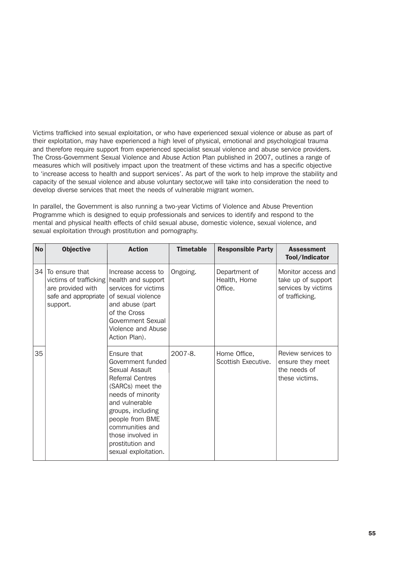Victims trafficked into sexual exploitation, or who have experienced sexual violence or abuse as part of their exploitation, may have experienced a high level of physical, emotional and psychological trauma and therefore require support from experienced specialist sexual violence and abuse service providers. The Cross-Government Sexual Violence and Abuse Action Plan published in 2007, outlines a range of measures which will positively impact upon the treatment of these victims and has a specific objective to 'increase access to health and support services'. As part of the work to help improve the stability and capacity of the sexual violence and abuse voluntary sector,we will take into consideration the need to develop diverse services that meet the needs of vulnerable migrant women.

In parallel, the Government is also running a two-year Victims of Violence and Abuse Prevention Programme which is designed to equip professionals and services to identify and respond to the mental and physical health effects of child sexual abuse, domestic violence, sexual violence, and sexual exploitation through prostitution and pornography.

| <b>No</b> | <b>Objective</b>                                                                                  | <b>Action</b>                                                                                                                                                                                                                                                        | <b>Timetable</b> | <b>Responsible Party</b>                 | <b>Assessment</b><br>Tool/Indicator                                                |
|-----------|---------------------------------------------------------------------------------------------------|----------------------------------------------------------------------------------------------------------------------------------------------------------------------------------------------------------------------------------------------------------------------|------------------|------------------------------------------|------------------------------------------------------------------------------------|
| 34        | To ensure that<br>victims of trafficking<br>are provided with<br>safe and appropriate<br>support. | Increase access to<br>health and support<br>services for victims<br>of sexual violence<br>and abuse (part<br>of the Cross<br>Government Sexual<br>Violence and Abuse<br>Action Plan).                                                                                | Ongoing.         | Department of<br>Health, Home<br>Office. | Monitor access and<br>take up of support<br>services by victims<br>of trafficking. |
| 35        |                                                                                                   | Ensure that<br>Government funded<br>Sexual Assault<br><b>Referral Centres</b><br>(SARCs) meet the<br>needs of minority<br>and vulnerable<br>groups, including<br>people from BME<br>communities and<br>those involved in<br>prostitution and<br>sexual exploitation. | $2007 - 8$ .     | Home Office,<br>Scottish Executive.      | Review services to<br>ensure they meet<br>the needs of<br>these victims.           |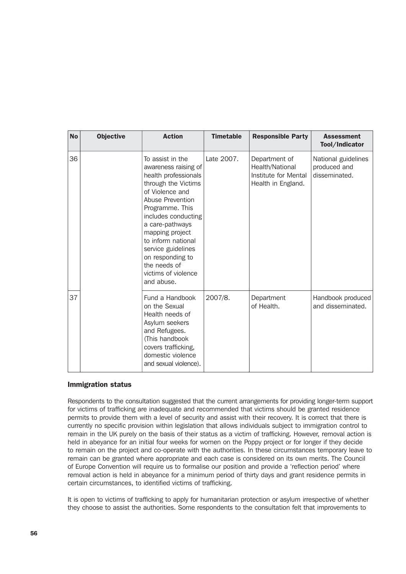| <b>No</b> | <b>Objective</b> | <b>Action</b>                                                                                                                                                                                                                                                                                                                       | <b>Timetable</b> | <b>Responsible Party</b>                                                       | <b>Assessment</b><br>Tool/Indicator                  |
|-----------|------------------|-------------------------------------------------------------------------------------------------------------------------------------------------------------------------------------------------------------------------------------------------------------------------------------------------------------------------------------|------------------|--------------------------------------------------------------------------------|------------------------------------------------------|
| 36        |                  | To assist in the<br>awareness raising of<br>health professionals<br>through the Victims<br>of Violence and<br>Abuse Prevention<br>Programme. This<br>includes conducting<br>a care-pathways<br>mapping project<br>to inform national<br>service guidelines<br>on responding to<br>the needs of<br>victims of violence<br>and abuse. | Late 2007.       | Department of<br>Health/National<br>Institute for Mental<br>Health in England. | National guidelines<br>produced and<br>disseminated. |
| 37        |                  | Fund a Handbook<br>on the Sexual<br>Health needs of<br>Asylum seekers<br>and Refugees.<br>(This handbook<br>covers trafficking,<br>domestic violence<br>and sexual violence).                                                                                                                                                       | 2007/8.          | Department<br>of Health.                                                       | Handbook produced<br>and disseminated.               |

## Immigration status

Respondents to the consultation suggested that the current arrangements for providing longer-term support for victims of trafficking are inadequate and recommended that victims should be granted residence permits to provide them with a level of security and assist with their recovery. It is correct that there is currently no specific provision within legislation that allows individuals subject to immigration control to remain in the UK purely on the basis of their status as a victim of trafficking. However, removal action is held in abeyance for an initial four weeks for women on the Poppy project or for longer if they decide to remain on the project and co-operate with the authorities. In these circumstances temporary leave to remain can be granted where appropriate and each case is considered on its own merits. The Council of Europe Convention will require us to formalise our position and provide a 'reflection period' where removal action is held in abeyance for a minimum period of thirty days and grant residence permits in certain circumstances, to identified victims of trafficking.

It is open to victims of trafficking to apply for humanitarian protection or asylum irrespective of whether they choose to assist the authorities. Some respondents to the consultation felt that improvements to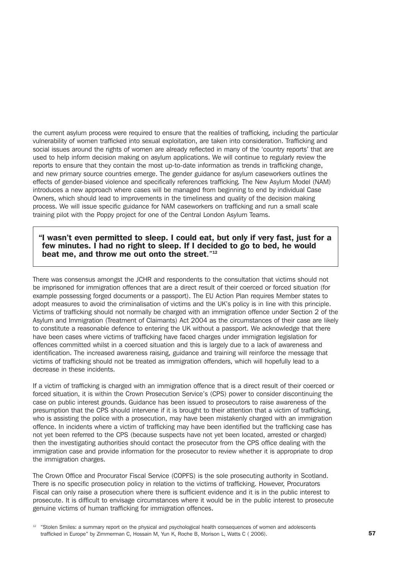the current asylum process were required to ensure that the realities of trafficking, including the particular vulnerability of women trafficked into sexual exploitation, are taken into consideration. Trafficking and social issues around the rights of women are already reflected in many of the 'country reports' that are used to help inform decision making on asylum applications. We will continue to regularly review the reports to ensure that they contain the most up-to-date information as trends in trafficking change, and new primary source countries emerge. The gender guidance for asylum caseworkers outlines the effects of gender-biased violence and specifically references trafficking*.* The New Asylum Model (NAM) introduces a new approach where cases will be managed from beginning to end by individual Case Owners, which should lead to improvements in the timeliness and quality of the decision making process. We will issue specific guidance for NAM caseworkers on trafficking and run a small scale training pilot with the Poppy project for one of the Central London Asylum Teams.

#### "I wasn't even permitted to sleep. I could eat, but only if very fast, just for a few minutes. I had no right to sleep. If I decided to go to bed, he would beat me, and throw me out onto the street."<sup>12</sup>

There was consensus amongst the JCHR and respondents to the consultation that victims should not be imprisoned for immigration offences that are a direct result of their coerced or forced situation (for example possessing forged documents or a passport). The EU Action Plan requires Member states to adopt measures to avoid the criminalisation of victims and the UK's policy is in line with this principle. Victims of trafficking should not normally be charged with an immigration offence under Section 2 of the Asylum and Immigration (Treatment of Claimants) Act 2004 as the circumstances of their case are likely to constitute a reasonable defence to entering the UK without a passport. We acknowledge that there have been cases where victims of trafficking have faced charges under immigration legislation for offences committed whilst in a coerced situation and this is largely due to a lack of awareness and identification. The increased awareness raising, guidance and training will reinforce the message that victims of trafficking should not be treated as immigration offenders, which will hopefully lead to a decrease in these incidents.

If a victim of trafficking is charged with an immigration offence that is a direct result of their coerced or forced situation, it is within the Crown Prosecution Service's (CPS) power to consider discontinuing the case on public interest grounds. Guidance has been issued to prosecutors to raise awareness of the presumption that the CPS should intervene if it is brought to their attention that a victim of trafficking, who is assisting the police with a prosecution, may have been mistakenly charged with an immigration offence. In incidents where a victim of trafficking may have been identified but the trafficking case has not yet been referred to the CPS (because suspects have not yet been located, arrested or charged) then the investigating authorities should contact the prosecutor from the CPS office dealing with the immigration case and provide information for the prosecutor to review whether it is appropriate to drop the immigration charges.

The Crown Office and Procurator Fiscal Service (COPFS) is the sole prosecuting authority in Scotland. There is no specific prosecution policy in relation to the victims of trafficking. However, Procurators Fiscal can only raise a prosecution where there is sufficient evidence and it is in the public interest to prosecute. It is difficult to envisage circumstances where it would be in the public interest to prosecute genuine victims of human trafficking for immigration offences.

<sup>12</sup> "Stolen Smiles: a summary report on the physical and psychological health consequences of women and adolescents trafficked in Europe" by Zimmerman C, Hossain M, Yun K, Roche B, Morison L, Watts C ( 2006).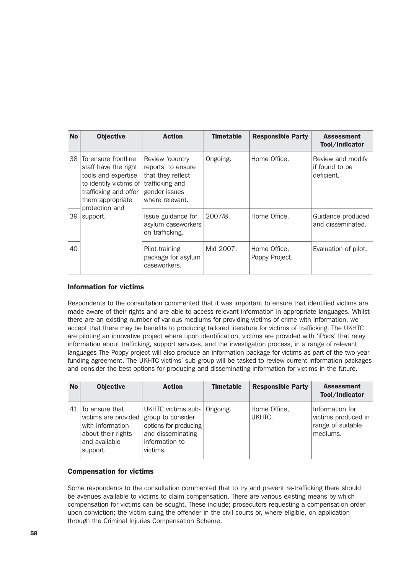| <b>No</b> | <b>Objective</b>                                                                                                                                                                        | <b>Action</b>                                                                                  | <b>Timetable</b> | <b>Responsible Party</b>       | <b>Assessment</b><br>Tool/Indicator               |
|-----------|-----------------------------------------------------------------------------------------------------------------------------------------------------------------------------------------|------------------------------------------------------------------------------------------------|------------------|--------------------------------|---------------------------------------------------|
| 38        | To ensure frontline<br>staff have the right<br>tools and expertise<br>to identify victims of trafficking and<br>trafficking and offer<br>them appropriate<br>protection and<br>support. | Review 'country<br>reports' to ensure<br>that they reflect<br>gender issues<br>where relevant. | Ongoing.         | Home Office.                   | Review and modify<br>if found to be<br>deficient. |
| 39        |                                                                                                                                                                                         | Issue guidance for<br>asylum caseworkers<br>on trafficking.                                    | 2007/8.          | Home Office.                   | Guidance produced<br>and disseminated.            |
| 40        |                                                                                                                                                                                         | Pilot training<br>package for asylum<br>caseworkers.                                           | Mid 2007.        | Home Office,<br>Poppy Project. | Evaluation of pilot.                              |

# Information for victims

Respondents to the consultation commented that it was important to ensure that identified victims are made aware of their rights and are able to access relevant information in appropriate languages. Whilst there are an existing number of various mediums for providing victims of crime with information, we accept that there may be benefits to producing tailored literature for victims of trafficking. The UKHTC are piloting an innovative project where upon identification, victims are provided with 'iPods' that relay information about trafficking, support services, and the investigation process, in a range of relevant languages The Poppy project will also produce an information package for victims as part of the two-year funding agreement. The UKHTC victims' sub-group will be tasked to review current information packages and consider the best options for producing and disseminating information for victims in the future.

| <b>No</b> | <b>Objective</b>                                                                                                   | <b>Action</b>                                                                                                       | <b>Timetable</b> | <b>Responsible Party</b> | <b>Assessment</b><br>Tool/Indicator                                         |
|-----------|--------------------------------------------------------------------------------------------------------------------|---------------------------------------------------------------------------------------------------------------------|------------------|--------------------------|-----------------------------------------------------------------------------|
|           | 41   To ensure that<br>victims are provided<br>with information<br>about their rights<br>and available<br>support. | UKHTC victims sub-<br>group to consider<br>options for producing<br>and disseminating<br>information to<br>victims. | Ongoing.         | Home Office,<br>UKHTC.   | Information for<br>victims produced in $ $<br>range of suitable<br>mediums. |

## Compensation for victims

Some respondents to the consultation commented that to try and prevent re-trafficking there should be avenues available to victims to claim compensation. There are various existing means by which compensation for victims can be sought. These include; prosecutors requesting a compensation order upon conviction; the victim suing the offender in the civil courts or, where eligible, on application through the Criminal Injuries Compensation Scheme.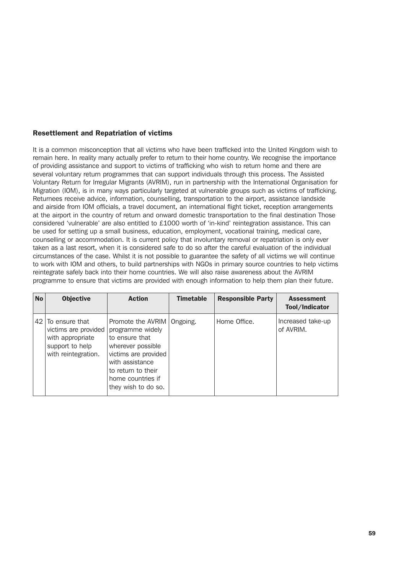## Resettlement and Repatriation of victims

It is a common misconception that all victims who have been trafficked into the United Kingdom wish to remain here. In reality many actually prefer to return to their home country. We recognise the importance of providing assistance and support to victims of trafficking who wish to return home and there are several voluntary return programmes that can support individuals through this process. The Assisted Voluntary Return for Irregular Migrants (AVRIM), run in partnership with the International Organisation for Migration (IOM), is in many ways particularly targeted at vulnerable groups such as victims of trafficking. Returnees receive advice, information, counselling, transportation to the airport, assistance landside and airside from IOM officials, a travel document, an international flight ticket, reception arrangements at the airport in the country of return and onward domestic transportation to the final destination Those considered 'vulnerable' are also entitled to £1000 worth of 'in-kind' reintegration assistance. This can be used for setting up a small business, education, employment, vocational training, medical care, counselling or accommodation. It is current policy that involuntary removal or repatriation is only ever taken as a last resort, when it is considered safe to do so after the careful evaluation of the individual circumstances of the case. Whilst it is not possible to guarantee the safety of all victims we will continue to work with IOM and others, to build partnerships with NGOs in primary source countries to help victims reintegrate safely back into their home countries. We will also raise awareness about the AVRIM programme to ensure that victims are provided with enough information to help them plan their future.

| <b>No</b> | <b>Objective</b>                                                                                     | <b>Action</b>                                                                                                                                                                                        | <b>Timetable</b> | <b>Responsible Party</b> | <b>Assessment</b><br>Tool/Indicator |
|-----------|------------------------------------------------------------------------------------------------------|------------------------------------------------------------------------------------------------------------------------------------------------------------------------------------------------------|------------------|--------------------------|-------------------------------------|
| 42        | To ensure that<br>victims are provided<br>with appropriate<br>support to help<br>with reintegration. | Promote the AVRIM   Ongoing.<br>programme widely<br>to ensure that<br>wherever possible<br>victims are provided<br>with assistance<br>to return to their<br>home countries if<br>they wish to do so. |                  | Home Office.             | Increased take-up<br>of AVRIM.      |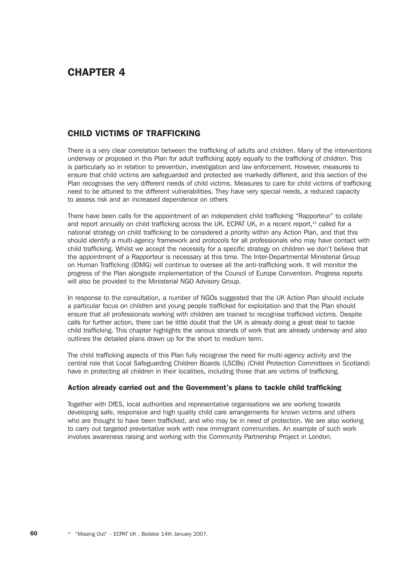# CHAPTER 4

# CHILD VICTIMS OF TRAFFICKING

There is a very clear correlation between the trafficking of adults and children. Many of the interventions underway or proposed in this Plan for adult trafficking apply equally to the trafficking of children. This is particularly so in relation to prevention, investigation and law enforcement. However, measures to ensure that child victims are safeguarded and protected are markedly different, and this section of the Plan recognises the very different needs of child victims. Measures to care for child victims of trafficking need to be attuned to the different vulnerabilities. They have very special needs, a reduced capacity to assess risk and an increased dependence on others

There have been calls for the appointment of an independent child trafficking "Rapporteur" to collate and report annually on child trafficking across the UK. ECPAT UK, in a recent report,<sup>13</sup> called for a national strategy on child trafficking to be considered a priority within any Action Plan, and that this should identify a multi-agency framework and protocols for all professionals who may have contact with child trafficking. Whilst we accept the necessity for a specific strategy on children we don't believe that the appointment of a Rapporteur is necessary at this time. The Inter-Departmental Ministerial Group on Human Trafficking (IDMG) will continue to oversee all the anti-trafficking work. It will monitor the progress of the Plan alongside implementation of the Council of Europe Convention. Progress reports will also be provided to the Ministerial NGO Advisory Group.

In response to the consultation, a number of NGOs suggested that the UK Action Plan should include a particular focus on children and young people trafficked for exploitation and that the Plan should ensure that all professionals working with children are trained to recognise trafficked victims. Despite calls for further action, there can be little doubt that the UK is already doing a great deal to tackle child trafficking. This chapter highlights the various strands of work that are already underway and also outlines the detailed plans drawn up for the short to medium term.

The child trafficking aspects of this Plan fully recognise the need for multi-agency activity and the central role that Local Safeguarding Children Boards (LSCBs) (Child Protection Committees in Scotland) have in protecting all children in their localities, including those that are victims of trafficking.

## Action already carried out and the Government's plans to tackle child trafficking

Together with DfES, local authorities and representative organisations we are working towards developing safe, responsive and high quality child care arrangements for known victims and others who are thought to have been trafficked, and who may be in need of protection. We are also working to carry out targeted preventative work with new immigrant communities. An example of such work involves awareness raising and working with the Community Partnership Project in London.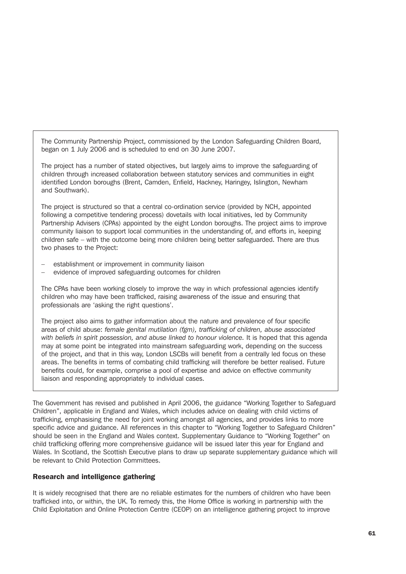The Community Partnership Project, commissioned by the London Safeguarding Children Board, began on 1 July 2006 and is scheduled to end on 30 June 2007.

The project has a number of stated objectives, but largely aims to improve the safeguarding of children through increased collaboration between statutory services and communities in eight identified London boroughs (Brent, Camden, Enfield, Hackney, Haringey, Islington, Newham and Southwark).

The project is structured so that a central co-ordination service (provided by NCH, appointed following a competitive tendering process) dovetails with local initiatives, led by Community Partnership Advisers (CPAs) appointed by the eight London boroughs. The project aims to improve community liaison to support local communities in the understanding of, and efforts in, keeping children safe – with the outcome being more children being better safeguarded. There are thus two phases to the Project:

- establishment or improvement in community liaison
- evidence of improved safeguarding outcomes for children

The CPAs have been working closely to improve the way in which professional agencies identify children who may have been trafficked, raising awareness of the issue and ensuring that professionals are 'asking the right questions'.

The project also aims to gather information about the nature and prevalence of four specific areas of child abuse: *female genital mutilation (fgm), trafficking of children, abuse associated with beliefs in spirit possession, and abuse linked to honour violence.* It is hoped that this agenda may at some point be integrated into mainstream safeguarding work, depending on the success of the project, and that in this way, London LSCBs will benefit from a centrally led focus on these areas. The benefits in terms of combating child trafficking will therefore be better realised. Future benefits could, for example, comprise a pool of expertise and advice on effective community liaison and responding appropriately to individual cases.

The Government has revised and published in April 2006, the guidance "Working Together to Safeguard Children", applicable in England and Wales, which includes advice on dealing with child victims of trafficking, emphasising the need for joint working amongst all agencies, and provides links to more specific advice and guidance. All references in this chapter to "Working Together to Safeguard Children" should be seen in the England and Wales context. Supplementary Guidance to "Working Together" on child trafficking offering more comprehensive guidance will be issued later this year for England and Wales. In Scotland, the Scottish Executive plans to draw up separate supplementary guidance which will be relevant to Child Protection Committees.

#### Research and intelligence gathering

It is widely recognised that there are no reliable estimates for the numbers of children who have been trafficked into, or within, the UK. To remedy this, the Home Office is working in partnership with the Child Exploitation and Online Protection Centre (CEOP) on an intelligence gathering project to improve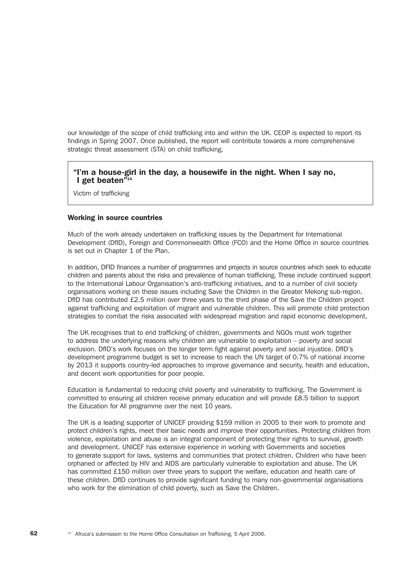our knowledge of the scope of child trafficking into and within the UK. CEOP is expected to report its findings in Spring 2007. Once published, the report will contribute towards a more comprehensive strategic threat assessment (STA) on child trafficking.

# "I'm a house-girl in the day, a housewife in the night. When I say no, I get beaten" $14$

Victim of trafficking

#### Working in source countries

Much of the work already undertaken on trafficking issues by the Department for International Development (DfID), Foreign and Commonwealth Office (FCO) and the Home Office in source countries is set out in Chapter 1 of the Plan.

In addition, DFID finances a number of programmes and projects in source countries which seek to educate children and parents about the risks and prevalence of human trafficking. These include continued support to the International Labour Organisation's anti-trafficking initiatives, and to a number of civil society organisations working on these issues including Save the Children in the Greater Mekong sub-region. DfID has contributed £2.5 million over three years to the third phase of the Save the Children project against trafficking and exploitation of migrant and vulnerable children. This will promote child protection strategies to combat the risks associated with widespread migration and rapid economic development.

The UK recognises that to end trafficking of children, governments and NGOs must work together to address the underlying reasons why children are vulnerable to exploitation – poverty and social exclusion. DfID's work focuses on the longer term fight against poverty and social injustice. DfID's development programme budget is set to increase to reach the UN target of 0.7% of national income by 2013 it supports country-led approaches to improve governance and security, health and education, and decent work opportunities for poor people.

Education is fundamental to reducing child poverty and vulnerability to trafficking. The Government is committed to ensuring all children receive primary education and will provide £8.5 billion to support the Education for All programme over the next 10 years.

The UK is a leading supporter of UNICEF providing \$159 million in 2005 to their work to promote and protect children's rights, meet their basic needs and improve their opportunities. Protecting children from violence, exploitation and abuse is an integral component of protecting their rights to survival, growth and development. UNICEF has extensive experience in working with Governments and societies to generate support for laws, systems and communities that protect children. Children who have been orphaned or affected by HIV and AIDS are particularly vulnerable to exploitation and abuse. The UK has committed £150 million over three years to support the welfare, education and health care of these children. DfID continues to provide significant funding to many non-governmental organisations who work for the elimination of child poverty, such as Save the Children.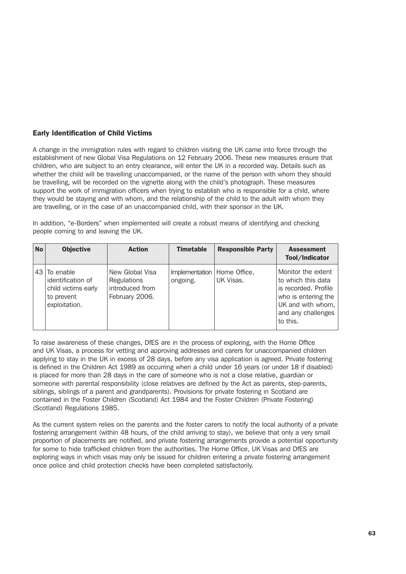## Early Identification of Child Victims

A change in the immigration rules with regard to children visiting the UK came into force through the establishment of new Global Visa Regulations on 12 February 2006. These new measures ensure that children, who are subject to an entry clearance, will enter the UK in a recorded way. Details such as whether the child will be travelling unaccompanied, or the name of the person with whom they should be travelling, will be recorded on the vignette along with the child's photograph. These measures support the work of immigration officers when trying to establish who is responsible for a child, where they would be staying and with whom, and the relationship of the child to the adult with whom they are travelling, or in the case of an unaccompanied child, with their sponsor in the UK.

In addition, "e-Borders" when implemented will create a robust means of identifying and checking people coming to and leaving the UK.

| <b>No</b> | <b>Objective</b>                                                                     | <b>Action</b>                                                       | <b>Timetable</b>                          | <b>Responsible Party</b> | <b>Assessment</b><br>Tool/Indicator                                                                                                            |
|-----------|--------------------------------------------------------------------------------------|---------------------------------------------------------------------|-------------------------------------------|--------------------------|------------------------------------------------------------------------------------------------------------------------------------------------|
| 43        | To enable<br>identification of<br>child victims early<br>to prevent<br>exploitation. | New Global Visa<br>Regulations<br>introduced from<br>February 2006. | Implementation   Home Office,<br>ongoing. | UK Visas.                | Monitor the extent<br>to which this data<br>is recorded. Profile<br>who is entering the<br>UK and with whom,<br>and any challenges<br>to this. |

To raise awareness of these changes, DfES are in the process of exploring, with the Home Office and UK Visas, a process for vetting and approving addresses and carers for unaccompanied children applying to stay in the UK in excess of 28 days, before any visa application is agreed. Private fostering is defined in the Children Act 1989 as occurring when a child under 16 years (or under 18 if disabled) is placed for more than 28 days in the care of someone who is not a close relative, guardian or someone with parental responsibility (close relatives are defined by the Act as parents, step-parents, siblings, siblings of a parent and grandparents). Provisions for private fostering in Scotland are contained in the Foster Children (Scotland) Act 1984 and the Foster Children (Private Fostering) (Scotland) Regulations 1985.

As the current system relies on the parents and the foster carers to notify the local authority of a private fostering arrangement (within 48 hours, of the child arriving to stay), we believe that only a very small proportion of placements are notified, and private fostering arrangements provide a potential opportunity for some to hide trafficked children from the authorities. The Home Office, UK Visas and DfES are exploring ways in which visas may only be issued for children entering a private fostering arrangement once police and child protection checks have been completed satisfactorily.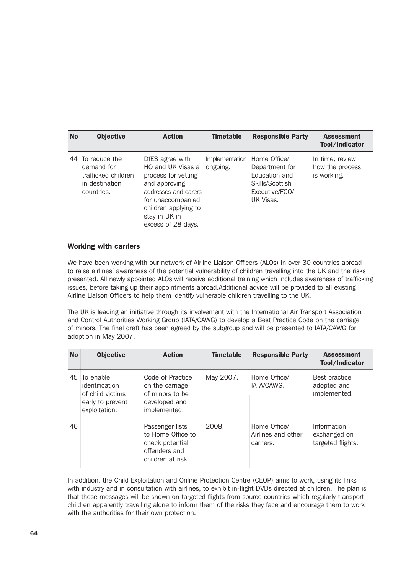| <b>No</b> | <b>Objective</b>                                                                   | <b>Action</b>                                                                                                                                                                            | <b>Timetable</b>           | <b>Responsible Party</b>                                                                                 | <b>Assessment</b><br>Tool/Indicator               |
|-----------|------------------------------------------------------------------------------------|------------------------------------------------------------------------------------------------------------------------------------------------------------------------------------------|----------------------------|----------------------------------------------------------------------------------------------------------|---------------------------------------------------|
| 44        | To reduce the<br>demand for<br>trafficked children<br>in destination<br>countries. | DfES agree with<br>HO and UK Visas a<br>process for vetting<br>and approving<br>addresses and carers<br>for unaccompanied<br>children applying to<br>stay in UK in<br>excess of 28 days. | Implementation<br>ongoing. | Home Office/<br>Department for<br><b>Fducation and</b><br>Skills/Scottish<br>Executive/FCO/<br>UK Visas. | In time, review<br>how the process<br>is working. |

#### Working with carriers

We have been working with our network of Airline Liaison Officers (ALOs) in over 30 countries abroad to raise airlines' awareness of the potential vulnerability of children travelling into the UK and the risks presented. All newly appointed ALOs will receive additional training which includes awareness of trafficking issues, before taking up their appointments abroad.Additional advice will be provided to all existing Airline Liaison Officers to help them identify vulnerable children travelling to the UK.

The UK is leading an initiative through its involvement with the International Air Transport Association and Control Authorities Working Group (IATA/CAWG) to develop a Best Practice Code on the carriage of minors. The final draft has been agreed by the subgroup and will be presented to IATA/CAWG for adoption in May 2007.

| <b>No</b> | <b>Objective</b>                                                                       | <b>Action</b>                                                                                 | <b>Timetable</b> | <b>Responsible Party</b>                        | <b>Assessment</b><br>Tool/Indicator              |
|-----------|----------------------------------------------------------------------------------------|-----------------------------------------------------------------------------------------------|------------------|-------------------------------------------------|--------------------------------------------------|
| 45        | l To enable<br>identification<br>of child victims<br>early to prevent<br>exploitation. | Code of Practice<br>on the carriage<br>of minors to be<br>developed and<br>implemented.       | May 2007.        | Home Office/<br>IATA/CAWG.                      | Best practice<br>adopted and<br>implemented.     |
| 46        |                                                                                        | Passenger lists<br>to Home Office to<br>check potential<br>offenders and<br>children at risk. | 2008.            | Home Office/<br>Airlines and other<br>carriers. | Information<br>exchanged on<br>targeted flights. |

In addition, the Child Exploitation and Online Protection Centre (CEOP) aims to work, using its links with industry and in consultation with airlines, to exhibit in-flight DVDs directed at children. The plan is that these messages will be shown on targeted flights from source countries which regularly transport children apparently travelling alone to inform them of the risks they face and encourage them to work with the authorities for their own protection.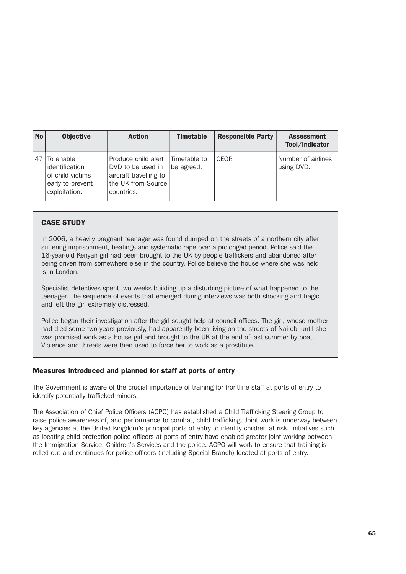| <b>No</b> | <b>Objective</b>                                                                     | <b>Action</b>                                                                                          | <b>Timetable</b>           | <b>Responsible Party</b> | <b>Assessment</b><br>Tool/Indicator |
|-----------|--------------------------------------------------------------------------------------|--------------------------------------------------------------------------------------------------------|----------------------------|--------------------------|-------------------------------------|
| 47        | To enable<br>identification<br>of child victims<br>early to prevent<br>exploitation. | Produce child alert<br>DVD to be used in<br>aircraft travelling to<br>the UK from Source<br>countries. | Timetable to<br>be agreed. | CFOP.                    | Number of airlines<br>using DVD.    |

# CASE STUDY

In 2006, a heavily pregnant teenager was found dumped on the streets of a northern city after suffering imprisonment, beatings and systematic rape over a prolonged period. Police said the 16-year-old Kenyan girl had been brought to the UK by people traffickers and abandoned after being driven from somewhere else in the country. Police believe the house where she was held is in London.

Specialist detectives spent two weeks building up a disturbing picture of what happened to the teenager. The sequence of events that emerged during interviews was both shocking and tragic and left the girl extremely distressed.

Police began their investigation after the girl sought help at council offices. The girl, whose mother had died some two years previously, had apparently been living on the streets of Nairobi until she was promised work as a house girl and brought to the UK at the end of last summer by boat. Violence and threats were then used to force her to work as a prostitute.

## Measures introduced and planned for staff at ports of entry

The Government is aware of the crucial importance of training for frontline staff at ports of entry to identify potentially trafficked minors.

The Association of Chief Police Officers (ACPO) has established a Child Trafficking Steering Group to raise police awareness of, and performance to combat, child trafficking. Joint work is underway between key agencies at the United Kingdom's principal ports of entry to identify children at risk. Initiatives such as locating child protection police officers at ports of entry have enabled greater joint working between the Immigration Service, Children's Services and the police. ACPO will work to ensure that training is rolled out and continues for police officers (including Special Branch) located at ports of entry.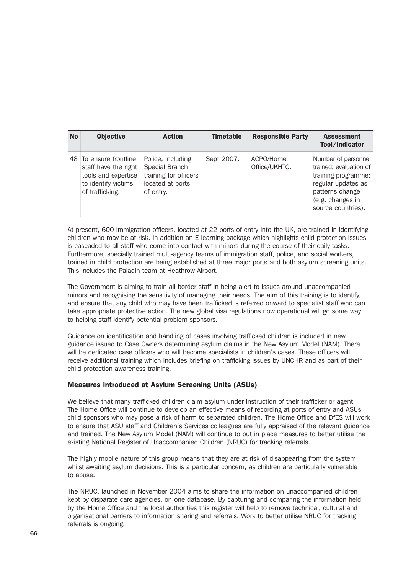| <b>No</b> | <b>Objective</b>                                                                                                | <b>Action</b>                                                                                 | <b>Timetable</b> | <b>Responsible Party</b>   | <b>Assessment</b><br>Tool/Indicator                                                                                                                     |
|-----------|-----------------------------------------------------------------------------------------------------------------|-----------------------------------------------------------------------------------------------|------------------|----------------------------|---------------------------------------------------------------------------------------------------------------------------------------------------------|
|           | 48 To ensure frontline<br>staff have the right<br>tools and expertise<br>to identify victims<br>of trafficking. | Police, including<br>Special Branch<br>training for officers<br>located at ports<br>of entry. | Sept 2007.       | ACPO/Home<br>Office/UKHTC. | Number of personnel<br>trained; evaluation of<br>training programme;<br>regular updates as<br>patterns change<br>(e.g. changes in<br>source countries). |

At present, 600 immigration officers, located at 22 ports of entry into the UK, are trained in identifying children who may be at risk. In addition an E-learning package which highlights child protection issues is cascaded to all staff who come into contact with minors during the course of their daily tasks. Furthermore, specially trained multi-agency teams of immigration staff, police, and social workers, trained in child protection are being established at three major ports and both asylum screening units. This includes the Paladin team at Heathrow Airport.

The Government is aiming to train all border staff in being alert to issues around unaccompanied minors and recognising the sensitivity of managing their needs. The aim of this training is to identify, and ensure that any child who may have been trafficked is referred onward to specialist staff who can take appropriate protective action. The new global visa regulations now operational will go some way to helping staff identify potential problem sponsors.

Guidance on identification and handling of cases involving trafficked children is included in new guidance issued to Case Owners determining asylum claims in the New Asylum Model (NAM). There will be dedicated case officers who will become specialists in children's cases. These officers will receive additional training which includes briefing on trafficking issues by UNCHR and as part of their child protection awareness training.

## Measures introduced at Asylum Screening Units (ASUs)

We believe that many trafficked children claim asylum under instruction of their trafficker or agent. The Home Office will continue to develop an effective means of recording at ports of entry and ASUs child sponsors who may pose a risk of harm to separated children. The Home Office and DfES will work to ensure that ASU staff and Children's Services colleagues are fully appraised of the relevant guidance and trained. The New Asylum Model (NAM) will continue to put in place measures to better utilise the existing National Register of Unaccompanied Children (NRUC) for tracking referrals.

The highly mobile nature of this group means that they are at risk of disappearing from the system whilst awaiting asylum decisions. This is a particular concern, as children are particularly vulnerable to abuse.

The NRUC, launched in November 2004 aims to share the information on unaccompanied children kept by disparate care agencies, on one database. By capturing and comparing the information held by the Home Office and the local authorities this register will help to remove technical, cultural and organisational barriers to information sharing and referrals. Work to better utilise NRUC for tracking referrals is ongoing.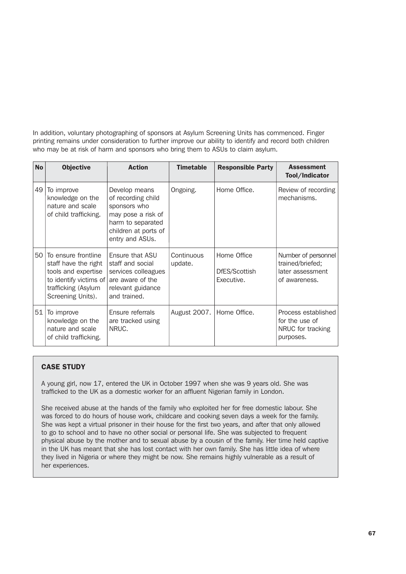In addition, voluntary photographing of sponsors at Asylum Screening Units has commenced. Finger printing remains under consideration to further improve our ability to identify and record both children who may be at risk of harm and sponsors who bring them to ASUs to claim asylum.

| <b>No</b> | <b>Objective</b>                                                                                                                         | <b>Action</b>                                                                                                                             | <b>Timetable</b>      | <b>Responsible Party</b>                   | <b>Assessment</b><br>Tool/Indicator                                          |
|-----------|------------------------------------------------------------------------------------------------------------------------------------------|-------------------------------------------------------------------------------------------------------------------------------------------|-----------------------|--------------------------------------------|------------------------------------------------------------------------------|
| 49        | To improve<br>knowledge on the<br>nature and scale<br>of child trafficking.                                                              | Develop means<br>of recording child<br>sponsors who<br>may pose a risk of<br>harm to separated<br>children at ports of<br>entry and ASUs. | Ongoing.              | Home Office.                               | Review of recording<br>mechanisms.                                           |
| 50        | To ensure frontline<br>staff have the right<br>tools and expertise<br>to identify victims of<br>trafficking (Asylum<br>Screening Units). | Ensure that ASU<br>staff and social<br>services colleagues<br>are aware of the<br>relevant guidance<br>and trained.                       | Continuous<br>update. | Home Office<br>DfES/Scottish<br>Executive. | Number of personnel<br>trained/briefed;<br>later assessment<br>of awareness. |
| 51        | To improve<br>knowledge on the<br>nature and scale<br>of child trafficking.                                                              | Ensure referrals<br>are tracked using<br>NRUC.                                                                                            | August 2007.          | Home Office.                               | Process established<br>for the use of<br>NRUC for tracking<br>purposes.      |

# CASE STUDY

A young girl, now 17, entered the UK in October 1997 when she was 9 years old. She was trafficked to the UK as a domestic worker for an affluent Nigerian family in London.

She received abuse at the hands of the family who exploited her for free domestic labour. She was forced to do hours of house work, childcare and cooking seven days a week for the family. She was kept a virtual prisoner in their house for the first two years, and after that only allowed to go to school and to have no other social or personal life. She was subjected to frequent physical abuse by the mother and to sexual abuse by a cousin of the family. Her time held captive in the UK has meant that she has lost contact with her own family. She has little idea of where they lived in Nigeria or where they might be now. She remains highly vulnerable as a result of her experiences.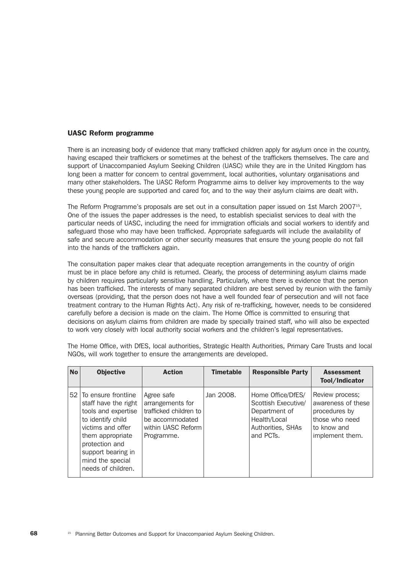#### UASC Reform programme

There is an increasing body of evidence that many trafficked children apply for asylum once in the country, having escaped their traffickers or sometimes at the behest of the traffickers themselves. The care and support of Unaccompanied Asylum Seeking Children (UASC) while they are in the United Kingdom has long been a matter for concern to central government, local authorities, voluntary organisations and many other stakeholders. The UASC Reform Programme aims to deliver key improvements to the way these young people are supported and cared for, and to the way their asylum claims are dealt with.

The Reform Programme's proposals are set out in a consultation paper issued on 1st March 200715. One of the issues the paper addresses is the need, to establish specialist services to deal with the particular needs of UASC, including the need for immigration officials and social workers to identify and safeguard those who may have been trafficked. Appropriate safeguards will include the availability of safe and secure accommodation or other security measures that ensure the young people do not fall into the hands of the traffickers again.

The consultation paper makes clear that adequate reception arrangements in the country of origin must be in place before any child is returned. Clearly, the process of determining asylum claims made by children requires particularly sensitive handling. Particularly, where there is evidence that the person has been trafficked. The interests of many separated children are best served by reunion with the family overseas (providing, that the person does not have a well founded fear of persecution and will not face treatment contrary to the Human Rights Act). Any risk of re-trafficking, however, needs to be considered carefully before a decision is made on the claim. The Home Office is committed to ensuring that decisions on asylum claims from children are made by specially trained staff, who will also be expected to work very closely with local authority social workers and the children's legal representatives.

| <b>No</b> | <b>Objective</b>                                                                                                                                                                                                      | <b>Action</b>                                                                                                   | <b>Timetable</b> | <b>Responsible Party</b>                                                                                    | <b>Assessment</b><br>Tool/Indicator                                                                        |
|-----------|-----------------------------------------------------------------------------------------------------------------------------------------------------------------------------------------------------------------------|-----------------------------------------------------------------------------------------------------------------|------------------|-------------------------------------------------------------------------------------------------------------|------------------------------------------------------------------------------------------------------------|
|           | 52 To ensure frontline<br>staff have the right<br>tools and expertise<br>to identify child<br>victims and offer<br>them appropriate<br>protection and<br>support bearing in<br>mind the special<br>needs of children. | Agree safe<br>arrangements for<br>trafficked children to<br>be accommodated<br>within UASC Reform<br>Programme. | Jan 2008.        | Home Office/DfES/<br>Scottish Executive/<br>Department of<br>Health/Local<br>Authorities, SHAs<br>and PCTs. | Review process;<br>awareness of these<br>procedures by<br>those who need<br>to know and<br>implement them. |

The Home Office, with DfES, local authorities, Strategic Health Authorities, Primary Care Trusts and local NGOs, will work together to ensure the arrangements are developed.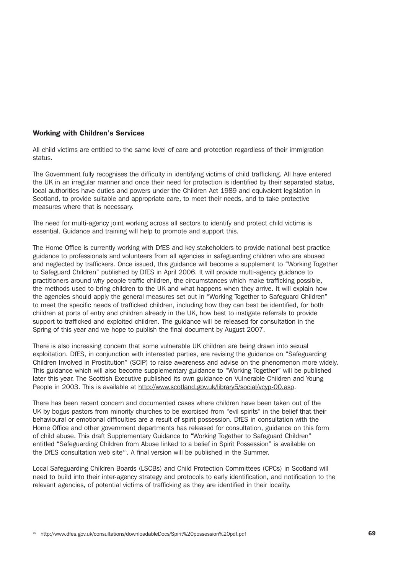#### Working with Children's Services

All child victims are entitled to the same level of care and protection regardless of their immigration status.

The Government fully recognises the difficulty in identifying victims of child trafficking. All have entered the UK in an irregular manner and once their need for protection is identified by their separated status, local authorities have duties and powers under the Children Act 1989 and equivalent legislation in Scotland, to provide suitable and appropriate care, to meet their needs, and to take protective measures where that is necessary.

The need for multi-agency joint working across all sectors to identify and protect child victims is essential. Guidance and training will help to promote and support this.

The Home Office is currently working with DfES and key stakeholders to provide national best practice guidance to professionals and volunteers from all agencies in safeguarding children who are abused and neglected by traffickers. Once issued, this guidance will become a supplement to "Working Together to Safeguard Children" published by DfES in April 2006. It will provide multi-agency guidance to practitioners around why people traffic children, the circumstances which make trafficking possible, the methods used to bring children to the UK and what happens when they arrive. It will explain how the agencies should apply the general measures set out in "Working Together to Safeguard Children" to meet the specific needs of trafficked children, including how they can best be identified, for both children at ports of entry and children already in the UK, how best to instigate referrals to provide support to trafficked and exploited children. The guidance will be released for consultation in the Spring of this year and we hope to publish the final document by August 2007.

There is also increasing concern that some vulnerable UK children are being drawn into sexual exploitation. DfES, in conjunction with interested parties, are revising the guidance on "Safeguarding Children Involved in Prostitution" (SCIP) to raise awareness and advise on the phenomenon more widely. This guidance which will also become supplementary guidance to "Working Together" will be published later this year. The Scottish Executive published its own guidance on Vulnerable Children and Young People in 2003. This is available at http://www.scotland.gov.uk/library5/social/vcyp-00.asp.

There has been recent concern and documented cases where children have been taken out of the UK by bogus pastors from minority churches to be exorcised from "evil spirits" in the belief that their behavioural or emotional difficulties are a result of spirit possession. DfES in consultation with the Home Office and other government departments has released for consultation, guidance on this form of child abuse. This draft Supplementary Guidance to "Working Together to Safeguard Children" entitled "Safeguarding Children from Abuse linked to a belief in Spirit Possession" is available on the DfES consultation web site<sup>16</sup>. A final version will be published in the Summer.

Local Safeguarding Children Boards (LSCBs) and Child Protection Committees (CPCs) in Scotland will need to build into their inter-agency strategy and protocols to early identification, and notification to the relevant agencies, of potential victims of trafficking as they are identified in their locality.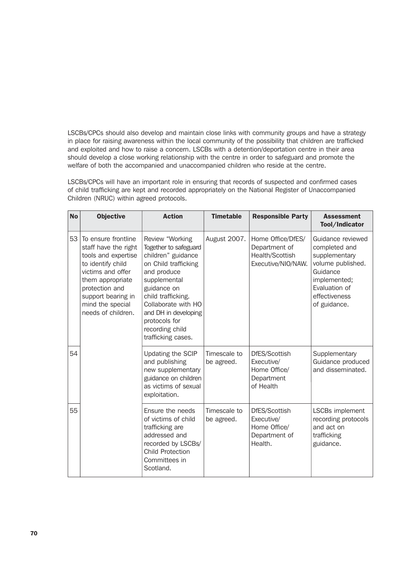LSCBs/CPCs should also develop and maintain close links with community groups and have a strategy in place for raising awareness within the local community of the possibility that children are trafficked and exploited and how to raise a concern. LSCBs with a detention/deportation centre in their area should develop a close working relationship with the centre in order to safeguard and promote the welfare of both the accompanied and unaccompanied children who reside at the centre.

LSCBs/CPCs will have an important role in ensuring that records of suspected and confirmed cases of child trafficking are kept and recorded appropriately on the National Register of Unaccompanied Children (NRUC) within agreed protocols.

| <b>No</b> | <b>Objective</b>                                                                                                                                                                                                   | <b>Action</b>                                                                                                                                                                                                                                                       | <b>Timetable</b>           | <b>Responsible Party</b>                                                    | <b>Assessment</b><br>Tool/Indicator                                                                                                                    |
|-----------|--------------------------------------------------------------------------------------------------------------------------------------------------------------------------------------------------------------------|---------------------------------------------------------------------------------------------------------------------------------------------------------------------------------------------------------------------------------------------------------------------|----------------------------|-----------------------------------------------------------------------------|--------------------------------------------------------------------------------------------------------------------------------------------------------|
| 53        | To ensure frontline<br>staff have the right<br>tools and expertise<br>to identify child<br>victims and offer<br>them appropriate<br>protection and<br>support bearing in<br>mind the special<br>needs of children. | Review "Working<br>Together to safeguard<br>children" guidance<br>on Child trafficking<br>and produce<br>supplemental<br>guidance on<br>child trafficking.<br>Collaborate with HO<br>and DH in developing<br>protocols for<br>recording child<br>trafficking cases. | August 2007.               | Home Office/DfES/<br>Department of<br>Health/Scottish<br>Executive/NIO/NAW. | Guidance reviewed<br>completed and<br>supplementary<br>volume published.<br>Guidance<br>implemented;<br>Evaluation of<br>effectiveness<br>of guidance. |
| 54        |                                                                                                                                                                                                                    | Updating the SCIP<br>and publishing<br>new supplementary<br>guidance on children<br>as victims of sexual<br>exploitation.                                                                                                                                           | Timescale to<br>be agreed. | DfES/Scottish<br>Executive/<br>Home Office/<br>Department<br>of Health      | Supplementary<br>Guidance produced<br>and disseminated.                                                                                                |
| 55        |                                                                                                                                                                                                                    | Ensure the needs<br>of victims of child<br>trafficking are<br>addressed and<br>recorded by LSCBs/<br><b>Child Protection</b><br>Committees in<br>Scotland.                                                                                                          | Timescale to<br>be agreed. | DfES/Scottish<br>Executive/<br>Home Office/<br>Department of<br>Health.     | LSCBs implement<br>recording protocols<br>and act on<br>trafficking<br>guidance.                                                                       |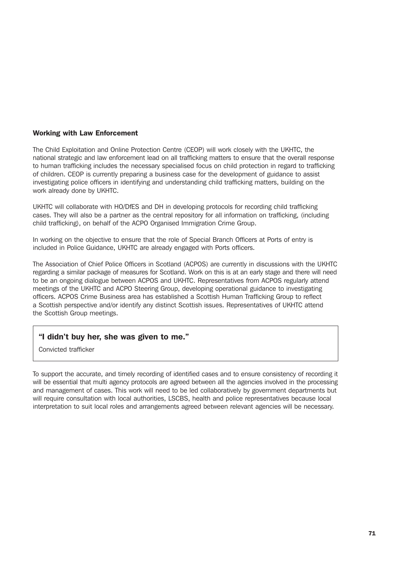### Working with Law Enforcement

The Child Exploitation and Online Protection Centre (CEOP) will work closely with the UKHTC, the national strategic and law enforcement lead on all trafficking matters to ensure that the overall response to human trafficking includes the necessary specialised focus on child protection in regard to trafficking of children. CEOP is currently preparing a business case for the development of guidance to assist investigating police officers in identifying and understanding child trafficking matters, building on the work already done by UKHTC.

UKHTC will collaborate with HO/DfES and DH in developing protocols for recording child trafficking cases. They will also be a partner as the central repository for all information on trafficking, (including child trafficking), on behalf of the ACPO Organised Immigration Crime Group.

In working on the objective to ensure that the role of Special Branch Officers at Ports of entry is included in Police Guidance, UKHTC are already engaged with Ports officers.

The Association of Chief Police Officers in Scotland (ACPOS) are currently in discussions with the UKHTC regarding a similar package of measures for Scotland. Work on this is at an early stage and there will need to be an ongoing dialogue between ACPOS and UKHTC. Representatives from ACPOS regularly attend meetings of the UKHTC and ACPO Steering Group, developing operational guidance to investigating officers. ACPOS Crime Business area has established a Scottish Human Trafficking Group to reflect a Scottish perspective and/or identify any distinct Scottish issues. Representatives of UKHTC attend the Scottish Group meetings.

### "I didn't buy her, she was given to me."

Convicted trafficker

To support the accurate, and timely recording of identified cases and to ensure consistency of recording it will be essential that multi agency protocols are agreed between all the agencies involved in the processing and management of cases. This work will need to be led collaboratively by government departments but will require consultation with local authorities, LSCBS, health and police representatives because local interpretation to suit local roles and arrangements agreed between relevant agencies will be necessary.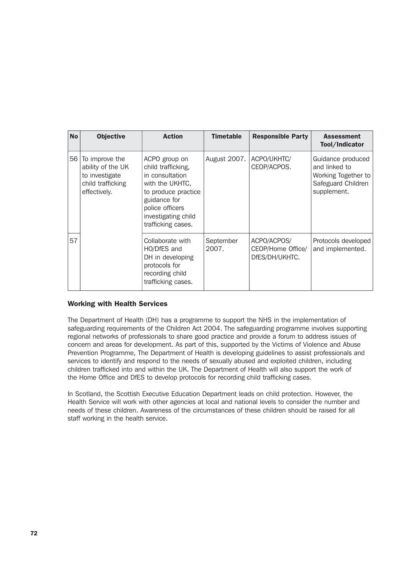| <b>No</b> | <b>Objective</b>                                                                           | <b>Action</b>                                                                                                                                                                    | <b>Timetable</b>   | <b>Responsible Party</b>                           | <b>Assessment</b><br>Tool/Indicator                                                            |
|-----------|--------------------------------------------------------------------------------------------|----------------------------------------------------------------------------------------------------------------------------------------------------------------------------------|--------------------|----------------------------------------------------|------------------------------------------------------------------------------------------------|
| 56        | To improve the<br>ability of the UK<br>to investigate<br>child trafficking<br>effectively. | ACPO group on<br>child trafficking,<br>in consultation<br>with the UKHTC,<br>to produce practice<br>guidance for<br>police officers<br>investigating child<br>trafficking cases. | August 2007.       | ACPO/UKHTC/<br>CEOP/ACPOS.                         | Guidance produced<br>and linked to<br>Working Together to<br>Safeguard Children<br>supplement. |
| 57        |                                                                                            | Collaborate with<br>HO/DfES and<br>DH in developing<br>protocols for<br>recording child<br>trafficking cases.                                                                    | September<br>2007. | ACPO/ACPOS/<br>CEOP/Home Office/<br>DfES/DH/UKHTC. | Protocols developed<br>and implemented.                                                        |

### Working with Health Services

The Department of Health (DH) has a programme to support the NHS in the implementation of safeguarding requirements of the Children Act 2004. The safeguarding programme involves supporting regional networks of professionals to share good practice and provide a forum to address issues of concern and areas for development. As part of this, supported by the Victims of Violence and Abuse Prevention Programme, The Department of Health is developing guidelines to assist professionals and services to identify and respond to the needs of sexually abused and exploited children, including children trafficked into and within the UK. The Department of Health will also support the work of the Home Office and DfES to develop protocols for recording child trafficking cases.

In Scotland, the Scottish Executive Education Department leads on child protection. However, the Health Service will work with other agencies at local and national levels to consider the number and needs of these children. Awareness of the circumstances of these children should be raised for all staff working in the health service.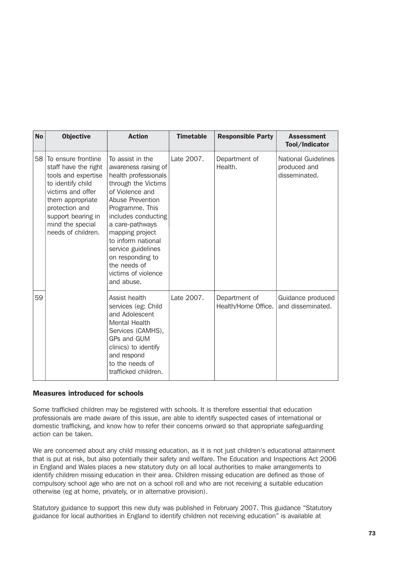| <b>No</b> | <b>Objective</b>                                                                                                                                                                                                   | <b>Action</b>                                                                                                                                                                                                                                                                                                                       | <b>Timetable</b> | <b>Responsible Party</b>             | <b>Assessment</b><br>Tool/Indicator                         |
|-----------|--------------------------------------------------------------------------------------------------------------------------------------------------------------------------------------------------------------------|-------------------------------------------------------------------------------------------------------------------------------------------------------------------------------------------------------------------------------------------------------------------------------------------------------------------------------------|------------------|--------------------------------------|-------------------------------------------------------------|
| 58        | To ensure frontline<br>staff have the right<br>tools and expertise<br>to identify child<br>victims and offer<br>them appropriate<br>protection and<br>support bearing in<br>mind the special<br>needs of children. | To assist in the<br>awareness raising of<br>health professionals<br>through the Victims<br>of Violence and<br>Abuse Prevention<br>Programme. This<br>includes conducting<br>a care-pathways<br>mapping project<br>to inform national<br>service guidelines<br>on responding to<br>the needs of<br>victims of violence<br>and abuse. | Late 2007.       | Department of<br>Health.             | <b>National Guidelines</b><br>produced and<br>disseminated. |
| 59        |                                                                                                                                                                                                                    | Assist health<br>services (eg: Child<br>and Adolescent<br><b>Mental Health</b><br>Services (CAMHS),<br>GPs and GUM<br>clinics) to identify<br>and respond<br>to the needs of<br>trafficked children.                                                                                                                                | Late 2007.       | Department of<br>Health/Home Office. | Guidance produced<br>and disseminated.                      |

### Measures introduced for schools

Some trafficked children may be registered with schools. It is therefore essential that education professionals are made aware of this issue, are able to identify suspected cases of international or domestic trafficking, and know how to refer their concerns onward so that appropriate safeguarding action can be taken.

We are concerned about any child missing education, as it is not just children's educational attainment that is put at risk, but also potentially their safety and welfare. The Education and Inspections Act 2006 in England and Wales places a new statutory duty on all local authorities to make arrangements to identify children missing education in their area. Children missing education are defined as those of compulsory school age who are not on a school roll and who are not receiving a suitable education otherwise (eg at home, privately, or in alternative provision).

Statutory guidance to support this new duty was published in February 2007. This guidance "Statutory guidance for local authorities in England to identify children not receiving education" is available at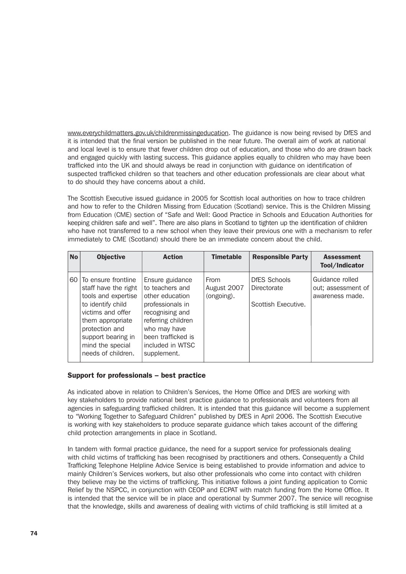www.everychildmatters.gov.uk/childrenmissingeducation. The guidance is now being revised by DfES and it is intended that the final version be published in the near future. The overall aim of work at national and local level is to ensure that fewer children drop out of education, and those who do are drawn back and engaged quickly with lasting success. This guidance applies equally to children who may have been trafficked into the UK and should always be read in conjunction with guidance on identification of suspected trafficked children so that teachers and other education professionals are clear about what to do should they have concerns about a child.

The Scottish Executive issued guidance in 2005 for Scottish local authorities on how to trace children and how to refer to the Children Missing from Education (Scotland) service. This is the Children Missing from Education (CME) section of "Safe and Well: Good Practice in Schools and Education Authorities for keeping children safe and well". There are also plans in Scotland to tighten up the identification of children who have not transferred to a new school when they leave their previous one with a mechanism to refer immediately to CME (Scotland) should there be an immediate concern about the child.

| <b>No</b> | <b>Objective</b>                                                                                                                                                                                                      | <b>Action</b>                                                                                                                                                                               | <b>Timetable</b>                  | <b>Responsible Party</b>                                  | <b>Assessment</b><br>Tool/Indicator                      |
|-----------|-----------------------------------------------------------------------------------------------------------------------------------------------------------------------------------------------------------------------|---------------------------------------------------------------------------------------------------------------------------------------------------------------------------------------------|-----------------------------------|-----------------------------------------------------------|----------------------------------------------------------|
|           | 60 To ensure frontline<br>staff have the right<br>tools and expertise<br>to identify child<br>victims and offer<br>them appropriate<br>protection and<br>support bearing in<br>mind the special<br>needs of children. | Ensure guidance<br>to teachers and<br>other education<br>professionals in<br>recognising and<br>referring children<br>who may have<br>been trafficked is<br>included in WTSC<br>supplement. | From<br>August 2007<br>(ongoing). | <b>DfES Schools</b><br>Directorate<br>Scottish Executive. | Guidance rolled<br>out; assessment of<br>awareness made. |

### Support for professionals – best practice

As indicated above in relation to Children's Services, the Home Office and DfES are working with key stakeholders to provide national best practice guidance to professionals and volunteers from all agencies in safeguarding trafficked children. It is intended that this guidance will become a supplement to "Working Together to Safeguard Children" published by DfES in April 2006. The Scottish Executive is working with key stakeholders to produce separate guidance which takes account of the differing child protection arrangements in place in Scotland.

In tandem with formal practice guidance, the need for a support service for professionals dealing with child victims of trafficking has been recognised by practitioners and others. Consequently a Child Trafficking Telephone Helpline Advice Service is being established to provide information and advice to mainly Children's Services workers, but also other professionals who come into contact with children they believe may be the victims of trafficking. This initiative follows a joint funding application to Comic Relief by the NSPCC, in conjunction with CEOP and ECPAT with match funding from the Home Office. It is intended that the service will be in place and operational by Summer 2007. The service will recognise that the knowledge, skills and awareness of dealing with victims of child trafficking is still limited at a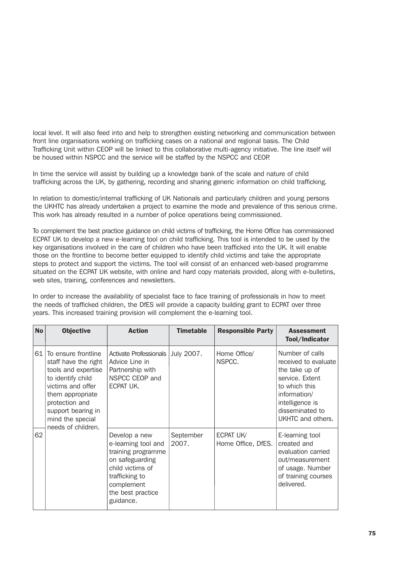local level. It will also feed into and help to strengthen existing networking and communication between front line organisations working on trafficking cases on a national and regional basis. The Child Trafficking Unit within CEOP will be linked to this collaborative multi-agency initiative. The line itself will be housed within NSPCC and the service will be staffed by the NSPCC and CEOP.

In time the service will assist by building up a knowledge bank of the scale and nature of child trafficking across the UK, by gathering, recording and sharing generic information on child trafficking.

In relation to domestic/internal trafficking of UK Nationals and particularly children and young persons the UKHTC has already undertaken a project to examine the mode and prevalence of this serious crime. This work has already resulted in a number of police operations being commissioned.

To complement the best practice guidance on child victims of trafficking, the Home Office has commissioned ECPAT UK to develop a new e-learning tool on child trafficking. This tool is intended to be used by the key organisations involved in the care of children who have been trafficked into the UK. It will enable those on the frontline to become better equipped to identify child victims and take the appropriate steps to protect and support the victims. The tool will consist of an enhanced web-based programme situated on the ECPAT UK website, with online and hard copy materials provided, along with e-bulletins, web sites, training, conferences and newsletters.

In order to increase the availability of specialist face to face training of professionals in how to meet the needs of trafficked children, the DfES will provide a capacity building grant to ECPAT over three years. This increased training provision will complement the e-learning tool.

| <b>No</b> | <b>Objective</b>                                                                                                                                                                                                   | <b>Action</b>                                                                                                                                                       | <b>Timetable</b>   | <b>Responsible Party</b>        | <b>Assessment</b><br>Tool/Indicator                                                                                                                                      |
|-----------|--------------------------------------------------------------------------------------------------------------------------------------------------------------------------------------------------------------------|---------------------------------------------------------------------------------------------------------------------------------------------------------------------|--------------------|---------------------------------|--------------------------------------------------------------------------------------------------------------------------------------------------------------------------|
| 61 I      | To ensure frontline<br>staff have the right<br>tools and expertise<br>to identify child<br>victims and offer<br>them appropriate<br>protection and<br>support bearing in<br>mind the special<br>needs of children. | Activate Professionals<br>Advice Line in<br>Partnership with<br>NSPCC CEOP and<br>ECPAT UK.                                                                         | July 2007.         | Home Office/<br>NSPCC.          | Number of calls<br>received to evaluate<br>the take up of<br>service. Extent<br>to which this<br>information/<br>intelligence is<br>disseminated to<br>UKHTC and others. |
| 62        |                                                                                                                                                                                                                    | Develop a new<br>e-learning tool and<br>training programme<br>on safeguarding<br>child victims of<br>trafficking to<br>complement<br>the best practice<br>guidance. | September<br>2007. | ECPAT UK/<br>Home Office, DfES. | E-learning tool<br>created and<br>evaluation carried<br>out/measurement<br>of usage. Number<br>of training courses<br>delivered.                                         |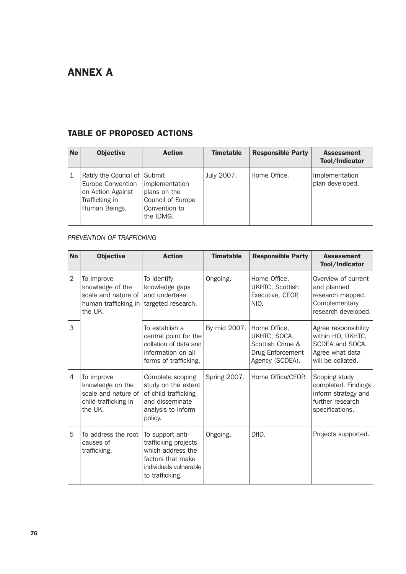# ANNEX A

# TABLE OF PROPOSED ACTIONS

| <b>No</b>   | <b>Objective</b>                                                                                          | <b>Action</b>                                                                     | <b>Timetable</b> | <b>Responsible Party</b> | <b>Assessment</b><br>Tool/Indicator |
|-------------|-----------------------------------------------------------------------------------------------------------|-----------------------------------------------------------------------------------|------------------|--------------------------|-------------------------------------|
| $\mathbf 1$ | Ratify the Council of Submit<br>Europe Convention<br>on Action Against<br>Trafficking in<br>Human Beings. | implementation<br>plans on the<br>Council of Europe<br>Convention to<br>the IDMG. | July 2007.       | Home Office.             | Implementation<br>plan developed.   |

# *PREVENTION OF TRAFFICKING*

| <b>No</b>      | <b>Objective</b>                                                                         | <b>Action</b>                                                                                                                   | <b>Timetable</b> | <b>Responsible Party</b>                                                                | <b>Assessment</b><br>Tool/Indicator                                                                  |
|----------------|------------------------------------------------------------------------------------------|---------------------------------------------------------------------------------------------------------------------------------|------------------|-----------------------------------------------------------------------------------------|------------------------------------------------------------------------------------------------------|
| $\overline{2}$ | To improve<br>knowledge of the<br>scale and nature of<br>human trafficking in<br>the UK. | To identify<br>knowledge gaps<br>and undertake<br>targeted research.                                                            | Ongoing.         | Home Office,<br>UKHTC, Scottish<br>Executive, CEOP,<br>NIO.                             | Overview of current<br>and planned<br>research mapped.<br>Complementary<br>research developed.       |
| 3              |                                                                                          | To establish a<br>central point for the<br>collation of data and<br>information on all<br>forms of trafficking.                 | By mid 2007.     | Home Office,<br>UKHTC, SOCA,<br>Scottish Crime &<br>Drug Enforcement<br>Agency (SCDEA). | Agree responsibility<br>within HO, UKHTC,<br>SCDEA and SOCA.<br>Agree what data<br>will be collated. |
| 4              | To improve<br>knowledge on the<br>scale and nature of<br>child trafficking in<br>the UK. | Complete scoping<br>study on the extent<br>of child trafficking<br>and disseminate<br>analysis to inform<br>policy.             | Spring 2007.     | Home Office/CEOP.                                                                       | Scoping study<br>completed. Findings<br>inform strategy and<br>further research<br>specifications.   |
| 5              | To address the root<br>causes of<br>trafficking.                                         | To support anti-<br>trafficking projects<br>which address the<br>factors that make<br>individuals vulnerable<br>to trafficking. | Ongoing.         | DfID.                                                                                   | Projects supported.                                                                                  |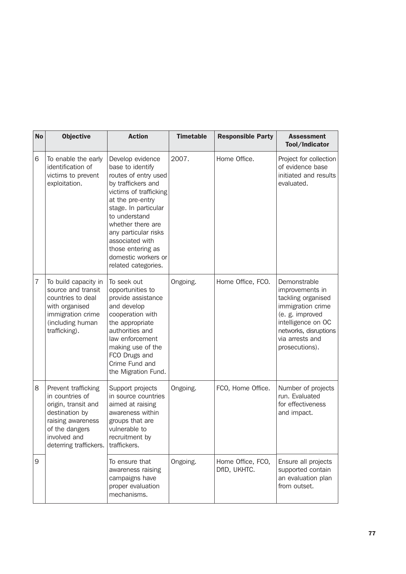| <b>No</b>      | <b>Objective</b>                                                                                                                                                 | <b>Action</b>                                                                                                                                                                                                                                                                                                | <b>Timetable</b> | <b>Responsible Party</b>          | <b>Assessment</b><br>Tool/Indicator                                                                                                                                               |
|----------------|------------------------------------------------------------------------------------------------------------------------------------------------------------------|--------------------------------------------------------------------------------------------------------------------------------------------------------------------------------------------------------------------------------------------------------------------------------------------------------------|------------------|-----------------------------------|-----------------------------------------------------------------------------------------------------------------------------------------------------------------------------------|
| 6              | To enable the early<br>identification of<br>victims to prevent<br>exploitation.                                                                                  | Develop evidence<br>base to identify<br>routes of entry used<br>by traffickers and<br>victims of trafficking<br>at the pre-entry<br>stage. In particular<br>to understand<br>whether there are<br>any particular risks<br>associated with<br>those entering as<br>domestic workers or<br>related categories. | 2007.            | Home Office.                      | Project for collection<br>of evidence base<br>initiated and results<br>evaluated.                                                                                                 |
| $\overline{7}$ | To build capacity in<br>source and transit<br>countries to deal<br>with organised<br>immigration crime<br>(including human<br>trafficking).                      | To seek out<br>opportunities to<br>provide assistance<br>and develop<br>cooperation with<br>the appropriate<br>authorities and<br>law enforcement<br>making use of the<br>FCO Drugs and<br>Crime Fund and<br>the Migration Fund.                                                                             | Ongoing.         | Home Office, FCO.                 | Demonstrable<br>improvements in<br>tackling organised<br>immigration crime<br>(e. g. improved<br>intelligence on OC<br>networks, disruptions<br>via arrests and<br>prosecutions). |
| 8              | Prevent trafficking<br>in countries of<br>origin, transit and<br>destination by<br>raising awareness<br>of the dangers<br>involved and<br>deterring traffickers. | Support projects<br>in source countries<br>aimed at raising<br>awareness within<br>groups that are<br>vulnerable to<br>recruitment by<br>traffickers.                                                                                                                                                        | Ongoing.         | FCO, Home Office.                 | Number of projects<br>run. Evaluated<br>for effectiveness<br>and impact.                                                                                                          |
| 9              |                                                                                                                                                                  | To ensure that<br>awareness raising<br>campaigns have<br>proper evaluation<br>mechanisms.                                                                                                                                                                                                                    | Ongoing.         | Home Office, FCO,<br>DfID, UKHTC. | Ensure all projects<br>supported contain<br>an evaluation plan<br>from outset.                                                                                                    |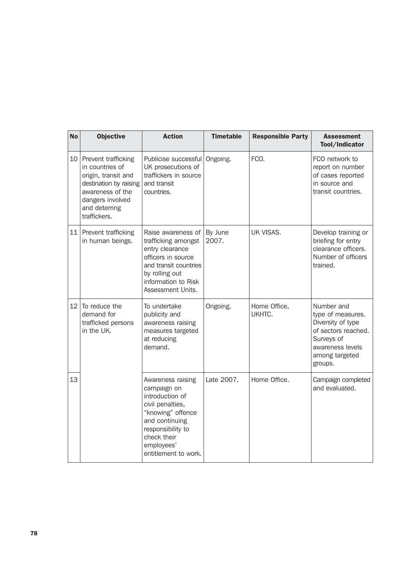| <b>No</b> | <b>Objective</b>                                                                                                                                                 | <b>Action</b>                                                                                                                                                                            | <b>Timetable</b> | <b>Responsible Party</b> | <b>Assessment</b><br>Tool/Indicator                                                                                                        |
|-----------|------------------------------------------------------------------------------------------------------------------------------------------------------------------|------------------------------------------------------------------------------------------------------------------------------------------------------------------------------------------|------------------|--------------------------|--------------------------------------------------------------------------------------------------------------------------------------------|
| 10        | Prevent trafficking<br>in countries of<br>origin, transit and<br>destination by raising<br>awareness of the<br>dangers involved<br>and deterring<br>traffickers. | Publicise successful<br>UK prosecutions of<br>traffickers in source<br>and transit<br>countries.                                                                                         | Ongoing.         | FCO.                     | FCO network to<br>report on number<br>of cases reported<br>in source and<br>transit countries.                                             |
| 11        | Prevent trafficking<br>in human beings.                                                                                                                          | Raise awareness of<br>trafficking amongst<br>entry clearance<br>officers in source<br>and transit countries<br>by rolling out<br>information to Risk<br>Assessment Units.                | By June<br>2007. | UK VISAS.                | Develop training or<br>briefing for entry<br>clearance officers.<br>Number of officers<br>trained.                                         |
| 12        | To reduce the<br>demand for<br>trafficked persons<br>in the UK.                                                                                                  | To undertake<br>publicity and<br>awareness raising<br>measures targeted<br>at reducing<br>demand.                                                                                        | Ongoing.         | Home Office,<br>UKHTC.   | Number and<br>type of measures.<br>Diversity of type<br>of sectors reached.<br>Surveys of<br>awareness levels<br>among targeted<br>groups. |
| 13        |                                                                                                                                                                  | Awareness raising<br>campaign on<br>introduction of<br>civil penalties,<br>"knowing" offence<br>and continuing<br>responsibility to<br>check their<br>employees'<br>entitlement to work. | Late 2007.       | Home Office.             | Campaign completed<br>and evaluated.                                                                                                       |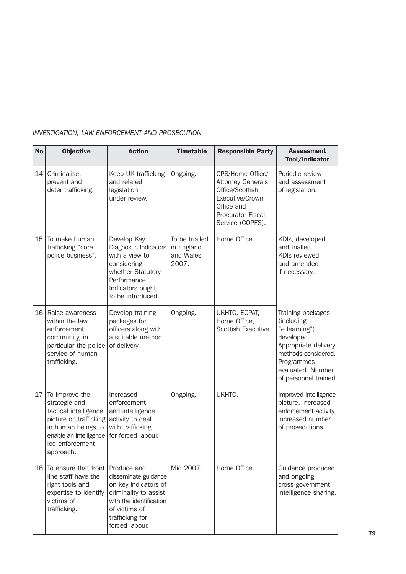# *INVESTIGATION, LAW ENFORCEMENT AND PROSECUTION*

| <b>No</b> | <b>Objective</b>                                                                                                                                                   | <b>Action</b>                                                                                                                                                         | <b>Timetable</b>                                   | <b>Responsible Party</b>                                                                                                                         | <b>Assessment</b><br>Tool/Indicator                                                                                                                                       |
|-----------|--------------------------------------------------------------------------------------------------------------------------------------------------------------------|-----------------------------------------------------------------------------------------------------------------------------------------------------------------------|----------------------------------------------------|--------------------------------------------------------------------------------------------------------------------------------------------------|---------------------------------------------------------------------------------------------------------------------------------------------------------------------------|
| 14        | Criminalise,<br>prevent and<br>deter trafficking.                                                                                                                  | Keep UK trafficking<br>and related<br>legislation<br>under review.                                                                                                    | Ongoing.                                           | CPS/Home Office/<br><b>Attorney Generals</b><br>Office/Scottish<br>Executive/Crown<br>Office and<br><b>Procurator Fiscal</b><br>Service (COPFS). | Periodic review<br>and assessment<br>of legislation.                                                                                                                      |
| 15        | To make human<br>trafficking "core<br>police business".                                                                                                            | Develop Key<br>Diagnostic Indicators<br>with a view to<br>considering<br>whether Statutory<br>Performance<br>Indicators ought<br>to be introduced.                    | To be trialled<br>in England<br>and Wales<br>2007. | Home Office.                                                                                                                                     | KDIs, developed<br>and trialled.<br>KDIs reviewed<br>and amended<br>if necessary.                                                                                         |
| 16        | Raise awareness<br>within the law<br>enforcement<br>community, in<br>particular the police<br>service of human<br>trafficking.                                     | Develop training<br>packages for<br>officers along with<br>a suitable method<br>of delivery.                                                                          | Ongoing.                                           | UKHTC, ECPAT,<br>Home Office,<br>Scottish Executive.                                                                                             | Training packages<br>(including<br>"e learning")<br>developed.<br>Appropriate delivery<br>methods considered.<br>Programmes<br>evaluated. Number<br>of personnel trained. |
| 17        | To improve the<br>strategic and<br>tactical intelligence<br>picture on trafficking<br>in human beings to<br>enable an intelligence<br>led enforcement<br>approach. | Increased<br>enforcement<br>and intelligence<br>activity to deal<br>with trafficking<br>for forced labour.                                                            | Ongoing.                                           | UKHTC.                                                                                                                                           | Improved intelligence<br>picture. Increased<br>enforcement activity,<br>increased number<br>of prosecutions.                                                              |
| 18        | To ensure that front<br>line staff have the<br>right tools and<br>expertise to identify<br>victims of<br>trafficking.                                              | Produce and<br>disseminate guidance<br>on key indicators of<br>criminality to assist<br>with the identification<br>of victims of<br>trafficking for<br>forced labour. | Mid 2007.                                          | Home Office.                                                                                                                                     | Guidance produced<br>and ongoing<br>cross-government<br>intelligence sharing.                                                                                             |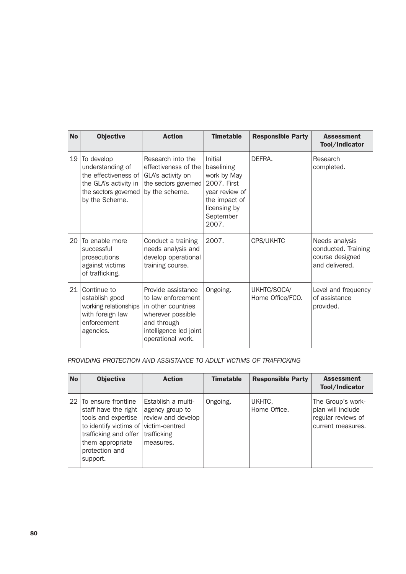| <b>No</b> | <b>Objective</b>                                                                                                          | <b>Action</b>                                                                                                                                     | <b>Timetable</b>                                                                                                             | <b>Responsible Party</b>        | <b>Assessment</b><br>Tool/Indicator                                        |
|-----------|---------------------------------------------------------------------------------------------------------------------------|---------------------------------------------------------------------------------------------------------------------------------------------------|------------------------------------------------------------------------------------------------------------------------------|---------------------------------|----------------------------------------------------------------------------|
| 19        | To develop<br>understanding of<br>the effectiveness of<br>the GLA's activity in<br>the sectors governed<br>by the Scheme. | Research into the<br>effectiveness of the<br>GLA's activity on<br>the sectors governed<br>by the scheme.                                          | Initial<br>baselining<br>work by May<br>2007. First<br>year review of<br>the impact of<br>licensing by<br>September<br>2007. | DFFRA.                          | Research<br>completed.                                                     |
| 20        | To enable more<br>successful<br>prosecutions<br>against victims<br>of trafficking.                                        | Conduct a training<br>needs analysis and<br>develop operational<br>training course.                                                               | 2007.                                                                                                                        | CPS/UKHTC                       | Needs analysis<br>conducted. Training<br>course designed<br>and delivered. |
| 21        | Continue to<br>establish good<br>working relationships<br>with foreign law<br>enforcement<br>agencies.                    | Provide assistance<br>to law enforcement<br>in other countries<br>wherever possible<br>and through<br>intelligence led joint<br>operational work. | Ongoing.                                                                                                                     | UKHTC/SOCA/<br>Home Office/FCO. | Level and frequency<br>of assistance<br>provided.                          |

# *PROVIDING PROTECTION AND ASSISTANCE TO ADULT VICTIMS OF TRAFFICKING*

| <b>No</b> | <b>Objective</b>                                                                                                                                                                          | <b>Action</b>                                                                           | <b>Timetable</b> | <b>Responsible Party</b> | <b>Assessment</b><br>Tool/Indicator                                               |
|-----------|-------------------------------------------------------------------------------------------------------------------------------------------------------------------------------------------|-----------------------------------------------------------------------------------------|------------------|--------------------------|-----------------------------------------------------------------------------------|
|           | 22 To ensure frontline<br>staff have the right<br>tools and expertise<br>to identify victims of victim-centred<br>trafficking and offer<br>them appropriate<br>protection and<br>support. | Establish a multi-<br>agency group to<br>review and develop<br>trafficking<br>measures. | Ongoing.         | UKHTC,<br>Home Office.   | The Group's work-<br>plan will include<br>regular reviews of<br>current measures. |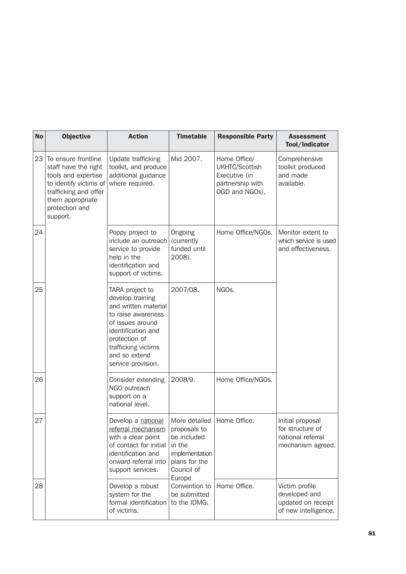| <b>No</b> | <b>Objective</b>                                                                                                                                                        | <b>Action</b>                                                                                                                                                                                              | <b>Timetable</b>                                                                                                  | <b>Responsible Party</b>                                                              | <b>Assessment</b><br>Tool/Indicator                                            |
|-----------|-------------------------------------------------------------------------------------------------------------------------------------------------------------------------|------------------------------------------------------------------------------------------------------------------------------------------------------------------------------------------------------------|-------------------------------------------------------------------------------------------------------------------|---------------------------------------------------------------------------------------|--------------------------------------------------------------------------------|
| 23        | To ensure frontline<br>staff have the right<br>tools and expertise<br>to identify victims of<br>trafficking and offer<br>them appropriate<br>protection and<br>support. | Update trafficking<br>toolkit, and produce<br>additional guidance<br>where required.                                                                                                                       | Mid 2007.                                                                                                         | Home Office/<br>UKHTC/Scottish<br>Executive (in<br>partnership with<br>OGD and NGOs). | Comprehensive<br>toolkit produced<br>and made<br>available.                    |
| 24        |                                                                                                                                                                         | Poppy project to<br>include an outreach<br>service to provide<br>help in the<br>identification and<br>support of victims.                                                                                  | Ongoing<br>(currently<br>funded until<br>2008).                                                                   | Home Office/NGOs.                                                                     | Monitor extent to<br>which service is used<br>and effectiveness.               |
| 25        |                                                                                                                                                                         | TARA project to<br>develop training<br>and written material<br>to raise awareness<br>of issues around<br>identification and<br>protection of<br>trafficking victims<br>and so extend<br>service provision. | 2007/08.                                                                                                          | NGO <sub>s</sub> .                                                                    |                                                                                |
| 26        |                                                                                                                                                                         | Consider extending<br>NGO outreach<br>support on a<br>national level.                                                                                                                                      | 2008/9.                                                                                                           | Home Office/NGOs.                                                                     |                                                                                |
| 27        |                                                                                                                                                                         | Develop a national<br>referral mechanism<br>with a clear point<br>of contact for initial<br>identification and<br>onward referral into<br>support services.                                                | More detailed<br>proposals to<br>be included<br>in the<br>implementation<br>plans for the<br>Council of<br>Europe | Home Office.                                                                          | Initial proposal<br>for structure of<br>national referral<br>mechanism agreed. |
| 28        |                                                                                                                                                                         | Develop a robust<br>system for the<br>formal identification<br>of victims.                                                                                                                                 | Convention to<br>be submitted<br>to the IDMG.                                                                     | Home Office.                                                                          | Victim profile<br>developed and<br>updated on receipt<br>of new intelligence.  |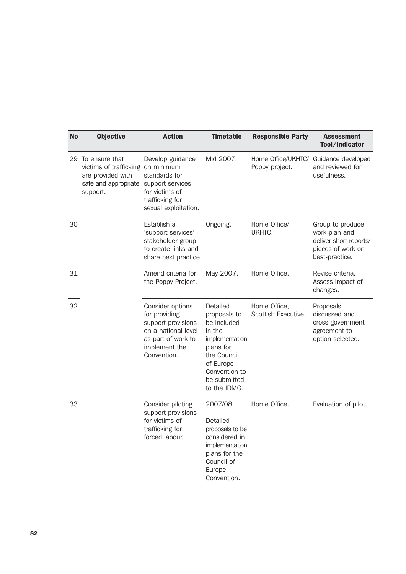| <b>No</b> | <b>Objective</b>                                                                                  | <b>Action</b>                                                                                                                        | <b>Timetable</b>                                                                                                                                              | <b>Responsible Party</b>             | <b>Assessment</b><br>Tool/Indicator                                                                |  |
|-----------|---------------------------------------------------------------------------------------------------|--------------------------------------------------------------------------------------------------------------------------------------|---------------------------------------------------------------------------------------------------------------------------------------------------------------|--------------------------------------|----------------------------------------------------------------------------------------------------|--|
| 29        | To ensure that<br>victims of trafficking<br>are provided with<br>safe and appropriate<br>support. | Develop guidance<br>on minimum<br>standards for<br>support services<br>for victims of<br>trafficking for<br>sexual exploitation.     | Mid 2007.                                                                                                                                                     | Home Office/UKHTC/<br>Poppy project. | Guidance developed<br>and reviewed for<br>usefulness.                                              |  |
| 30        |                                                                                                   | Establish a<br>'support services'<br>stakeholder group<br>to create links and<br>share best practice.                                | Ongoing.                                                                                                                                                      | Home Office/<br>UKHTC.               | Group to produce<br>work plan and<br>deliver short reports/<br>pieces of work on<br>best-practice. |  |
| 31        |                                                                                                   | Amend criteria for<br>the Poppy Project.                                                                                             | May 2007.                                                                                                                                                     | Home Office.                         | Revise criteria.<br>Assess impact of<br>changes.                                                   |  |
| 32        |                                                                                                   | Consider options<br>for providing<br>support provisions<br>on a national level<br>as part of work to<br>implement the<br>Convention. | Detailed<br>proposals to<br>be included<br>in the<br>implementation<br>plans for<br>the Council<br>of Europe<br>Convention to<br>be submitted<br>to the IDMG. | Home Office,<br>Scottish Executive.  | Proposals<br>discussed and<br>cross government<br>agreement to<br>option selected.                 |  |
| 33        |                                                                                                   | Consider piloting<br>support provisions<br>for victims of<br>trafficking for<br>forced labour.                                       | 2007/08<br>Detailed<br>proposals to be<br>considered in<br>implementation<br>plans for the<br>Council of<br>Europe<br>Convention.                             | Home Office.                         | Evaluation of pilot.                                                                               |  |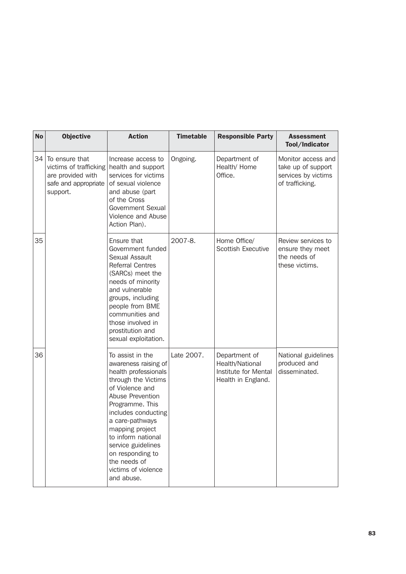| <b>No</b> | <b>Objective</b>                                                                                  | <b>Action</b>                                                                                                                                                                                                                                                                                                                       | <b>Timetable</b> | <b>Responsible Party</b>                                                       | <b>Assessment</b><br>Tool/Indicator                                                |
|-----------|---------------------------------------------------------------------------------------------------|-------------------------------------------------------------------------------------------------------------------------------------------------------------------------------------------------------------------------------------------------------------------------------------------------------------------------------------|------------------|--------------------------------------------------------------------------------|------------------------------------------------------------------------------------|
| 34        | To ensure that<br>victims of trafficking<br>are provided with<br>safe and appropriate<br>support. | Increase access to<br>health and support<br>services for victims<br>of sexual violence<br>and abuse (part<br>of the Cross<br><b>Government Sexual</b><br>Violence and Abuse<br>Action Plan).                                                                                                                                        | Ongoing.         | Department of<br>Health/ Home<br>Office.                                       | Monitor access and<br>take up of support<br>services by victims<br>of trafficking. |
| 35        |                                                                                                   | Ensure that<br>Government funded<br>Sexual Assault<br><b>Referral Centres</b><br>(SARCs) meet the<br>needs of minority<br>and vulnerable<br>groups, including<br>people from BME<br>communities and<br>those involved in<br>prostitution and<br>sexual exploitation.                                                                | 2007-8.          | Home Office/<br>Scottish Executive                                             | Review services to<br>ensure they meet<br>the needs of<br>these victims.           |
| 36        |                                                                                                   | To assist in the<br>awareness raising of<br>health professionals<br>through the Victims<br>of Violence and<br>Abuse Prevention<br>Programme. This<br>includes conducting<br>a care-pathways<br>mapping project<br>to inform national<br>service guidelines<br>on responding to<br>the needs of<br>victims of violence<br>and abuse. | Late 2007.       | Department of<br>Health/National<br>Institute for Mental<br>Health in England. | National guidelines<br>produced and<br>disseminated.                               |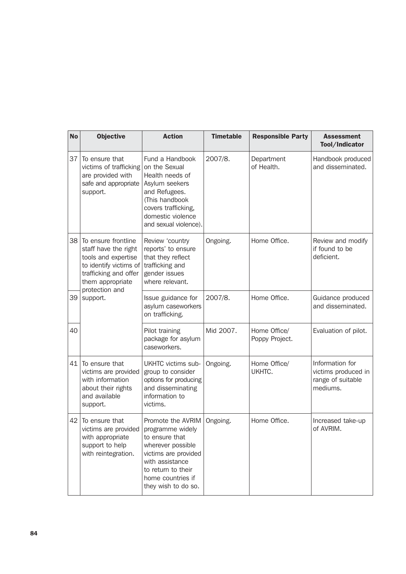| <b>No</b> | <b>Objective</b>                                                                                                                                                                                                                                                                                  | <b>Action</b>                                                                                                                                                                 | <b>Timetable</b> | <b>Responsible Party</b>       | <b>Assessment</b><br>Tool/Indicator                                     |
|-----------|---------------------------------------------------------------------------------------------------------------------------------------------------------------------------------------------------------------------------------------------------------------------------------------------------|-------------------------------------------------------------------------------------------------------------------------------------------------------------------------------|------------------|--------------------------------|-------------------------------------------------------------------------|
| 37        | To ensure that<br>victims of trafficking<br>are provided with<br>safe and appropriate<br>support.                                                                                                                                                                                                 | Fund a Handbook<br>on the Sexual<br>Health needs of<br>Asylum seekers<br>and Refugees.<br>(This handbook<br>covers trafficking,<br>domestic violence<br>and sexual violence). | 2007/8.          | Department<br>of Health.       | Handbook produced<br>and disseminated.                                  |
| 38        | To ensure frontline<br>staff have the right<br>tools and expertise<br>to identify victims of<br>trafficking and offer<br>them appropriate<br>protection and                                                                                                                                       | Review 'country<br>reports' to ensure<br>that they reflect<br>trafficking and<br>gender issues<br>where relevant.                                                             | Ongoing.         | Home Office.                   | Review and modify<br>if found to be<br>deficient.                       |
| 39        | support.                                                                                                                                                                                                                                                                                          | Issue guidance for<br>asylum caseworkers<br>on trafficking.                                                                                                                   | 2007/8.          | Home Office.                   | Guidance produced<br>and disseminated.                                  |
| 40        |                                                                                                                                                                                                                                                                                                   | Pilot training<br>package for asylum<br>caseworkers.                                                                                                                          | Mid 2007.        | Home Office/<br>Poppy Project. | Evaluation of pilot.                                                    |
| 41        | To ensure that<br>UKHTC victims sub-<br>victims are provided<br>group to consider<br>with information<br>options for producing<br>and disseminating<br>about their rights<br>information to<br>and available<br>victims.<br>support.                                                              |                                                                                                                                                                               | Ongoing.         | Home Office/<br>UKHTC.         | Information for<br>victims produced in<br>range of suitable<br>mediums. |
| 42        | To ensure that<br>Promote the AVRIM<br>victims are provided<br>programme widely<br>with appropriate<br>to ensure that<br>support to help<br>wherever possible<br>with reintegration.<br>victims are provided<br>with assistance<br>to return to their<br>home countries if<br>they wish to do so. |                                                                                                                                                                               | Ongoing.         | Home Office.                   | Increased take-up<br>of AVRIM.                                          |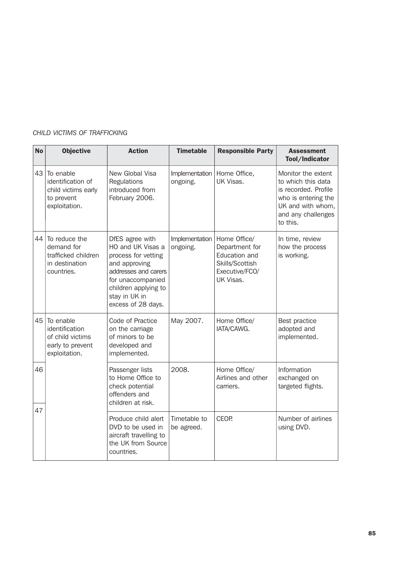| <b>No</b> | <b>Objective</b>                                                                     | <b>Action</b>                                                                                                                                                                            | <b>Timetable</b>           | <b>Responsible Party</b>                                                                          | <b>Assessment</b><br>Tool/Indicator                                                                                                            |
|-----------|--------------------------------------------------------------------------------------|------------------------------------------------------------------------------------------------------------------------------------------------------------------------------------------|----------------------------|---------------------------------------------------------------------------------------------------|------------------------------------------------------------------------------------------------------------------------------------------------|
| 43        | To enable<br>identification of<br>child victims early<br>to prevent<br>exploitation. | New Global Visa<br>Regulations<br>introduced from<br>February 2006.                                                                                                                      | Implementation<br>ongoing. | Home Office,<br>UK Visas.                                                                         | Monitor the extent<br>to which this data<br>is recorded. Profile<br>who is entering the<br>UK and with whom,<br>and any challenges<br>to this. |
| 44        | To reduce the<br>demand for<br>trafficked children<br>in destination<br>countries.   | DfES agree with<br>HO and UK Visas a<br>process for vetting<br>and approving<br>addresses and carers<br>for unaccompanied<br>children applying to<br>stay in UK in<br>excess of 28 days. | Implementation<br>ongoing. | Home Office/<br>Department for<br>Education and<br>Skills/Scottish<br>Executive/FCO/<br>UK Visas. | In time, review<br>how the process<br>is working.                                                                                              |
| 45        | To enable<br>identification<br>of child victims<br>early to prevent<br>exploitation. | Code of Practice<br>on the carriage<br>of minors to be<br>developed and<br>implemented.                                                                                                  | May 2007.                  | Home Office/<br>IATA/CAWG.                                                                        | Best practice<br>adopted and<br>implemented.                                                                                                   |
| 46        |                                                                                      | Passenger lists<br>to Home Office to<br>check potential<br>offenders and<br>children at risk.                                                                                            | 2008.                      | Home Office/<br>Airlines and other<br>carriers.                                                   | Information<br>exchanged on<br>targeted flights.                                                                                               |
| 47        |                                                                                      | Produce child alert<br>DVD to be used in<br>aircraft travelling to<br>the UK from Source<br>countries.                                                                                   | Timetable to<br>be agreed. | CEOP.                                                                                             | Number of airlines<br>using DVD.                                                                                                               |

# *CHILD VICTIMS OF TRAFFICKING*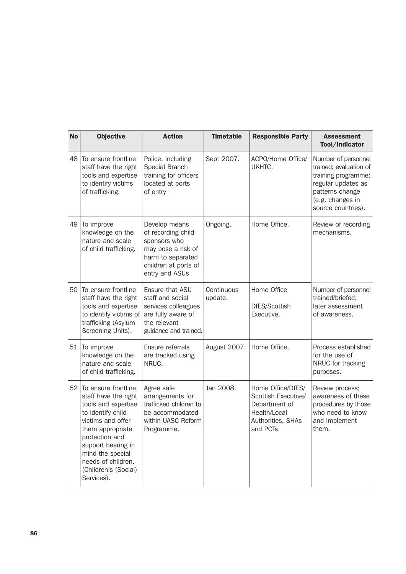| <b>No</b> | <b>Objective</b>                                                                                                                                                                                                                                         | <b>Action</b>                                                                                                                            | <b>Timetable</b>      | <b>Responsible Party</b>                                                                                    | <b>Assessment</b><br>Tool/Indicator                                                                                                                     |
|-----------|----------------------------------------------------------------------------------------------------------------------------------------------------------------------------------------------------------------------------------------------------------|------------------------------------------------------------------------------------------------------------------------------------------|-----------------------|-------------------------------------------------------------------------------------------------------------|---------------------------------------------------------------------------------------------------------------------------------------------------------|
| 48        | To ensure frontline<br>staff have the right<br>tools and expertise<br>to identify victims<br>of trafficking.                                                                                                                                             | Police, including<br>Special Branch<br>training for officers<br>located at ports<br>of entry                                             | Sept 2007.            | ACPO/Home Office/<br>UKHTC.                                                                                 | Number of personnel<br>trained; evaluation of<br>training programme;<br>regular updates as<br>patterns change<br>(e.g. changes in<br>source countries). |
| 49        | To improve<br>knowledge on the<br>nature and scale<br>of child trafficking.                                                                                                                                                                              | Develop means<br>of recording child<br>sponsors who<br>may pose a risk of<br>harm to separated<br>children at ports of<br>entry and ASUs | Ongoing.              | Home Office.                                                                                                | Review of recording<br>mechanisms.                                                                                                                      |
| 50        | To ensure frontline<br>staff have the right<br>tools and expertise<br>to identify victims of<br>trafficking (Asylum<br>Screening Units).                                                                                                                 | Ensure that ASU<br>staff and social<br>services colleagues<br>are fully aware of<br>the relevant<br>guidance and trained.                | Continuous<br>update. | Home Office<br>DfES/Scottish<br>Executive.                                                                  | Number of personnel<br>trained/briefed;<br>later assessment<br>of awareness.                                                                            |
| 51        | To improve<br>knowledge on the<br>nature and scale<br>of child trafficking.                                                                                                                                                                              | Ensure referrals<br>are tracked using<br>NRUC.                                                                                           | August 2007.          | Home Office.                                                                                                | Process established<br>for the use of<br>NRUC for tracking<br>purposes.                                                                                 |
| 52        | To ensure frontline<br>staff have the right<br>tools and expertise<br>to identify child<br>victims and offer<br>them appropriate<br>protection and<br>support bearing in<br>mind the special<br>needs of children.<br>(Children's (Social)<br>Services). | Agree safe<br>arrangements for<br>trafficked children to<br>be accommodated<br>within UASC Reform<br>Programme.                          | Jan 2008.             | Home Office/DfES/<br>Scottish Executive/<br>Department of<br>Health/Local<br>Authorities, SHAs<br>and PCTs. | Review process;<br>awareness of these<br>procedures by those<br>who need to know<br>and implement<br>them.                                              |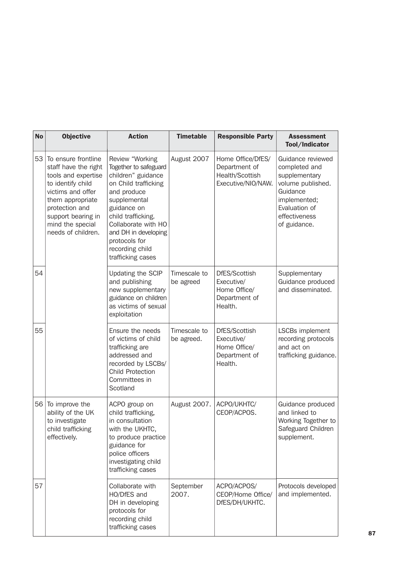| <b>No</b> | <b>Objective</b>                                                                                                                                                                                                                                                              | <b>Action</b>                                                                                                                                                                                                                                                      | <b>Timetable</b>           | <b>Responsible Party</b>                                                    | <b>Assessment</b><br>Tool/Indicator                                                                                                                    |
|-----------|-------------------------------------------------------------------------------------------------------------------------------------------------------------------------------------------------------------------------------------------------------------------------------|--------------------------------------------------------------------------------------------------------------------------------------------------------------------------------------------------------------------------------------------------------------------|----------------------------|-----------------------------------------------------------------------------|--------------------------------------------------------------------------------------------------------------------------------------------------------|
| 53        | To ensure frontline<br>staff have the right<br>tools and expertise<br>to identify child<br>victims and offer<br>them appropriate<br>protection and<br>support bearing in<br>mind the special<br>needs of children.                                                            | Review "Working<br>Together to safeguard<br>children" guidance<br>on Child trafficking<br>and produce<br>supplemental<br>guidance on<br>child trafficking.<br>Collaborate with HO<br>and DH in developing<br>protocols for<br>recording child<br>trafficking cases | August 2007                | Home Office/DfES/<br>Department of<br>Health/Scottish<br>Executive/NIO/NAW. | Guidance reviewed<br>completed and<br>supplementary<br>volume published.<br>Guidance<br>implemented;<br>Evaluation of<br>effectiveness<br>of guidance. |
| 54        |                                                                                                                                                                                                                                                                               | <b>Updating the SCIP</b><br>and publishing<br>new supplementary<br>guidance on children<br>as victims of sexual<br>exploitation                                                                                                                                    | Timescale to<br>be agreed  | DfES/Scottish<br>Executive/<br>Home Office/<br>Department of<br>Health.     | Supplementary<br>Guidance produced<br>and disseminated.                                                                                                |
| 55        |                                                                                                                                                                                                                                                                               | Ensure the needs<br>of victims of child<br>trafficking are<br>addressed and<br>recorded by LSCBs/<br><b>Child Protection</b><br>Committees in<br>Scotland                                                                                                          | Timescale to<br>be agreed. | DfES/Scottish<br>Executive/<br>Home Office/<br>Department of<br>Health.     | LSCBs implement<br>recording protocols<br>and act on<br>trafficking guidance.                                                                          |
| 56        | To improve the<br>ACPO group on<br>child trafficking,<br>ability of the UK<br>to investigate<br>in consultation<br>child trafficking<br>with the UKHTC,<br>effectively.<br>to produce practice<br>guidance for<br>police officers<br>investigating child<br>trafficking cases |                                                                                                                                                                                                                                                                    | August 2007.               | ACPO/UKHTC/<br>CEOP/ACPOS.                                                  | Guidance produced<br>and linked to<br>Working Together to<br>Safeguard Children<br>supplement.                                                         |
| 57        |                                                                                                                                                                                                                                                                               | Collaborate with<br>HO/DfES and<br>DH in developing<br>protocols for<br>recording child<br>trafficking cases                                                                                                                                                       | September<br>2007.         | ACPO/ACPOS/<br>CEOP/Home Office/<br>DfES/DH/UKHTC.                          | Protocols developed<br>and implemented.                                                                                                                |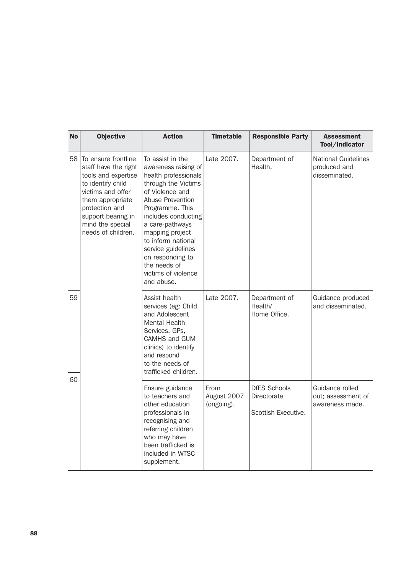| <b>No</b> | <b>Objective</b>                                                                                                                                                                                                   | <b>Action</b>                                                                                                                                                                                                                                                                                                                       | <b>Timetable</b>                  | <b>Responsible Party</b>                                  | <b>Assessment</b><br>Tool/Indicator                         |
|-----------|--------------------------------------------------------------------------------------------------------------------------------------------------------------------------------------------------------------------|-------------------------------------------------------------------------------------------------------------------------------------------------------------------------------------------------------------------------------------------------------------------------------------------------------------------------------------|-----------------------------------|-----------------------------------------------------------|-------------------------------------------------------------|
| 58        | To ensure frontline<br>staff have the right<br>tools and expertise<br>to identify child<br>victims and offer<br>them appropriate<br>protection and<br>support bearing in<br>mind the special<br>needs of children. | To assist in the<br>awareness raising of<br>health professionals<br>through the Victims<br>of Violence and<br>Abuse Prevention<br>Programme. This<br>includes conducting<br>a care-pathways<br>mapping project<br>to inform national<br>service guidelines<br>on responding to<br>the needs of<br>victims of violence<br>and abuse. | Late 2007.                        | Department of<br>Health.                                  | <b>National Guidelines</b><br>produced and<br>disseminated. |
| 59<br>60  |                                                                                                                                                                                                                    | Assist health<br>services (eg: Child<br>and Adolescent<br>Mental Health<br>Services, GPs,<br>CAMHS and GUM<br>clinics) to identify<br>and respond<br>to the needs of<br>trafficked children.                                                                                                                                        | Late 2007.                        | Department of<br>Health/<br>Home Office.                  | Guidance produced<br>and disseminated.                      |
|           |                                                                                                                                                                                                                    | Ensure guidance<br>to teachers and<br>other education<br>professionals in<br>recognising and<br>referring children<br>who may have<br>been trafficked is<br>included in WTSC<br>supplement.                                                                                                                                         | From<br>August 2007<br>(ongoing). | <b>DfES Schools</b><br>Directorate<br>Scottish Executive. | Guidance rolled<br>out; assessment of<br>awareness made.    |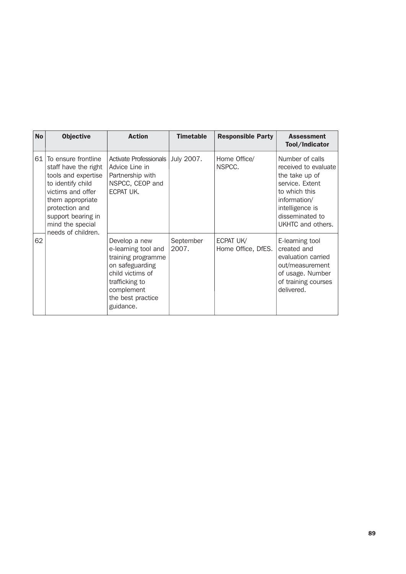| <b>No</b> | <b>Objective</b>                                                                                                                                                                                                   | <b>Action</b>                                                                                                                                                       | <b>Timetable</b>   | <b>Responsible Party</b>        | <b>Assessment</b><br>Tool/Indicator                                                                                                                                      |
|-----------|--------------------------------------------------------------------------------------------------------------------------------------------------------------------------------------------------------------------|---------------------------------------------------------------------------------------------------------------------------------------------------------------------|--------------------|---------------------------------|--------------------------------------------------------------------------------------------------------------------------------------------------------------------------|
| 61        | To ensure frontline<br>staff have the right<br>tools and expertise<br>to identify child<br>victims and offer<br>them appropriate<br>protection and<br>support bearing in<br>mind the special<br>needs of children. | Activate Professionals  <br>Advice Line in<br>Partnership with<br>NSPCC, CEOP and<br>ECPAT UK.                                                                      | July 2007.         | Home Office/<br>NSPCC.          | Number of calls<br>received to evaluate<br>the take up of<br>service. Extent<br>to which this<br>information/<br>intelligence is<br>disseminated to<br>UKHTC and others. |
| 62        |                                                                                                                                                                                                                    | Develop a new<br>e-learning tool and<br>training programme<br>on safeguarding<br>child victims of<br>trafficking to<br>complement<br>the best practice<br>guidance. | September<br>2007. | ECPAT UK/<br>Home Office, DfES. | E-learning tool<br>created and<br>evaluation carried<br>out/measurement<br>of usage. Number<br>of training courses<br>delivered.                                         |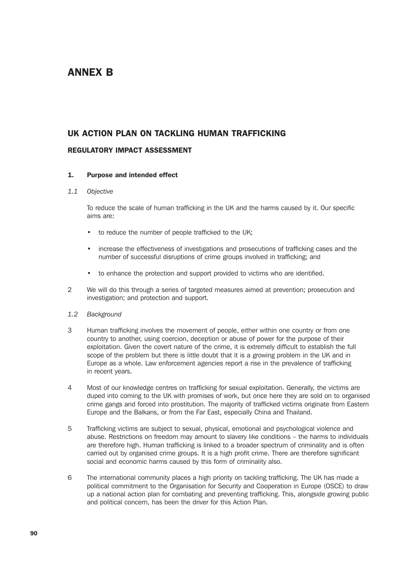# ANNEX B

# UK ACTION PLAN ON TACKLING HUMAN TRAFFICKING

### REGULATORY IMPACT ASSESSMENT

### 1. Purpose and intended effect

### *1.1 Objective*

To reduce the scale of human trafficking in the UK and the harms caused by it. Our specific aims are:

- to reduce the number of people trafficked to the UK;
- increase the effectiveness of investigations and prosecutions of trafficking cases and the number of successful disruptions of crime groups involved in trafficking; and
- to enhance the protection and support provided to victims who are identified.
- 2 We will do this through a series of targeted measures aimed at prevention; prosecution and investigation; and protection and support.
- *1.2 Background*
- 3 Human trafficking involves the movement of people, either within one country or from one country to another, using coercion, deception or abuse of power for the purpose of their exploitation. Given the covert nature of the crime, it is extremely difficult to establish the full scope of the problem but there is little doubt that it is a growing problem in the UK and in Europe as a whole. Law enforcement agencies report a rise in the prevalence of trafficking in recent years.
- 4 Most of our knowledge centres on trafficking for sexual exploitation. Generally, the victims are duped into coming to the UK with promises of work, but once here they are sold on to organised crime gangs and forced into prostitution. The majority of trafficked victims originate from Eastern Europe and the Balkans, or from the Far East, especially China and Thailand.
- 5 Trafficking victims are subject to sexual, physical, emotional and psychological violence and abuse. Restrictions on freedom may amount to slavery like conditions – the harms to individuals are therefore high. Human trafficking is linked to a broader spectrum of criminality and is often carried out by organised crime groups. It is a high profit crime. There are therefore significant social and economic harms caused by this form of criminality also.
- 6 The international community places a high priority on tackling trafficking. The UK has made a political commitment to the Organisation for Security and Cooperation in Europe (OSCE) to draw up a national action plan for combating and preventing trafficking. This, alongside growing public and political concern, has been the driver for this Action Plan.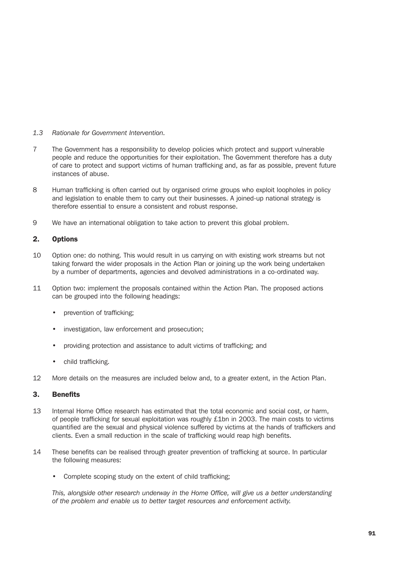- *1.3 Rationale for Government Intervention.*
- 7 The Government has a responsibility to develop policies which protect and support vulnerable people and reduce the opportunities for their exploitation. The Government therefore has a duty of care to protect and support victims of human trafficking and, as far as possible, prevent future instances of abuse.
- 8 Human trafficking is often carried out by organised crime groups who exploit loopholes in policy and legislation to enable them to carry out their businesses. A joined-up national strategy is therefore essential to ensure a consistent and robust response.
- 9 We have an international obligation to take action to prevent this global problem.

### 2. Options

- 10 Option one: do nothing. This would result in us carrying on with existing work streams but not taking forward the wider proposals in the Action Plan or joining up the work being undertaken by a number of departments, agencies and devolved administrations in a co-ordinated way.
- 11 Option two: implement the proposals contained within the Action Plan. The proposed actions can be grouped into the following headings:
	- prevention of trafficking;
	- investigation, law enforcement and prosecution;
	- providing protection and assistance to adult victims of trafficking; and
	- child trafficking.
- 12 More details on the measures are included below and, to a greater extent, in the Action Plan.

### 3. Benefits

- 13 Internal Home Office research has estimated that the total economic and social cost, or harm, of people trafficking for sexual exploitation was roughly £1bn in 2003. The main costs to victims quantified are the sexual and physical violence suffered by victims at the hands of traffickers and clients. Even a small reduction in the scale of trafficking would reap high benefits.
- 14 These benefits can be realised through greater prevention of trafficking at source. In particular the following measures:
	- Complete scoping study on the extent of child trafficking;

*This, alongside other research underway in the Home Office, will give us a better understanding of the problem and enable us to better target resources and enforcement activity.*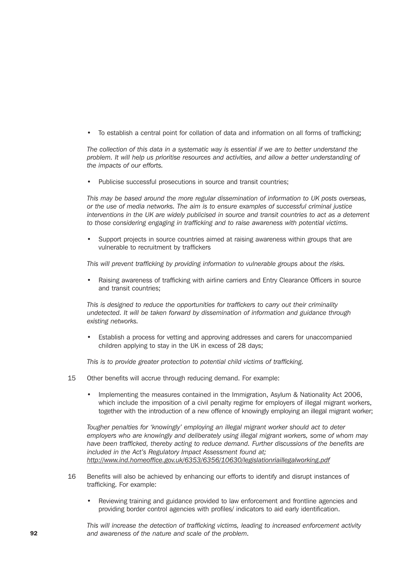• To establish a central point for collation of data and information on all forms of trafficking;

*The collection of this data in a systematic way is essential if we are to better understand the problem. It will help us prioritise resources and activities, and allow a better understanding of the impacts of our efforts.*

Publicise successful prosecutions in source and transit countries;

*This may be based around the more regular dissemination of information to UK posts overseas, or the use of media networks. The aim is to ensure examples of successful criminal justice interventions in the UK are widely publicised in source and transit countries to act as a deterrent to those considering engaging in trafficking and to raise awareness with potential victims.*

Support projects in source countries aimed at raising awareness within groups that are vulnerable to recruitment by traffickers

*This will prevent trafficking by providing information to vulnerable groups about the risks.*

• Raising awareness of trafficking with airline carriers and Entry Clearance Officers in source and transit countries;

*This is designed to reduce the opportunities for traffickers to carry out their criminality undetected. It will be taken forward by dissemination of information and guidance through existing networks.*

• Establish a process for vetting and approving addresses and carers for unaccompanied children applying to stay in the UK in excess of 28 days;

*This is to provide greater protection to potential child victims of trafficking.*

- 15 Other benefits will accrue through reducing demand. For example:
	- Implementing the measures contained in the Immigration, Asylum & Nationality Act 2006, which include the imposition of a civil penalty regime for employers of illegal migrant workers, together with the introduction of a new offence of knowingly employing an illegal migrant worker;

*Tougher penalties for 'knowingly' employing an illegal migrant worker should act to deter employers who are knowingly and deliberately using illegal migrant workers, some of whom may have been trafficked, thereby acting to reduce demand. Further discussions of the benefits are included in the Act's Regulatory Impact Assessment found at; http://www.ind.homeoffice.gov.uk/6353/6356/10630/legislationriaillegalworking.pdf*

- 16 Benefits will also be achieved by enhancing our efforts to identify and disrupt instances of trafficking. For example:
	- Reviewing training and guidance provided to law enforcement and frontline agencies and providing border control agencies with profiles/ indicators to aid early identification.

*This will increase the detection of trafficking victims, leading to increased enforcement activity* 92 *and awareness of the nature and scale of the problem.*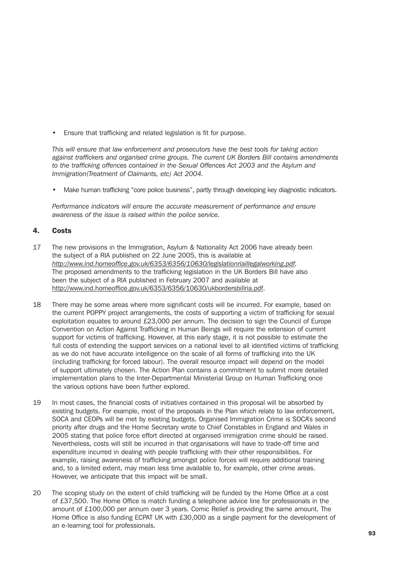• Ensure that trafficking and related legislation is fit for purpose.

*This will ensure that law enforcement and prosecutors have the best tools for taking action against traffickers and organised crime groups. The current UK Borders Bill contains amendments to the trafficking offences contained in the Sexual Offences Act 2003 and the Asylum and Immigration(Treatment of Claimants, etc) Act 2004.*

Make human trafficking "core police business", partly through developing key diagnostic indicators.

*Performance indicators will ensure the accurate measurement of performance and ensure awareness of the issue is raised within the police service.*

## 4. Costs

- 17 The new provisions in the Immigration, Asylum & Nationality Act 2006 have already been the subject of a RIA published on 22 June 2005, this is available at *http://www.ind.homeoffice.gov.uk/6353/6356/10630/legislationriaillegalworking.pdf.* The proposed amendments to the trafficking legislation in the UK Borders Bill have also been the subject of a RIA published in February 2007 and available at http://www.ind.homeoffice.gov.uk/6353/6356/10630/ukbordersbillria.pdf.
- 18 There may be some areas where more significant costs will be incurred. For example, based on the current POPPY project arrangements, the costs of supporting a victim of trafficking for sexual exploitation equates to around £23,000 per annum. The decision to sign the Council of Europe Convention on Action Against Trafficking in Human Beings will require the extension of current support for victims of trafficking. However, at this early stage, it is not possible to estimate the full costs of extending the support services on a national level to all identified victims of trafficking as we do not have accurate intelligence on the scale of all forms of trafficking into the UK (including trafficking for forced labour). The overall resource impact will depend on the model of support ultimately chosen. The Action Plan contains a commitment to submit more detailed implementation plans to the Inter-Departmental Ministerial Group on Human Trafficking once the various options have been further explored.
- 19 In most cases, the financial costs of initiatives contained in this proposal will be absorbed by existing budgets. For example, most of the proposals in the Plan which relate to law enforcement, SOCA and CEOPs will be met by existing budgets. Organised Immigration Crime is SOCA's second priority after drugs and the Home Secretary wrote to Chief Constables in England and Wales in 2005 stating that police force effort directed at organised immigration crime should be raised. Nevertheless, costs will still be incurred in that organisations will have to trade-off time and expenditure incurred in dealing with people trafficking with their other responsibilities. For example, raising awareness of trafficking amongst police forces will require additional training and, to a limited extent, may mean less time available to, for example, other crime areas. However, we anticipate that this impact will be small.
- 20 The scoping study on the extent of child trafficking will be funded by the Home Office at a cost of £37,500. The Home Office is match funding a telephone advice line for professionals in the amount of £100,000 per annum over 3 years. Comic Relief is providing the same amount. The Home Office is also funding ECPAT UK with £30,000 as a single payment for the development of an e-learning tool for professionals.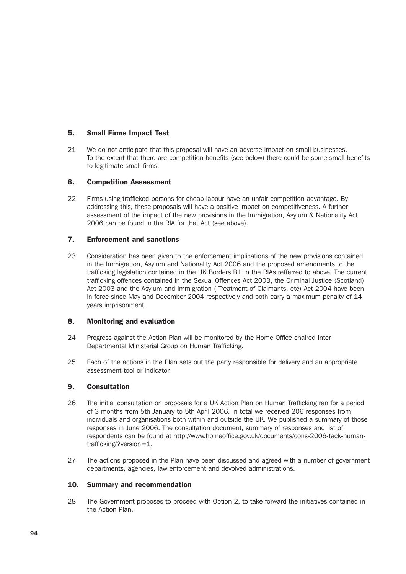### 5. Small Firms Impact Test

21 We do not anticipate that this proposal will have an adverse impact on small businesses. To the extent that there are competition benefits (see below) there could be some small benefits to legitimate small firms.

## 6. Competition Assessment

22 Firms using trafficked persons for cheap labour have an unfair competition advantage. By addressing this, these proposals will have a positive impact on competitiveness. A further assessment of the impact of the new provisions in the Immigration, Asylum & Nationality Act 2006 can be found in the RIA for that Act (see above).

## 7. Enforcement and sanctions

23 Consideration has been given to the enforcement implications of the new provisions contained in the Immigration, Asylum and Nationality Act 2006 and the proposed amendments to the trafficking legislation contained in the UK Borders Bill in the RIAs refferred to above. The current trafficking offences contained in the Sexual Offences Act 2003, the Criminal Justice (Scotland) Act 2003 and the Asylum and Immigration ( Treatment of Claimants, etc) Act 2004 have been in force since May and December 2004 respectively and both carry a maximum penalty of 14 years imprisonment.

### 8. Monitoring and evaluation

- 24 Progress against the Action Plan will be monitored by the Home Office chaired Inter-Departmental Ministerial Group on Human Trafficking.
- 25 Each of the actions in the Plan sets out the party responsible for delivery and an appropriate assessment tool or indicator.

### 9. Consultation

- 26 The initial consultation on proposals for a UK Action Plan on Human Trafficking ran for a period of 3 months from 5th January to 5th April 2006. In total we received 206 responses from individuals and organisations both within and outside the UK. We published a summary of those responses in June 2006. The consultation document, summary of responses and list of respondents can be found at http://www.homeoffice.gov.uk/documents/cons-2006-tack-humantrafficking/?version=1.
- 27 The actions proposed in the Plan have been discussed and agreed with a number of government departments, agencies, law enforcement and devolved administrations.

### 10. Summary and recommendation

28 The Government proposes to proceed with Option 2, to take forward the initiatives contained in the Action Plan.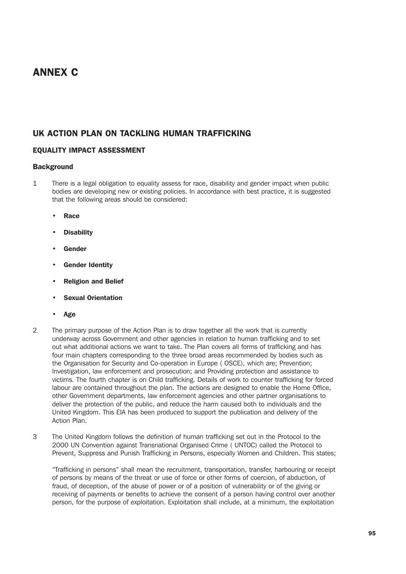# ANNEX C

# UK ACTION PLAN ON TACKLING HUMAN TRAFFICKING

# EQUALITY IMPACT ASSESSMENT

### **Background**

- 1 There is a legal obligation to equality assess for race, disability and gender impact when public bodies are developing new or existing policies. In accordance with best practice, it is suggested that the following areas should be considered:
	- Race
	- **Disability**
	- **Gender**
	- **Gender Identity**
	- Religion and Belief
	- Sexual Orientation
	- Age
- 2 The primary purpose of the Action Plan is to draw together all the work that is currently underway across Government and other agencies in relation to human trafficking and to set out what additional actions we want to take. The Plan covers all forms of trafficking and has four main chapters corresponding to the three broad areas recommended by bodies such as the Organisation for Security and Co-operation in Europe ( OSCE), which are; Prevention; Investigation, law enforcement and prosecution; and Providing protection and assistance to victims. The fourth chapter is on Child trafficking. Details of work to counter trafficking for forced labour are contained throughout the plan. The actions are designed to enable the Home Office, other Government departments, law enforcement agencies and other partner organisations to deliver the protection of the public, and reduce the harm caused both to individuals and the United Kingdom. This EIA has been produced to support the publication and delivery of the Action Plan.
- 3 The United Kingdom follows the definition of human trafficking set out in the Protocol to the 2000 UN Convention against Transnational Organised Crime ( UNTOC) called the Protocol to Prevent, Suppress and Punish Trafficking in Persons, especially Women and Children. This states;

"Trafficking in persons" shall mean the recruitment, transportation, transfer, harbouring or receipt of persons by means of the threat or use of force or other forms of coercion, of abduction, of fraud, of deception, of the abuse of power or of a position of vulnerability or of the giving or receiving of payments or benefits to achieve the consent of a person having control over another person, for the purpose of exploitation. Exploitation shall include, at a minimum, the exploitation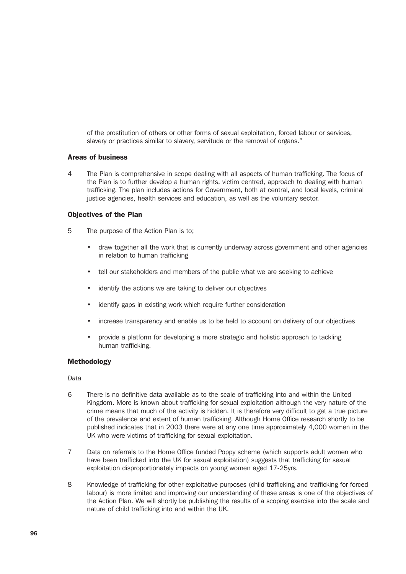of the prostitution of others or other forms of sexual exploitation, forced labour or services, slavery or practices similar to slavery, servitude or the removal of organs."

### Areas of business

4 The Plan is comprehensive in scope dealing with all aspects of human trafficking. The focus of the Plan is to further develop a human rights, victim centred, approach to dealing with human trafficking. The plan includes actions for Government, both at central, and local levels, criminal justice agencies, health services and education, as well as the voluntary sector.

### Objectives of the Plan

- 5 The purpose of the Action Plan is to;
	- draw together all the work that is currently underway across government and other agencies in relation to human trafficking
	- tell our stakeholders and members of the public what we are seeking to achieve
	- identify the actions we are taking to deliver our objectives
	- identify gaps in existing work which require further consideration
	- increase transparency and enable us to be held to account on delivery of our objectives
	- provide a platform for developing a more strategic and holistic approach to tackling human trafficking.

### Methodology

### *Data*

- 6 There is no definitive data available as to the scale of trafficking into and within the United Kingdom. More is known about trafficking for sexual exploitation although the very nature of the crime means that much of the activity is hidden. It is therefore very difficult to get a true picture of the prevalence and extent of human trafficking. Although Home Office research shortly to be published indicates that in 2003 there were at any one time approximately 4,000 women in the UK who were victims of trafficking for sexual exploitation.
- 7 Data on referrals to the Home Office funded Poppy scheme (which supports adult women who have been trafficked into the UK for sexual exploitation) suggests that trafficking for sexual exploitation disproportionately impacts on young women aged 17-25yrs.
- 8 Knowledge of trafficking for other exploitative purposes (child trafficking and trafficking for forced labour) is more limited and improving our understanding of these areas is one of the objectives of the Action Plan. We will shortly be publishing the results of a scoping exercise into the scale and nature of child trafficking into and within the UK.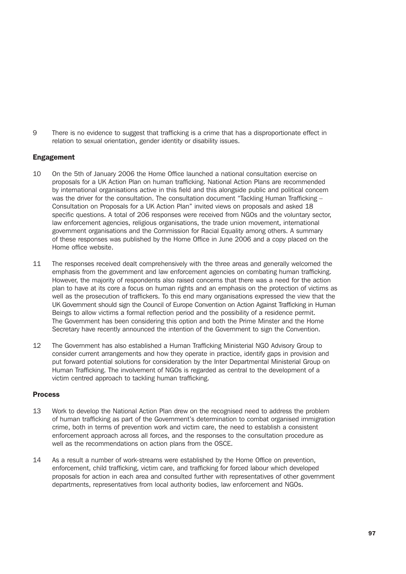9 There is no evidence to suggest that trafficking is a crime that has a disproportionate effect in relation to sexual orientation, gender identity or disability issues.

## Engagement

- 10 On the 5th of January 2006 the Home Office launched a national consultation exercise on proposals for a UK Action Plan on human trafficking. National Action Plans are recommended by international organisations active in this field and this alongside public and political concern was the driver for the consultation. The consultation document "Tackling Human Trafficking -Consultation on Proposals for a UK Action Plan" invited views on proposals and asked 18 specific questions. A total of 206 responses were received from NGOs and the voluntary sector, law enforcement agencies, religious organisations, the trade union movement, international government organisations and the Commission for Racial Equality among others. A summary of these responses was published by the Home Office in June 2006 and a copy placed on the Home office website.
- 11 The responses received dealt comprehensively with the three areas and generally welcomed the emphasis from the government and law enforcement agencies on combating human trafficking. However, the majority of respondents also raised concerns that there was a need for the action plan to have at its core a focus on human rights and an emphasis on the protection of victims as well as the prosecution of traffickers. To this end many organisations expressed the view that the UK Government should sign the Council of Europe Convention on Action Against Trafficking in Human Beings to allow victims a formal reflection period and the possibility of a residence permit. The Government has been considering this option and both the Prime Minster and the Home Secretary have recently announced the intention of the Government to sign the Convention.
- 12 The Government has also established a Human Trafficking Ministerial NGO Advisory Group to consider current arrangements and how they operate in practice, identify gaps in provision and put forward potential solutions for consideration by the Inter Departmental Ministerial Group on Human Trafficking. The involvement of NGOs is regarded as central to the development of a victim centred approach to tackling human trafficking.

### Process

- 13 Work to develop the National Action Plan drew on the recognised need to address the problem of human trafficking as part of the Government's determination to combat organised immigration crime, both in terms of prevention work and victim care, the need to establish a consistent enforcement approach across all forces, and the responses to the consultation procedure as well as the recommendations on action plans from the OSCE.
- 14 As a result a number of work-streams were established by the Home Office on prevention, enforcement, child trafficking, victim care, and trafficking for forced labour which developed proposals for action in each area and consulted further with representatives of other government departments, representatives from local authority bodies, law enforcement and NGOs.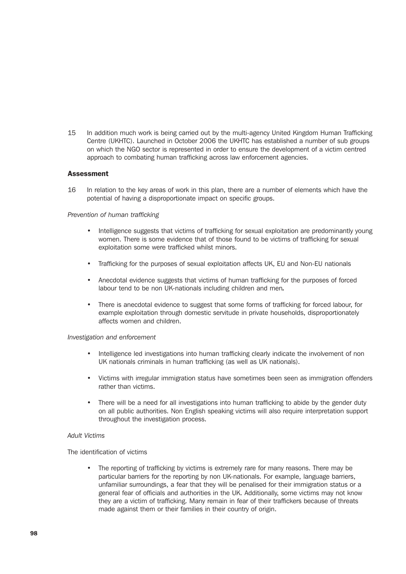15 In addition much work is being carried out by the multi-agency United Kingdom Human Trafficking Centre (UKHTC). Launched in October 2006 the UKHTC has established a number of sub groups on which the NGO sector is represented in order to ensure the development of a victim centred approach to combating human trafficking across law enforcement agencies.

### **Assessment**

16 In relation to the key areas of work in this plan, there are a number of elements which have the potential of having a disproportionate impact on specific groups.

### *Prevention of human trafficking*

- Intelligence suggests that victims of trafficking for sexual exploitation are predominantly young women. There is some evidence that of those found to be victims of trafficking for sexual exploitation some were trafficked whilst minors.
- Trafficking for the purposes of sexual exploitation affects UK, EU and Non-EU nationals
- Anecdotal evidence suggests that victims of human trafficking for the purposes of forced labour tend to be non UK-nationals including children and men*.*
- There is anecdotal evidence to suggest that some forms of trafficking for forced labour, for example exploitation through domestic servitude in private households, disproportionately affects women and children.

#### *Investigation and enforcement*

- Intelligence led investigations into human trafficking clearly indicate the involvement of non UK nationals criminals in human trafficking (as well as UK nationals).
- Victims with irregular immigration status have sometimes been seen as immigration offenders rather than victims.
- There will be a need for all investigations into human trafficking to abide by the gender duty on all public authorities. Non English speaking victims will also require interpretation support throughout the investigation process.

## *Adult Victims*

The identification of victims

• The reporting of trafficking by victims is extremely rare for many reasons. There may be particular barriers for the reporting by non UK-nationals. For example, language barriers, unfamiliar surroundings, a fear that they will be penalised for their immigration status or a general fear of officials and authorities in the UK. Additionally, some victims may not know they are a victim of trafficking. Many remain in fear of their traffickers because of threats made against them or their families in their country of origin.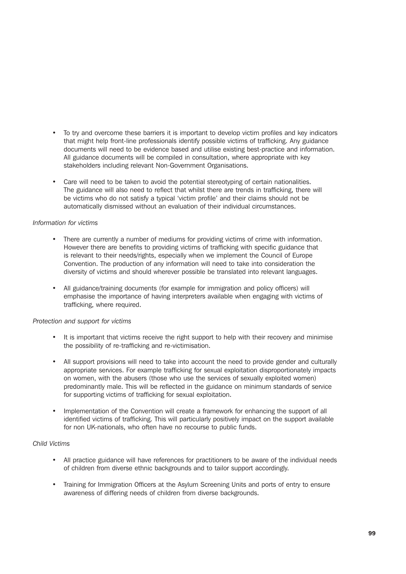- To try and overcome these barriers it is important to develop victim profiles and key indicators that might help front-line professionals identify possible victims of trafficking. Any guidance documents will need to be evidence based and utilise existing best-practice and information. All guidance documents will be compiled in consultation, where appropriate with key stakeholders including relevant Non-Government Organisations.
- Care will need to be taken to avoid the potential stereotyping of certain nationalities. The guidance will also need to reflect that whilst there are trends in trafficking, there will be victims who do not satisfy a typical 'victim profile' and their claims should not be automatically dismissed without an evaluation of their individual circumstances.

### *Information for victims*

- There are currently a number of mediums for providing victims of crime with information. However there are benefits to providing victims of trafficking with specific guidance that is relevant to their needs/rights, especially when we implement the Council of Europe Convention. The production of any information will need to take into consideration the diversity of victims and should wherever possible be translated into relevant languages.
- All guidance/training documents (for example for immigration and policy officers) will emphasise the importance of having interpreters available when engaging with victims of trafficking, where required.

### *Protection and support for victims*

- It is important that victims receive the right support to help with their recovery and minimise the possibility of re-trafficking and re-victimisation.
- All support provisions will need to take into account the need to provide gender and culturally appropriate services. For example trafficking for sexual exploitation disproportionately impacts on women, with the abusers (those who use the services of sexually exploited women) predominantly male. This will be reflected in the guidance on minimum standards of service for supporting victims of trafficking for sexual exploitation.
- Implementation of the Convention will create a framework for enhancing the support of all identified victims of trafficking. This will particularly positively impact on the support available for non UK-nationals, who often have no recourse to public funds.

### *Child Victims*

- All practice guidance will have references for practitioners to be aware of the individual needs of children from diverse ethnic backgrounds and to tailor support accordingly.
- Training for Immigration Officers at the Asylum Screening Units and ports of entry to ensure awareness of differing needs of children from diverse backgrounds.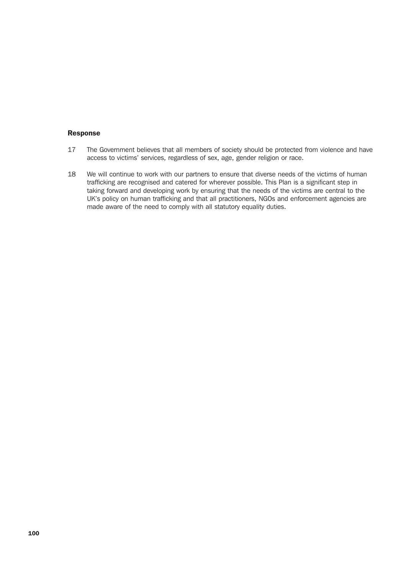### Response

- 17 The Government believes that all members of society should be protected from violence and have access to victims' services, regardless of sex, age, gender religion or race.
- 18 We will continue to work with our partners to ensure that diverse needs of the victims of human trafficking are recognised and catered for wherever possible. This Plan is a significant step in taking forward and developing work by ensuring that the needs of the victims are central to the UK's policy on human trafficking and that all practitioners, NGOs and enforcement agencies are made aware of the need to comply with all statutory equality duties.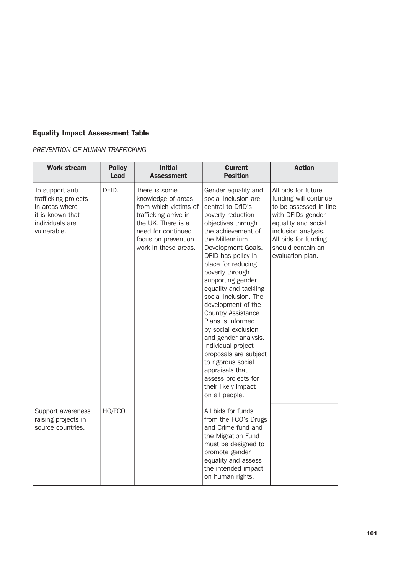# Equality Impact Assessment Table

*PREVENTION OF HUMAN TRAFFICKING*

| <b>Work stream</b>                                                                                              | <b>Policy</b><br><b>Lead</b> | <b>Initial</b><br><b>Assessment</b>                                                                                                                                              | <b>Current</b><br><b>Position</b>                                                                                                                                                                                                                                                                                                                                                                                                                                                                                                                                                              | <b>Action</b>                                                                                                                                                                                              |
|-----------------------------------------------------------------------------------------------------------------|------------------------------|----------------------------------------------------------------------------------------------------------------------------------------------------------------------------------|------------------------------------------------------------------------------------------------------------------------------------------------------------------------------------------------------------------------------------------------------------------------------------------------------------------------------------------------------------------------------------------------------------------------------------------------------------------------------------------------------------------------------------------------------------------------------------------------|------------------------------------------------------------------------------------------------------------------------------------------------------------------------------------------------------------|
| To support anti<br>trafficking projects<br>in areas where<br>it is known that<br>individuals are<br>vulnerable. | DFID.                        | There is some<br>knowledge of areas<br>from which victims of<br>trafficking arrive in<br>the UK. There is a<br>need for continued<br>focus on prevention<br>work in these areas. | Gender equality and<br>social inclusion are<br>central to DfID's<br>poverty reduction<br>objectives through<br>the achievement of<br>the Millennium<br>Development Goals.<br>DFID has policy in<br>place for reducing<br>poverty through<br>supporting gender<br>equality and tackling<br>social inclusion. The<br>development of the<br><b>Country Assistance</b><br>Plans is informed<br>by social exclusion<br>and gender analysis.<br>Individual project<br>proposals are subject<br>to rigorous social<br>appraisals that<br>assess projects for<br>their likely impact<br>on all people. | All bids for future<br>funding will continue<br>to be assessed in line<br>with DFIDs gender<br>equality and social<br>inclusion analysis.<br>All bids for funding<br>should contain an<br>evaluation plan. |
| Support awareness<br>raising projects in<br>source countries.                                                   | HO/FCO.                      |                                                                                                                                                                                  | All bids for funds<br>from the FCO's Drugs<br>and Crime fund and<br>the Migration Fund<br>must be designed to<br>promote gender<br>equality and assess<br>the intended impact<br>on human rights.                                                                                                                                                                                                                                                                                                                                                                                              |                                                                                                                                                                                                            |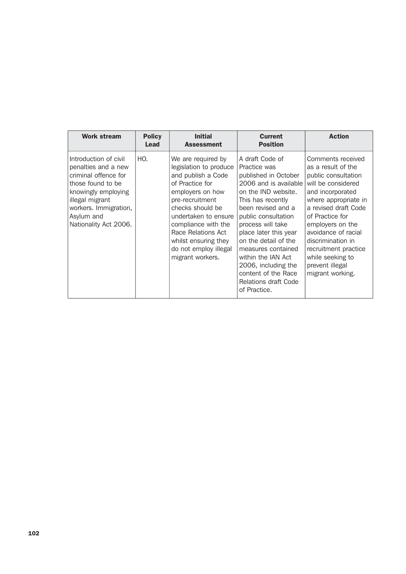| <b>Work stream</b>                                                                                                                                                                                  | <b>Policy</b><br>Lead | <b>Initial</b><br><b>Assessment</b>                                                                                                                                                                                                                                                        | <b>Current</b><br><b>Position</b>                                                                                                                                                                                                                                                                                                                                                 | <b>Action</b>                                                                                                                                                                                                                                                                                                                  |
|-----------------------------------------------------------------------------------------------------------------------------------------------------------------------------------------------------|-----------------------|--------------------------------------------------------------------------------------------------------------------------------------------------------------------------------------------------------------------------------------------------------------------------------------------|-----------------------------------------------------------------------------------------------------------------------------------------------------------------------------------------------------------------------------------------------------------------------------------------------------------------------------------------------------------------------------------|--------------------------------------------------------------------------------------------------------------------------------------------------------------------------------------------------------------------------------------------------------------------------------------------------------------------------------|
| Introduction of civil<br>penalties and a new<br>criminal offence for<br>those found to be<br>knowingly employing<br>illegal migrant<br>workers. Immigration,<br>Asylum and<br>Nationality Act 2006. | HO.                   | We are required by<br>legislation to produce<br>and publish a Code<br>of Practice for<br>employers on how<br>pre-recruitment<br>checks should be<br>undertaken to ensure<br>compliance with the<br>Race Relations Act<br>whilst ensuring they<br>do not employ illegal<br>migrant workers. | A draft Code of<br>Practice was<br>published in October<br>2006 and is available<br>on the IND website.<br>This has recently<br>been revised and a<br>public consultation<br>process will take<br>place later this year<br>on the detail of the<br>measures contained<br>within the IAN Act<br>2006, including the<br>content of the Race<br>Relations draft Code<br>of Practice. | Comments received<br>as a result of the<br>public consultation<br>will be considered<br>and incorporated<br>where appropriate in<br>a revised draft Code<br>of Practice for<br>employers on the<br>avoidance of racial<br>discrimination in<br>recruitment practice<br>while seeking to<br>prevent illegal<br>migrant working. |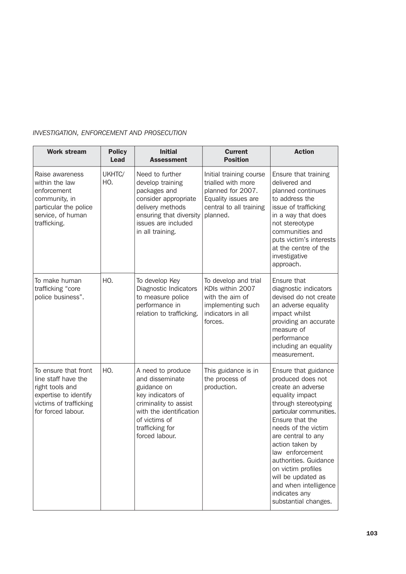| <b>Work stream</b>                                                                                                                      | <b>Policy</b><br>Lead | <b>Initial</b><br><b>Assessment</b>                                                                                                                                                | <b>Current</b><br><b>Position</b>                                                                                                | <b>Action</b>                                                                                                                                                                                                                                                                                                                                                                     |
|-----------------------------------------------------------------------------------------------------------------------------------------|-----------------------|------------------------------------------------------------------------------------------------------------------------------------------------------------------------------------|----------------------------------------------------------------------------------------------------------------------------------|-----------------------------------------------------------------------------------------------------------------------------------------------------------------------------------------------------------------------------------------------------------------------------------------------------------------------------------------------------------------------------------|
| Raise awareness<br>within the law<br>enforcement<br>community, in<br>particular the police<br>service, of human<br>trafficking.         | UKHTC/<br>HO.         | Need to further<br>develop training<br>packages and<br>consider appropriate<br>delivery methods<br>ensuring that diversity<br>issues are included<br>in all training.              | Initial training course<br>trialled with more<br>planned for 2007.<br>Equality issues are<br>central to all training<br>planned. | Ensure that training<br>delivered and<br>planned continues<br>to address the<br>issue of trafficking<br>in a way that does<br>not stereotype<br>communities and<br>puts victim's interests<br>at the centre of the<br>investigative<br>approach.                                                                                                                                  |
| To make human<br>trafficking "core<br>police business".                                                                                 | HO.                   | To develop Key<br>Diagnostic Indicators<br>to measure police<br>performance in<br>relation to trafficking.                                                                         | To develop and trial<br>KDIs within 2007<br>with the aim of<br>implementing such<br>indicators in all<br>forces.                 | Ensure that<br>diagnostic indicators<br>devised do not create<br>an adverse equality<br>impact whilst<br>providing an accurate<br>measure of<br>performance<br>including an equality<br>measurement.                                                                                                                                                                              |
| To ensure that front<br>line staff have the<br>right tools and<br>expertise to identify<br>victims of trafficking<br>for forced labour. | HO.                   | A need to produce<br>and disseminate<br>guidance on<br>key indicators of<br>criminality to assist<br>with the identification<br>of victims of<br>trafficking for<br>forced labour. | This guidance is in<br>the process of<br>production.                                                                             | Ensure that guidance<br>produced does not<br>create an adverse<br>equality impact<br>through stereotyping<br>particular communities.<br>Ensure that the<br>needs of the victim<br>are central to any<br>action taken by<br>law enforcement<br>authorities. Guidance<br>on victim profiles<br>will be updated as<br>and when intelligence<br>indicates any<br>substantial changes. |

# *INVESTIGATION, ENFORCEMENT AND PROSECUTION*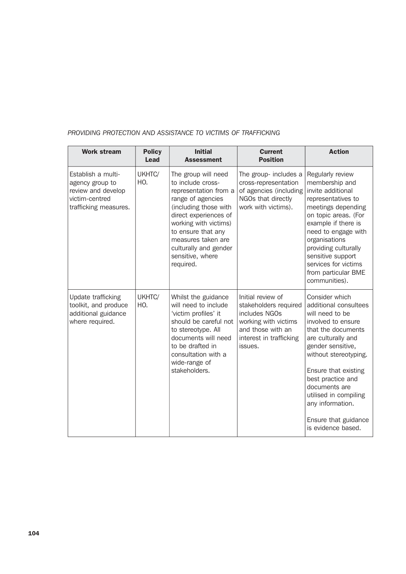| <b>Work stream</b>                                                                                     | <b>Policy</b><br>Lead | <b>Initial</b><br><b>Assessment</b>                                                                                                                                                                                                                                     | <b>Current</b><br><b>Position</b>                                                                                                              | <b>Action</b>                                                                                                                                                                                                                                                                                                                       |
|--------------------------------------------------------------------------------------------------------|-----------------------|-------------------------------------------------------------------------------------------------------------------------------------------------------------------------------------------------------------------------------------------------------------------------|------------------------------------------------------------------------------------------------------------------------------------------------|-------------------------------------------------------------------------------------------------------------------------------------------------------------------------------------------------------------------------------------------------------------------------------------------------------------------------------------|
| Establish a multi-<br>agency group to<br>review and develop<br>victim-centred<br>trafficking measures. | UKHTC/<br>HO.         | The group will need<br>to include cross-<br>representation from a<br>range of agencies<br>(including those with<br>direct experiences of<br>working with victims)<br>to ensure that any<br>measures taken are<br>culturally and gender<br>sensitive, where<br>required. | The group- includes a<br>cross-representation<br>of agencies (including<br>NGOs that directly<br>work with victims).                           | Regularly review<br>membership and<br>invite additional<br>representatives to<br>meetings depending<br>on topic areas. (For<br>example if there is<br>need to engage with<br>organisations<br>providing culturally<br>sensitive support<br>services for victims<br>from particular BME<br>communities).                             |
| Update trafficking<br>toolkit, and produce<br>additional guidance<br>where required.                   | UKHTC/<br>HO.         | Whilst the guidance<br>will need to include<br>'victim profiles' it<br>should be careful not<br>to stereotype. All<br>documents will need<br>to be drafted in<br>consultation with a<br>wide-range of<br>stakeholders.                                                  | Initial review of<br>stakeholders required<br>includes NGOs<br>working with victims<br>and those with an<br>interest in trafficking<br>issues. | Consider which<br>additional consultees<br>will need to be<br>involved to ensure<br>that the documents<br>are culturally and<br>gender sensitive,<br>without stereotyping.<br>Ensure that existing<br>best practice and<br>documents are<br>utilised in compiling<br>any information.<br>Ensure that guidance<br>is evidence based. |

## *PROVIDING PROTECTION AND ASSISTANCE TO VICTIMS OF TRAFFICKING*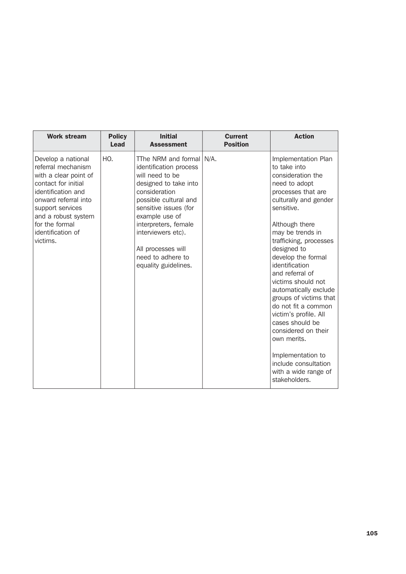| <b>Work stream</b>                                                                                                                                                                                                                   | <b>Policy</b><br>Lead | <b>Initial</b><br><b>Assessment</b>                                                                                                                                                                                                                                                                    | <b>Current</b><br><b>Position</b> | <b>Action</b>                                                                                                                                                                                                                                                                                                                                                                                                                                                                                                                                            |
|--------------------------------------------------------------------------------------------------------------------------------------------------------------------------------------------------------------------------------------|-----------------------|--------------------------------------------------------------------------------------------------------------------------------------------------------------------------------------------------------------------------------------------------------------------------------------------------------|-----------------------------------|----------------------------------------------------------------------------------------------------------------------------------------------------------------------------------------------------------------------------------------------------------------------------------------------------------------------------------------------------------------------------------------------------------------------------------------------------------------------------------------------------------------------------------------------------------|
| Develop a national<br>referral mechanism<br>with a clear point of<br>contact for initial<br>identification and<br>onward referral into<br>support services<br>and a robust system<br>for the formal<br>identification of<br>victims. | HO.                   | TThe NRM and formal   N/A.<br>identification process<br>will need to be<br>designed to take into<br>consideration<br>possible cultural and<br>sensitive issues (for<br>example use of<br>interpreters, female<br>interviewers etc).<br>All processes will<br>need to adhere to<br>equality guidelines. |                                   | Implementation Plan<br>to take into<br>consideration the<br>need to adopt<br>processes that are<br>culturally and gender<br>sensitive.<br>Although there<br>may be trends in<br>trafficking, processes<br>designed to<br>develop the formal<br>identification<br>and referral of<br>victims should not<br>automatically exclude<br>groups of victims that<br>do not fit a common<br>victim's profile. All<br>cases should be<br>considered on their<br>own merits.<br>Implementation to<br>include consultation<br>with a wide range of<br>stakeholders. |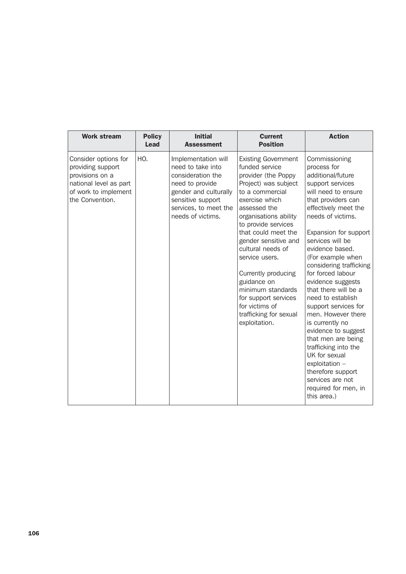| <b>Work stream</b>                                                                                                                | <b>Policy</b><br><b>Lead</b> | <b>Initial</b><br><b>Assessment</b>                                                                                                                                          | <b>Current</b><br><b>Position</b>                                                                                                                                                                                                                                                                                                                                                                                                      | <b>Action</b>                                                                                                                                                                                                                                                                                                                                                                                                                                                                                                                                                                                                                   |
|-----------------------------------------------------------------------------------------------------------------------------------|------------------------------|------------------------------------------------------------------------------------------------------------------------------------------------------------------------------|----------------------------------------------------------------------------------------------------------------------------------------------------------------------------------------------------------------------------------------------------------------------------------------------------------------------------------------------------------------------------------------------------------------------------------------|---------------------------------------------------------------------------------------------------------------------------------------------------------------------------------------------------------------------------------------------------------------------------------------------------------------------------------------------------------------------------------------------------------------------------------------------------------------------------------------------------------------------------------------------------------------------------------------------------------------------------------|
| Consider options for<br>providing support<br>provisions on a<br>national level as part<br>of work to implement<br>the Convention. | HO.                          | Implementation will<br>need to take into<br>consideration the<br>need to provide<br>gender and culturally<br>sensitive support<br>services, to meet the<br>needs of victims. | <b>Existing Government</b><br>funded service<br>provider (the Poppy<br>Project) was subject<br>to a commercial<br>exercise which<br>assessed the<br>organisations ability<br>to provide services<br>that could meet the<br>gender sensitive and<br>cultural needs of<br>service users.<br>Currently producing<br>guidance on<br>minimum standards<br>for support services<br>for victims of<br>trafficking for sexual<br>exploitation. | Commissioning<br>process for<br>additional/future<br>support services<br>will need to ensure<br>that providers can<br>effectively meet the<br>needs of victims.<br>Expansion for support<br>services will be<br>evidence based.<br>(For example when<br>considering trafficking<br>for forced labour<br>evidence suggests<br>that there will be a<br>need to establish<br>support services for<br>men. However there<br>is currently no<br>evidence to suggest<br>that men are being<br>trafficking into the<br>UK for sexual<br>exploitation -<br>therefore support<br>services are not<br>required for men, in<br>this area.) |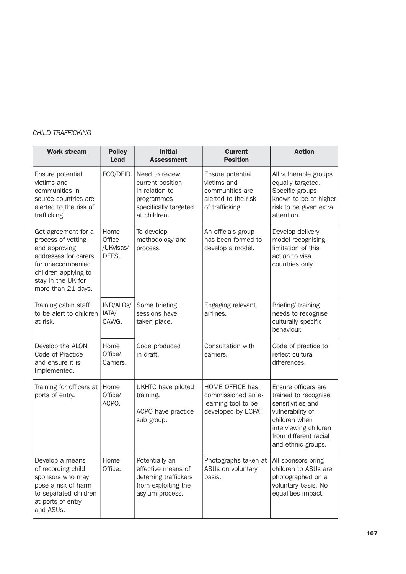## *CHILD TRAFFICKING*

| <b>Work stream</b>                                                                                                                                                          | <b>Policy</b><br>Lead                | <b>Initial</b><br><b>Assessment</b>                                                                         | <b>Current</b><br><b>Position</b>                                                            | <b>Action</b>                                                                                                                                                                 |
|-----------------------------------------------------------------------------------------------------------------------------------------------------------------------------|--------------------------------------|-------------------------------------------------------------------------------------------------------------|----------------------------------------------------------------------------------------------|-------------------------------------------------------------------------------------------------------------------------------------------------------------------------------|
| Ensure potential<br>victims and<br>communities in<br>source countries are<br>alerted to the risk of<br>trafficking.                                                         | FCO/DFID.                            | Need to review<br>current position<br>in relation to<br>programmes<br>specifically targeted<br>at children. | Ensure potential<br>victims and<br>communities are<br>alerted to the risk<br>of trafficking. | All vulnerable groups<br>equally targeted.<br>Specific groups<br>known to be at higher<br>risk to be given extra<br>attention.                                                |
| Get agreement for a<br>process of vetting<br>and approving<br>addresses for carers<br>for unaccompanied<br>children applying to<br>stay in the UK for<br>more than 21 days. | Home<br>Office<br>/UKvisas/<br>DFES. | To develop<br>methodology and<br>process.                                                                   | An officials group<br>has been formed to<br>develop a model.                                 | Develop delivery<br>model recognising<br>limitation of this<br>action to visa<br>countries only.                                                                              |
| Training cabin staff<br>to be alert to children<br>at risk.                                                                                                                 | IND/ALOS/<br>IATA/<br>CAWG.          | Some briefing<br>sessions have<br>taken place.                                                              | Engaging relevant<br>airlines.                                                               | Briefing/ training<br>needs to recognise<br>culturally specific<br>behaviour.                                                                                                 |
| Develop the ALON<br>Code of Practice<br>and ensure it is<br>implemented.                                                                                                    | Home<br>Office/<br>Carriers.         | Code produced<br>in draft.                                                                                  | Consultation with<br>carriers.                                                               | Code of practice to<br>reflect cultural<br>differences.                                                                                                                       |
| Training for officers at<br>ports of entry.                                                                                                                                 | Home<br>Office/<br>ACPO.             | UKHTC have piloted<br>training.<br>ACPO have practice<br>sub group.                                         | HOME OFFICE has<br>commissioned an e-<br>learning tool to be<br>developed by ECPAT.          | Ensure officers are<br>trained to recognise<br>sensitivities and<br>vulnerability of<br>children when<br>interviewing children<br>from different racial<br>and ethnic groups. |
| Develop a means<br>of recording child<br>sponsors who may<br>pose a risk of harm<br>to separated children<br>at ports of entry<br>and ASUs.                                 | Home<br>Office.                      | Potentially an<br>effective means of<br>deterring traffickers<br>from exploiting the<br>asylum process.     | Photographs taken at<br>ASUs on voluntary<br>basis.                                          | All sponsors bring<br>children to ASUs are<br>photographed on a<br>voluntary basis. No<br>equalities impact.                                                                  |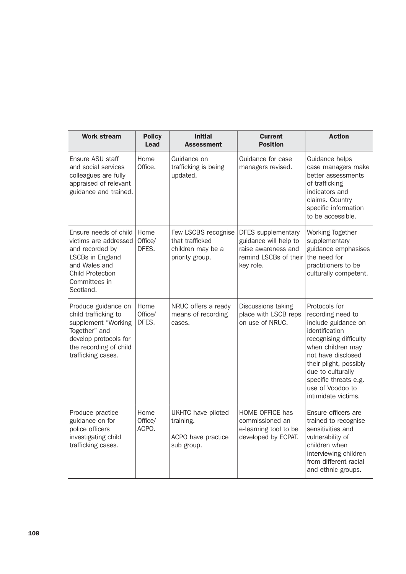| <b>Work stream</b>                                                                                                                                              | <b>Policy</b><br>Lead    | <b>Initial</b><br><b>Assessment</b>                                            | <b>Current</b><br><b>Position</b>                                                                        | <b>Action</b>                                                                                                                                                                                                                                                       |
|-----------------------------------------------------------------------------------------------------------------------------------------------------------------|--------------------------|--------------------------------------------------------------------------------|----------------------------------------------------------------------------------------------------------|---------------------------------------------------------------------------------------------------------------------------------------------------------------------------------------------------------------------------------------------------------------------|
| Ensure ASU staff<br>and social services<br>colleagues are fully<br>appraised of relevant<br>guidance and trained.                                               | Home<br>Office.          | Guidance on<br>trafficking is being<br>updated.                                | Guidance for case<br>managers revised.                                                                   | Guidance helps<br>case managers make<br>better assessments<br>of trafficking<br>indicators and<br>claims. Country<br>specific information<br>to be accessible.                                                                                                      |
| Ensure needs of child<br>victims are addressed<br>and recorded by<br>LSCBs in England<br>and Wales and<br><b>Child Protection</b><br>Committees in<br>Scotland. | Home<br>Office/<br>DFES. | Few LSCBS recognise<br>that trafficked<br>children may be a<br>priority group. | DFES supplementary<br>guidance will help to<br>raise awareness and<br>remind LSCBs of their<br>key role. | Working Together<br>supplementary<br>guidance emphasises<br>the need for<br>practitioners to be<br>culturally competent.                                                                                                                                            |
| Produce guidance on<br>child trafficking to<br>supplement "Working<br>Together" and<br>develop protocols for<br>the recording of child<br>trafficking cases.    | Home<br>Office/<br>DFES. | NRUC offers a ready<br>means of recording<br>cases.                            | Discussions taking<br>place with LSCB reps<br>on use of NRUC.                                            | Protocols for<br>recording need to<br>include guidance on<br>identification<br>recognising difficulty<br>when children may<br>not have disclosed<br>their plight, possibly<br>due to culturally<br>specific threats e.g.<br>use of Voodoo to<br>intimidate victims. |
| Produce practice<br>guidance on for<br>police officers<br>investigating child<br>trafficking cases.                                                             | Home<br>Office/<br>ACPO. | UKHTC have piloted<br>training.<br>ACPO have practice<br>sub group.            | HOME OFFICE has<br>commissioned an<br>e-learning tool to be<br>developed by ECPAT.                       | Ensure officers are<br>trained to recognise<br>sensitivities and<br>vulnerability of<br>children when<br>interviewing children<br>from different racial<br>and ethnic groups.                                                                                       |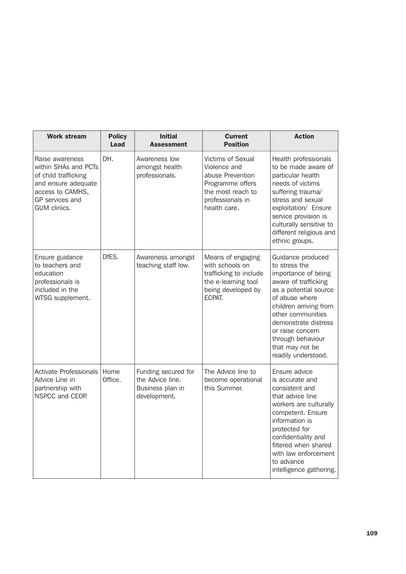| <b>Work stream</b>                                                                                                                            | <b>Policy</b><br><b>Lead</b> | <b>Initial</b><br><b>Assessment</b>                                         | <b>Current</b><br><b>Position</b>                                                                                                  | <b>Action</b>                                                                                                                                                                                                                                                                          |
|-----------------------------------------------------------------------------------------------------------------------------------------------|------------------------------|-----------------------------------------------------------------------------|------------------------------------------------------------------------------------------------------------------------------------|----------------------------------------------------------------------------------------------------------------------------------------------------------------------------------------------------------------------------------------------------------------------------------------|
| Raise awareness<br>within SHAs and PCTs<br>of child trafficking<br>and ensure adequate<br>access to CAMHS,<br>GP services and<br>GUM clinics. | DH.                          | Awareness low<br>amongst health<br>professionals.                           | Victims of Sexual<br>Violence and<br>abuse Prevention<br>Programme offers<br>the most reach to<br>professionals in<br>health care. | Health professionals<br>to be made aware of<br>particular health<br>needs of victims<br>suffering trauma/<br>stress and sexual<br>exploitation/ Ensure<br>service provision is<br>culturally sensitive to<br>different religious and<br>ethnic groups.                                 |
| Ensure guidance<br>to teachers and<br>education<br>professionals is<br>included in the<br>WTSG supplement.                                    | DfES.                        | Awareness amongst<br>teaching staff low.                                    | Means of engaging<br>with schools on<br>trafficking to include<br>the e-learning tool<br>being developed by<br>ECPAT.              | Guidance produced<br>to stress the<br>importance of being<br>aware of trafficking<br>as a potential source<br>of abuse where<br>children arriving from<br>other communities<br>demonstrate distress<br>or raise concern<br>through behaviour<br>that may not be<br>readily understood. |
| Activate Professionals<br>Advice Line in<br>partnership with<br>NSPCC and CEOP.                                                               | Home<br>Office.              | Funding secured for<br>the Advice line.<br>Business plan in<br>development. | The Advice line to<br>become operational<br>this Summer.                                                                           | Ensure advice<br>is accurate and<br>consistent and<br>that advice line<br>workers are culturally<br>competent. Ensure<br>information is<br>protected for<br>confidentiality and<br>filtered when shared<br>with law enforcement<br>to advance<br>intelligence gathering.               |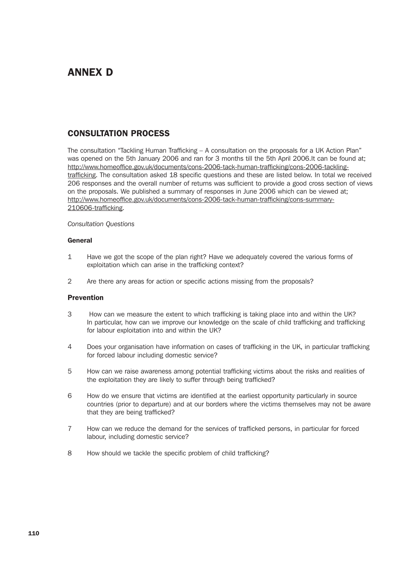# ANNEX D

# CONSULTATION PROCESS

The consultation "Tackling Human Trafficking – A consultation on the proposals for a UK Action Plan" was opened on the 5th January 2006 and ran for 3 months till the 5th April 2006.It can be found at; http://www.homeoffice.gov.uk/documents/cons-2006-tack-human-trafficking/cons-2006-tacklingtrafficking. The consultation asked 18 specific questions and these are listed below. In total we received 206 responses and the overall number of returns was sufficient to provide a good cross section of views on the proposals. We published a summary of responses in June 2006 which can be viewed at; http://www.homeoffice.gov.uk/documents/cons-2006-tack-human-trafficking/cons-summary-210606-trafficking.

*Consultation Questions*

#### **General**

- 1 Have we got the scope of the plan right? Have we adequately covered the various forms of exploitation which can arise in the trafficking context?
- 2 Are there any areas for action or specific actions missing from the proposals?

### **Prevention**

- 3 How can we measure the extent to which trafficking is taking place into and within the UK? In particular, how can we improve our knowledge on the scale of child trafficking and trafficking for labour exploitation into and within the UK?
- 4 Does your organisation have information on cases of trafficking in the UK, in particular trafficking for forced labour including domestic service?
- 5 How can we raise awareness among potential trafficking victims about the risks and realities of the exploitation they are likely to suffer through being trafficked?
- 6 How do we ensure that victims are identified at the earliest opportunity particularly in source countries (prior to departure) and at our borders where the victims themselves may not be aware that they are being trafficked?
- 7 How can we reduce the demand for the services of trafficked persons, in particular for forced labour, including domestic service?
- 8 How should we tackle the specific problem of child trafficking?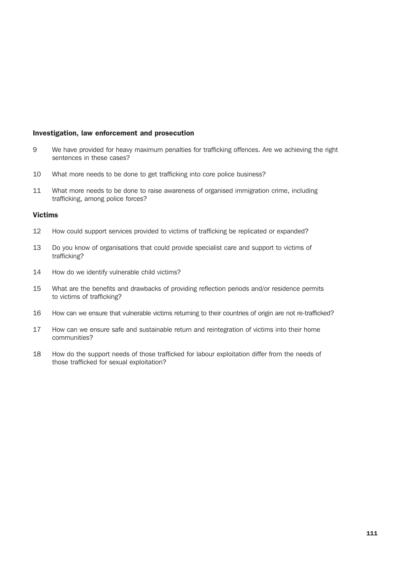#### Investigation, law enforcement and prosecution

- 9 We have provided for heavy maximum penalties for trafficking offences. Are we achieving the right sentences in these cases?
- 10 What more needs to be done to get trafficking into core police business?
- 11 What more needs to be done to raise awareness of organised immigration crime, including trafficking, among police forces?

#### Victims

- 12 How could support services provided to victims of trafficking be replicated or expanded?
- 13 Do you know of organisations that could provide specialist care and support to victims of trafficking?
- 14 How do we identify vulnerable child victims?
- 15 What are the benefits and drawbacks of providing reflection periods and/or residence permits to victims of trafficking?
- 16 How can we ensure that vulnerable victims returning to their countries of origin are not re-trafficked?
- 17 How can we ensure safe and sustainable return and reintegration of victims into their home communities?
- 18 How do the support needs of those trafficked for labour exploitation differ from the needs of those trafficked for sexual exploitation?